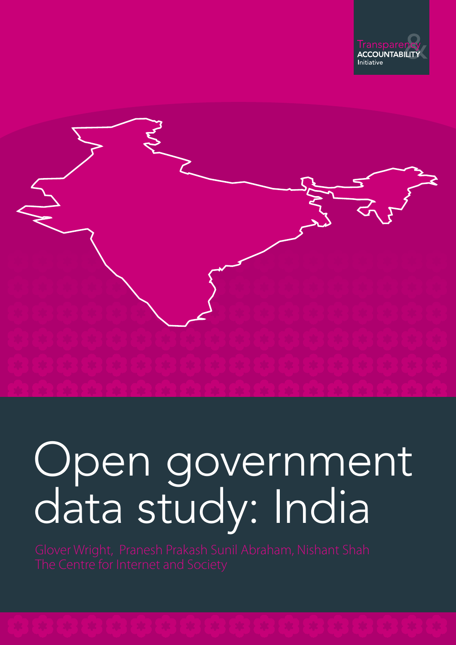



# Open government data study: India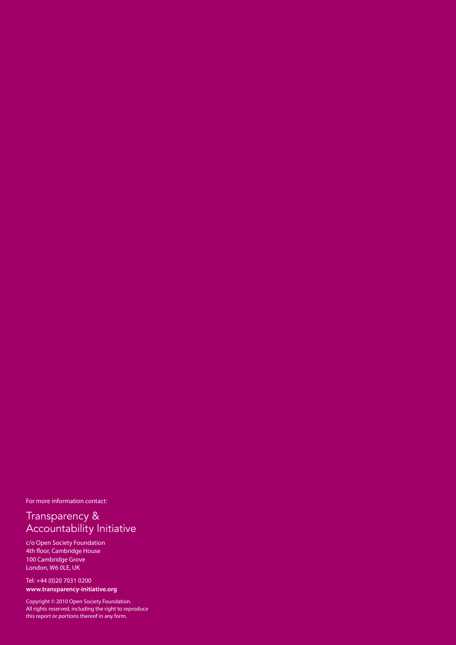For more information contact:

# Transparency & Accountability Initiative

c/o Open Society Foundation 4th floor, Cambridge House 100 Cambridge Grove London, W6 0LE, UK

Tel: +44 (0)20 7031 0200 **www.transparency-initiative.org**

Copyright © 2010 Open Society Foundation. All rights reserved, including the right to reproduce this report or portions thereof in any form.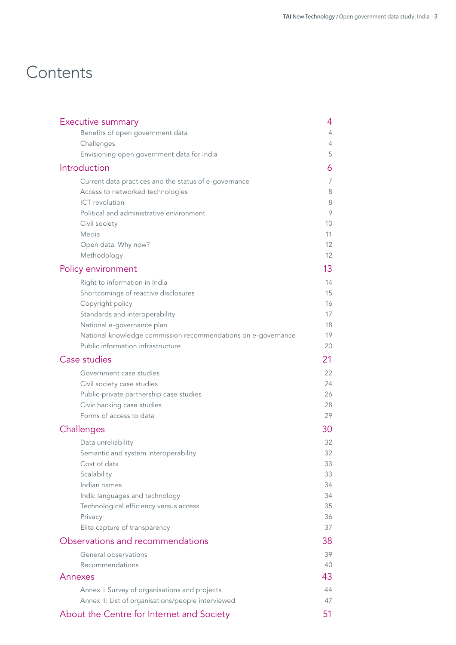# **Contents**

| Executive summary                                             | 4                 |
|---------------------------------------------------------------|-------------------|
| Benefits of open government data                              | 4                 |
| Challenges                                                    | 4                 |
| Envisioning open government data for India                    | 5                 |
| Introduction                                                  | 6                 |
| Current data practices and the status of e-governance         | 7                 |
| Access to networked technologies                              | 8                 |
| ICT revolution                                                | 8                 |
| Political and administrative environment                      | 9                 |
| Civil society<br>Media                                        | 10                |
| Open data: Why now?                                           | 11<br>12          |
| Methodology                                                   | $12 \overline{ }$ |
| Policy environment                                            | 13                |
| Right to information in India                                 | 14                |
| Shortcomings of reactive disclosures                          | 15                |
| Copyright policy                                              | 16                |
| Standards and interoperability                                | 17                |
| National e-governance plan                                    | 18                |
| National knowledge commission recommendations on e-governance | 19                |
| Public information infrastructure                             | 20                |
| <b>Case studies</b>                                           | 21                |
| Government case studies                                       | 22                |
| Civil society case studies                                    | 24                |
| Public-private partnership case studies                       | 26                |
| Civic hacking case studies<br>Forms of access to data         | 28<br>29          |
|                                                               |                   |
| Challenges                                                    | 30                |
| Data unreliability                                            | 32                |
| Semantic and system interoperability<br>Cost of data          | 32<br>33          |
| Scalability                                                   | 33                |
| Indian names                                                  | 34                |
| Indic languages and technology                                | 34                |
| Technological efficiency versus access                        | 35                |
| Privacy                                                       | 36                |
| Elite capture of transparency                                 | 37                |
| Observations and recommendations                              | 38                |
| General observations                                          | 39                |
| Recommendations                                               | 40                |
| Annexes                                                       | 43                |
| Annex I: Survey of organisations and projects                 | 44                |
| Annex II: List of organisations/people interviewed            | 47                |
| About the Centre for Internet and Society                     | 51                |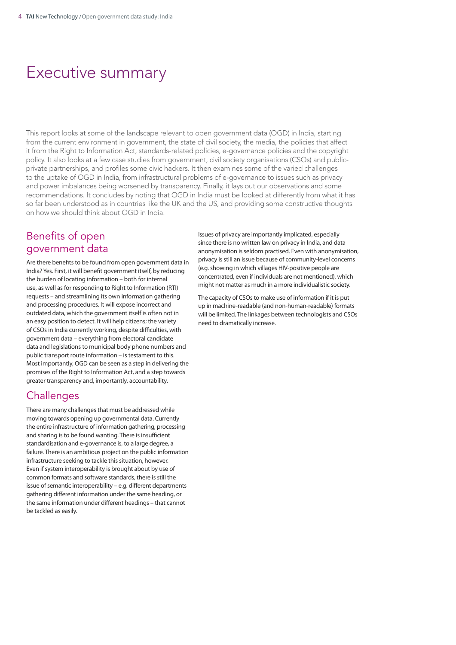# <span id="page-3-0"></span>Executive summary

This report looks at some of the landscape relevant to open government data (OGD) in India, starting from the current environment in government, the state of civil society, the media, the policies that affect it from the Right to Information Act, standards-related policies, e-governance policies and the copyright policy. It also looks at a few case studies from government, civil society organisations (CSOs) and publicprivate partnerships, and profiles some civic hackers. It then examines some of the varied challenges to the uptake of OGD in India, from infrastructural problems of e-governance to issues such as privacy and power imbalances being worsened by transparency. Finally, it lays out our observations and some recommendations. It concludes by noting that OGD in India must be looked at differently from what it has so far been understood as in countries like the UK and the US, and providing some constructive thoughts on how we should think about OGD in India.

# Benefits of open government data

Are there benefits to be found from open government data in India? Yes. First, it will benefit government itself, by reducing the burden of locating information – both for internal use, as well as for responding to Right to Information (RTI) requests – and streamlining its own information gathering and processing procedures. It will expose incorrect and outdated data, which the government itself is often not in an easy position to detect. It will help citizens; the variety of CSOs in India currently working, despite difficulties, with government data – everything from electoral candidate data and legislations to municipal body phone numbers and public transport route information – is testament to this. Most importantly, OGD can be seen as a step in delivering the promises of the Right to Information Act, and a step towards greater transparency and, importantly, accountability.

# **Challenges**

There are many challenges that must be addressed while moving towards opening up governmental data. Currently the entire infrastructure of information gathering, processing and sharing is to be found wanting. There is insufficient standardisation and e-governance is, to a large degree, a failure. There is an ambitious project on the public information infrastructure seeking to tackle this situation, however. Even if system interoperability is brought about by use of common formats and software standards, there is still the issue of semantic interoperability – e.g. different departments gathering different information under the same heading, or the same information under different headings – that cannot be tackled as easily.

Issues of privacy are importantly implicated, especially since there is no written law on privacy in India, and data anonymisation is seldom practised. Even with anonymisation, privacy is still an issue because of community-level concerns (e.g. showing in which villages HIV-positive people are concentrated, even if individuals are not mentioned), which might not matter as much in a more individualistic society.

The capacity of CSOs to make use of information if it is put up in machine-readable (and non-human-readable) formats will be limited. The linkages between technologists and CSOs need to dramatically increase.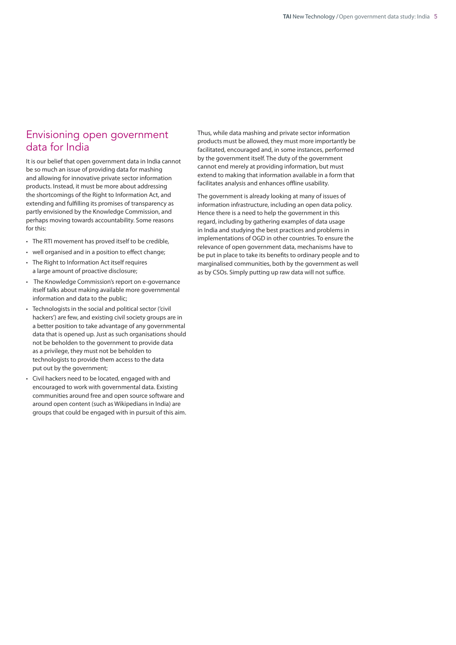# <span id="page-4-0"></span>Envisioning open government data for India

It is our belief that open government data in India cannot be so much an issue of providing data for mashing and allowing for innovative private sector information products. Instead, it must be more about addressing the shortcomings of the Right to Information Act, and extending and fulfilling its promises of transparency as partly envisioned by the Knowledge Commission, and perhaps moving towards accountability. Some reasons for this:

- The RTI movement has proved itself to be credible,
- well organised and in a position to effect change;
- • The Right to Information Act itself requires a large amount of proactive disclosure;
- • The Knowledge Commission's report on e-governance itself talks about making available more governmental information and data to the public;
- Technologists in the social and political sector ('civil hackers') are few, and existing civil society groups are in a better position to take advantage of any governmental data that is opened up. Just as such organisations should not be beholden to the government to provide data as a privilege, they must not be beholden to technologists to provide them access to the data put out by the government;
- Civil hackers need to be located, engaged with and encouraged to work with governmental data. Existing communities around free and open source software and around open content (such as Wikipedians in India) are groups that could be engaged with in pursuit of this aim.

Thus, while data mashing and private sector information products must be allowed, they must more importantly be facilitated, encouraged and, in some instances, performed by the government itself. The duty of the government cannot end merely at providing information, but must extend to making that information available in a form that facilitates analysis and enhances offline usability.

The government is already looking at many of issues of information infrastructure, including an open data policy. Hence there is a need to help the government in this regard, including by gathering examples of data usage in India and studying the best practices and problems in implementations of OGD in other countries. To ensure the relevance of open government data, mechanisms have to be put in place to take its benefits to ordinary people and to marginalised communities, both by the government as well as by CSOs. Simply putting up raw data will not suffice.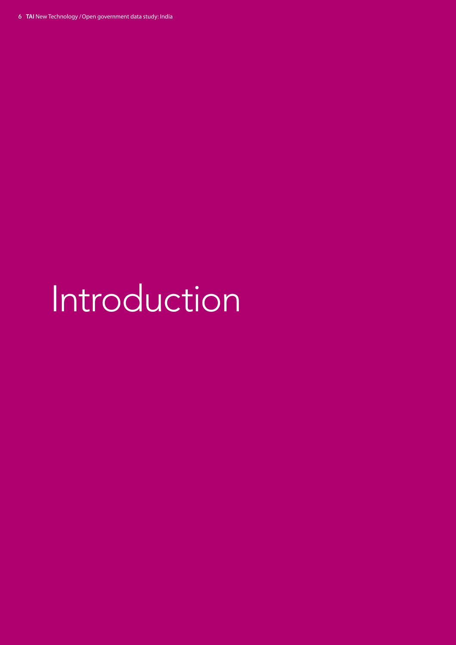# <span id="page-5-0"></span>Introduction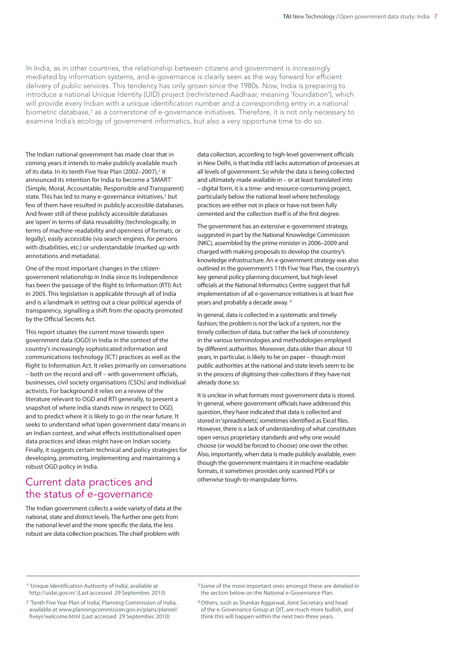<span id="page-6-0"></span>In India, as in other countries, the relationship between citizens and government is increasingly mediated by information systems, and e-governance is clearly seen as the way forward for efficient delivery of public services. This tendency has only grown since the 1980s. Now, India is preparing to introduce a national Unique Identity (UID) project (rechristened Aadhaar, meaning 'foundation'), which will provide every Indian with a unique identification number and a corresponding entry in a national biometric database,1 as a cornerstone of e-governance initiatives. Therefore, it is not only necessary to examine India's ecology of government informatics, but also a very opportune time to do so.

The Indian national government has made clear that in coming years it intends to make publicly available much of its data. In its tenth Five Year Plan (2002–2007),2 it announced its intention for India to become a 'SMART' (Simple, Moral, Accountable, Responsible and Transparent) state. This has led to many e-governance initiatives,<sup>3</sup> but few of them have resulted in publicly accessible databases. And fewer still of these publicly accessible databases are 'open' in terms of data reusability (technologically, in terms of machine-readability and openness of formats, or legally), easily accessible (via search engines, for persons with disabilities, etc.) or understandable (marked up with annotations and metadata).

One of the most important changes in the citizengovernment relationship in India since its Independence has been the passage of the Right to Information (RTI) Act in 2005. This legislation is applicable through all of India and is a landmark in setting out a clear political agenda of transparency, signalling a shift from the opacity promoted by the Official Secrets Act.

This report situates the current move towards open government data (OGD) in India in the context of the country's increasingly sophisticated information and communications technology (ICT) practices as well as the Right to Information Act. It relies primarily on conversations – both on the record and off – with government officials, businesses, civil society organisations (CSOs) and individual activists. For background it relies on a review of the literature relevant to OGD and RTI generally, to present a snapshot of where India stands now in respect to OGD, and to predict where it is likely to go in the near future. It seeks to understand what 'open government data' means in an Indian context, and what effects institutionalised open data practices and ideas might have on Indian society. Finally, it suggests certain technical and policy strategies for developing, promoting, implementing and maintaining a robust OGD policy in India.

# Current data practices and the status of e-governance

The Indian government collects a wide variety of data at the national, state and district levels. The further one gets from the national level and the more specific the data, the less robust are data collection practices. The chief problem with

data collection, according to high-level government officials in New Delhi, is that India still lacks automation of processes at all levels of government. So while the data is being collected and ultimately made available in – or at least translated into – digital form, it is a time- and resource-consuming project, particularly below the national level where technology practices are either not in place or have not been fully cemented and the collection itself is of the first degree.

The government has an extensive e-government strategy, suggested in part by the National Knowledge Commission (NKC), assembled by the prime minister in 2006–2009 and charged with making proposals to develop the country's knowledge infrastructure. An e-government strategy was also outlined in the government's 11th Five Year Plan, the country's key general policy planning document, but high-level officials at the National Informatics Centre suggest that full implementation of all e-governance initiatives is at least five years and probably a decade away. 4

In general, data is collected in a systematic and timely fashion; the problem is not the lack of a system, nor the timely collection of data, but rather the lack of consistency in the various terminologies and methodologies employed by different authorities. Moreover, data older than about 10 years, in particular, is likely to be on paper – though most public authorities at the national and state levels seem to be in the process of digitising their collections if they have not already done so.

It is unclear in what formats most government data is stored. In general, where government officials have addressed this question, they have indicated that data is collected and stored in 'spreadsheets', sometimes identified as Excel files. However, there is a lack of understanding of what constitutes open versus proprietary standards and why one would choose (or would be forced to choose) one over the other. Also, importantly, when data is made publicly available, even though the government maintains it in machine-readable formats, it sometimes provides only scanned PDFs or otherwise tough-to-manipulate forms.

3 Some of the more important ones amongst these are detailed in the section below on the National e-Governance Plan.

4 Others, such as Shankar Aggarwal, Joint Secretary and head of the e-Governance Group at DIT, are much more bullish, and think this will happen within the next two-three years.

<sup>1 &#</sup>x27;Unique Identification Authority of India', available at <http://uidai.gov.in/> (Last accessed 29 September, 2010)

<sup>2 &#</sup>x27;Tenth Five Year Plan of India', Planning Commission of India, available at [www.planningcommission.gov.in/plans/planrel/](http://) [fiveyr/welcome.html](http://) (Last accessed 29 September, 2010)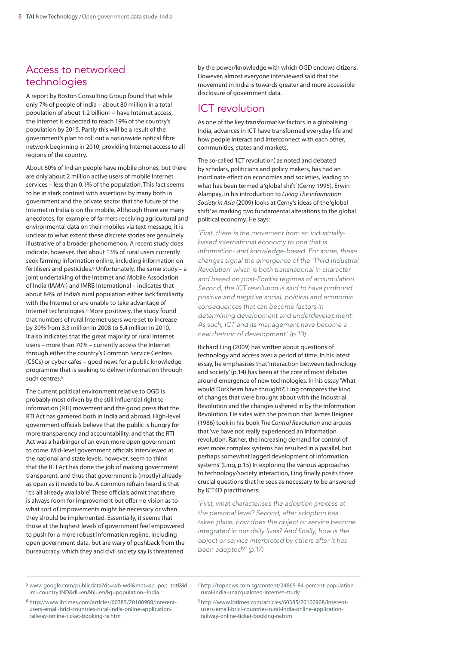# <span id="page-7-0"></span>Access to networked technologies

A report by Boston Consulting Group found that while only 7% of people of India – about 80 million in a total population of about 1.2 billion<sup>5</sup> – have Internet access, the Internet is expected to reach 19% of the country's population by 2015. Partly this will be a result of the government's plan to roll out a nationwide optical fibre network beginning in 2010, providing Internet access to all regions of the country.

About 60% of Indian people have mobile phones, but there are only about 2 million active users of mobile Internet services – less than 0.1% of the population. This fact seems to be in stark contrast with assertions by many both in government and the private sector that the future of the Internet in India is on the mobile. Although there are many anecdotes, for example of farmers receiving agricultural and environmental data on their mobiles via text message, it is unclear to what extent these discrete stories are genuinely illustrative of a broader phenomenon. A recent study does indicate, however, that about 13% of rural users currently seek farming information online, including information on fertilisers and pesticides.<sup>6</sup> Unfortunately, the same study – a joint undertaking of the Internet and Mobile Association of India (IAMAI) and IMRB International – indicates that about 84% of India's rural population either lack familiarity with the Internet or are unable to take advantage of Internet technologies.7 More positively, the study found that numbers of rural Internet users were set to increase by 30% from 3.3 million in 2008 to 5.4 million in 2010. It also indicates that the great majority of rural Internet users – more than 70% – currently access the Internet through either the country's Common Service Centres (CSCs) or cyber cafes – good news for a public knowledge programme that is seeking to deliver information through such centres.<sup>8</sup>

The current political environment relative to OGD is probably most driven by the still influential right to information (RTI) movement and the good press that the RTI Act has garnered both in India and abroad. High-level government officials believe that the public is hungry for more transparency and accountability, and that the RTI Act was a harbinger of an even more open government to come. Mid-level government officials interviewed at the national and state levels, however, seem to think that the RTI Act has done the job of making government transparent, and thus that government is (mostly) already as open as it needs to be. A common refrain heard is that 'It's all already available'. These officials admit that there is always room for improvement but offer no vision as to what sort of improvements might be necessary or when they should be implemented. Essentially, it seems that those at the highest levels of government feel empowered to push for a more robust information regime, including open government data, but are wary of pushback from the bureaucracy, which they and civil society say is threatened

by the power/knowledge with which OGD endows citizens. However, almost everyone interviewed said that the movement in India is towards greater and more accessible disclosure of government data.

# ICT revolution

As one of the key transformative factors in a globalising India, advances in ICT have transformed everyday life and how people interact and interconnect with each other, communities, states and markets.

The so-called 'ICT revolution', as noted and debated by scholars, politicians and policy makers, has had an inordinate effect on economies and societies, leading to what has been termed a 'global shift' (Cerny 1995). Erwin Alampay, in his introduction to *Living The Information Society in Asia* (2009) looks at Cerny's ideas of the 'global shift' as marking two fundamental alterations to the global political economy. He says:

*'First, there is the movement from an industriallybased international economy to one that is information- and knowledge-based. For some, these changes signal the emergence of the 'Third Industrial Revolution' which is both transnational in character and based on post-Fordist regimes of accumulation. Second, the ICT revolution is said to have profound positive and negative social, political and economic consequences that can become factors in determining development and underdevelopment. As such, ICT and its management have become a new rhetoric of development.' (p.10)*

Richard Ling (2009) has written about questions of technology and access over a period of time. In his latest essay, he emphasises that 'interaction between technology and society' (p.14) has been at the core of most debates around emergence of new technologies. In his essay 'What would Durkheim have thought?', Ling compares the kind of changes that were brought about with the Industrial Revolution and the changes ushered in by the Information Revolution. He sides with the position that James Beigner (1986) took in his book *The Control Revolution* and argues that 'we have not really experienced an information revolution. Rather, the increasing demand for control of ever more complex systems has resulted in a parallel, but perhaps somewhat lagged development of information systems' (Ling, p.15) In exploring the various approaches to technology/society interaction, Ling finally posits three crucial questions that he sees as necessary to be answered by ICT4D practitioners:

*'First, what characterises the adoption process at the personal level? Second, after adoption has taken place, how does the object or service become integrated in our daily lives? And finally, how is the object or service interpreted by others after it has been adopted?' (p.17)*

- 5 [www.google.com/publicdata?ds=wb-wdi&met=sp\\_pop\\_totl&id](http://) [im=country:IND&dl=en&hl=en&q=population+india](http://)
- 6 [http://www.ibtimes.com/articles/60385/20100908/interent](http://)[users-email-brici-countries-rural-india-online-application](http://)[railway-online-ticket-booking-re.htm](http://)

7 [http://topnews.com.sg/content/24865-84-percent-population](http://)[rural-india-unacquainted-Internet-study](http://)

8 [http://www.ibtimes.com/articles/60385/20100908/interent](http://)[users-email-brici-countries-rural-india-online-application](http://)[railway-online-ticket-booking-re.htm](http://)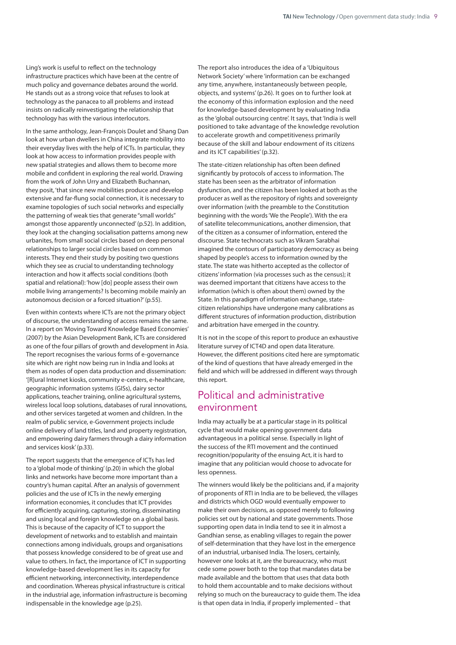<span id="page-8-0"></span>Ling's work is useful to reflect on the technology infrastructure practices which have been at the centre of much policy and governance debates around the world. He stands out as a strong voice that refuses to look at technology as the panacea to all problems and instead insists on radically reinvestigating the relationship that technology has with the various interlocutors.

In the same anthology, Jean-François Doulet and Shang Dan look at how urban dwellers in China integrate mobility into their everyday lives with the help of ICTs. In particular, they look at how access to information provides people with new spatial strategies and allows them to become more mobile and confident in exploring the real world. Drawing from the work of John Urry and Elizabeth Buchannan, they posit, 'that since new mobilities produce and develop extensive and far-flung social connection, it is necessary to examine topologies of such social networks and especially the patterning of weak ties that generate "small worlds" amongst those apparently unconnected' (p.52). In addition, they look at the changing socialisation patterns among new urbanites, from small social circles based on deep personal relationships to larger social circles based on common interests. They end their study by positing two questions which they see as crucial to understanding technology interaction and how it affects social conditions (both spatial and relational): 'how [do] people assess their own mobile living arrangements? Is becoming mobile mainly an autonomous decision or a forced situation?' (p.55).

Even within contexts where ICTs are not the primary object of discourse, the understanding of access remains the same. In a report on 'Moving Toward Knowledge Based Economies' (2007) by the Asian Development Bank, ICTs are considered as one of the four pillars of growth and development in Asia. The report recognises the various forms of e-governance site which are right now being run in India and looks at them as nodes of open data production and dissemination: '[R]ural Internet kiosks, community e-centers, e-healthcare, geographic information systems (GISs), dairy sector applications, teacher training, online agricultural systems, wireless local loop solutions, databases of rural innovations, and other services targeted at women and children. In the realm of public service, e-Government projects include online delivery of land titles, land and property registration, and empowering dairy farmers through a dairy information and services kiosk' (p.33).

The report suggests that the emergence of ICTs has led to a 'global mode of thinking' (p.20) in which the global links and networks have become more important than a country's human capital. After an analysis of government policies and the use of ICTs in the newly emerging information economies, it concludes that ICT provides for efficiently acquiring, capturing, storing, disseminating and using local and foreign knowledge on a global basis. This is because of the capacity of ICT to support the development of networks and to establish and maintain connections among individuals, groups and organisations that possess knowledge considered to be of great use and value to others. In fact, the importance of ICT in supporting knowledge-based development lies in its capacity for efficient networking, interconnectivity, interdependence and coordination. Whereas physical infrastructure is critical in the industrial age, information infrastructure is becoming indispensable in the knowledge age (p.25).

The report also introduces the idea of a 'Ubiquitous Network Society' where 'information can be exchanged any time, anywhere, instantaneously between people, objects, and systems' (p.26). It goes on to further look at the economy of this information explosion and the need for knowledge-based development by evaluating India as the 'global outsourcing centre'. It says, that 'India is well positioned to take advantage of the knowledge revolution to accelerate growth and competitiveness primarily because of the skill and labour endowment of its citizens and its ICT capabilities' (p.32).

The state-citizen relationship has often been defined significantly by protocols of access to information. The state has been seen as the arbitrator of information dysfunction, and the citizen has been looked at both as the producer as well as the repository of rights and sovereignty over information (with the preamble to the Constitution beginning with the words 'We the People'). With the era of satellite telecommunications, another dimension, that of the citizen as a consumer of information, entered the discourse. State technocrats such as Vikram Sarabhai imagined the contours of participatory democracy as being shaped by people's access to information owned by the state. The state was hitherto accepted as the collector of citizens' information (via processes such as the census); it was deemed important that citizens have access to the information (which is often about them) owned by the State. In this paradigm of information exchange, statecitizen relationships have undergone many calibrations as different structures of information production, distribution and arbitration have emerged in the country.

It is not in the scope of this report to produce an exhaustive literature survey of ICT4D and open data literature. However, the different positions cited here are symptomatic of the kind of questions that have already emerged in the field and which will be addressed in different ways through this report.

# Political and administrative environment

India may actually be at a particular stage in its political cycle that would make opening government data advantageous in a political sense. Especially in light of the success of the RTI movement and the continued recognition/popularity of the ensuing Act, it is hard to imagine that any politician would choose to advocate for less openness.

The winners would likely be the politicians and, if a majority of proponents of RTI in India are to be believed, the villages and districts which OGD would eventually empower to make their own decisions, as opposed merely to following policies set out by national and state governments. Those supporting open data in India tend to see it in almost a Gandhian sense, as enabling villages to regain the power of self-determination that they have lost in the emergence of an industrial, urbanised India. The losers, certainly, however one looks at it, are the bureaucracy, who must cede some power both to the top that mandates data be made available and the bottom that uses that data both to hold them accountable and to make decisions without relying so much on the bureaucracy to guide them. The idea is that open data in India, if properly implemented – that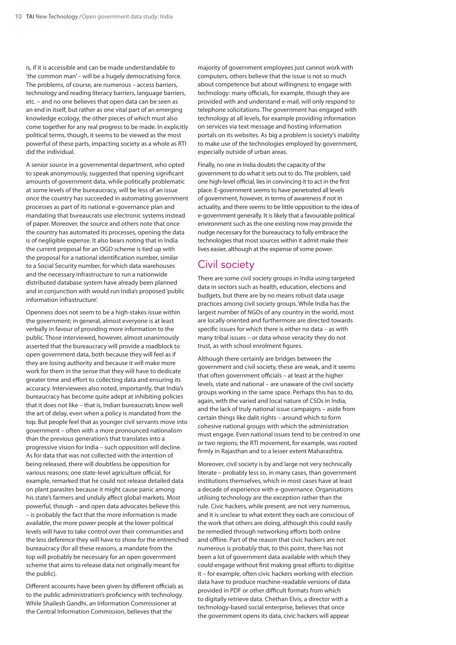<span id="page-9-0"></span>is, if it is accessible and can be made understandable to 'the common man' – will be a hugely democratising force. The problems, of course, are numerous – access barriers, technology and reading literacy barriers, language barriers, etc. – and no one believes that open data can be seen as an end in itself, but rather as one vital part of an emerging knowledge ecology, the other pieces of which must also come together for any real progress to be made. In explicitly political terms, though, it seems to be viewed as the most powerful of these parts, impacting society as a whole as RTI did the individual.

A senior source in a governmental department, who opted to speak anonymously, suggested that opening significant amounts of government data, while politically problematic at some levels of the bureaucracy, will be less of an issue once the country has succeeded in automating government processes as part of its national e-governance plan and mandating that bureaucrats use electronic systems instead of paper. Moreover, the source and others note that once the country has automated its processes, opening the data is of negligible expense. It also bears noting that in India the current proposal for an OGD scheme is tied up with the proposal for a national identification number, similar to a Social Security number, for which data warehouses and the necessary infrastructure to run a nationwide distributed database system have already been planned and in conjunction with would run India's proposed 'public information infrastructure'.

Openness does not seem to be a high-stakes issue within the government; in general, almost everyone is at least verbally in favour of providing more information to the public. Those interviewed, however, almost unanimously asserted that the bureaucracy will provide a roadblock to open government data, both because they will feel as if they are losing authority and because it will make more work for them in the sense that they will have to dedicate greater time and effort to collecting data and ensuring its accuracy. Interviewees also noted, importantly, that India's bureaucracy has become quite adept at inhibiting policies that it does not like – that is, Indian bureaucrats know well the art of delay, even when a policy is mandated from the top. But people feel that as younger civil servants move into government – often with a more pronounced nationalism than the previous generation's that translates into a progressive vision for India – such opposition will decline. As for data that was not collected with the intention of being released, there will doubtless be opposition for various reasons; one state-level agriculture official, for example, remarked that he could not release detailed data on plant parasites because it might cause panic among his state's farmers and unduly affect global markets. Most powerful, though – and open data advocates believe this – is probably the fact that the more information is made available, the more power people at the lower political levels will have to take control over their communities and the less deference they will have to show for the entrenched bureaucracy (for all these reasons, a mandate from the top will probably be necessary for an open government scheme that aims to release data not originally meant for the public).

Different accounts have been given by different officials as to the public administration's proficiency with technology. While Shailesh Gandhi, an Information Commissioner at the Central Information Commission, believes that the

majority of government employees just cannot work with computers, others believe that the issue is not so much about competence but about willingness to engage with technology: many officials, for example, though they are provided with and understand e-mail, will only respond to telephone solicitations. The government has engaged with technology at all levels, for example providing information on services via text message and hosting information portals on its websites. As big a problem is society's inability to make use of the technologies employed by government, especially outside of urban areas.

Finally, no one in India doubts the capacity of the government to do what it sets out to do. The problem, said one high-level official, lies in convincing it to act in the first place. E-government seems to have penetrated all levels of government, however, in terms of awareness if not in actuality, and there seems to be little opposition to the idea of e-government generally. It is likely that a favourable political environment such as the one existing now may provide the nudge necessary for the bureaucracy to fully embrace the technologies that most sources within it admit make their lives easier, although at the expense of some power.

# Civil society

There are some civil society groups in India using targeted data in sectors such as health, education, elections and budgets, but there are by no means robust data usage practices among civil society groups. While India has the largest number of NGOs of any country in the world, most are locally oriented and furthermore are directed towards specific issues for which there is either no data – as with many tribal issues – or data whose veracity they do not trust, as with school enrolment figures.

Although there certainly are bridges between the government and civil society, these are weak, and it seems that often government officials – at least at the higher levels, state and national – are unaware of the civil society groups working in the same space. Perhaps this has to do, again, with the varied and local nature of CSOs in India, and the lack of truly national issue campaigns – aside from certain things like dalit rights – around which to form cohesive national groups with which the administration must engage. Even national issues tend to be centred in one or two regions; the RTI movement, for example, was rooted firmly in Rajasthan and to a lesser extent Maharashtra.

Moreover, civil society is by and large not very technically literate – probably less so, in many cases, than government institutions themselves, which in most cases have at least a decade of experience with e-governance. Organisations utilising technology are the exception rather than the rule. Civic hackers, while present, are not very numerous, and it is unclear to what extent they each are conscious of the work that others are doing, although this could easily be remedied through networking efforts both online and offline. Part of the reason that civic hackers are not numerous is probably that, to this point, there has not been a lot of government data available with which they could engage without first making great efforts to digitise it – for example, often civic hackers working with election data have to produce machine-readable versions of data provided in PDF or other difficult formats from which to digitally retrieve data. Chethan Elvis, a director with a technology-based social enterprise, believes that once the government opens its data, civic hackers will appear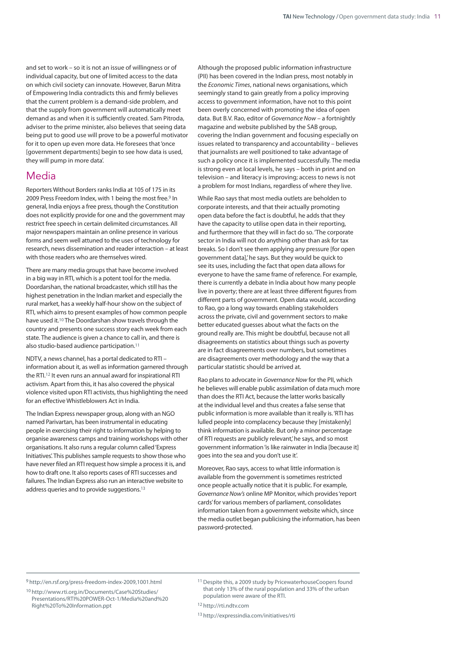<span id="page-10-0"></span>and set to work – so it is not an issue of willingness or of individual capacity, but one of limited access to the data on which civil society can innovate. However, Barun Mitra of Empowering India contradicts this and firmly believes that the current problem is a demand-side problem, and that the supply from government will automatically meet demand as and when it is sufficiently created. Sam Pitroda, adviser to the prime minister, also believes that seeing data being put to good use will prove to be a powerful motivator for it to open up even more data. He foresees that 'once [government departments] begin to see how data is used, they will pump in more data'.

# Media

Reporters Without Borders ranks India at 105 of 175 in its 2009 Press Freedom Index, with 1 being the most free.<sup>9</sup> In general, India enjoys a free press, though the Constitution does not explicitly provide for one and the government may restrict free speech in certain delimited circumstances. All major newspapers maintain an online presence in various forms and seem well attuned to the uses of technology for research, news dissemination and reader interaction – at least with those readers who are themselves wired.

There are many media groups that have become involved in a big way in RTI, which is a potent tool for the media. Doordarshan, the national broadcaster, which still has the highest penetration in the Indian market and especially the rural market, has a weekly half-hour show on the subject of RTI, which aims to present examples of how common people have used it.10 The Doordarshan show travels through the country and presents one success story each week from each state. The audience is given a chance to call in, and there is also studio-based audience participation.11

NDTV, a news channel, has a portal dedicated to RTI – information about it, as well as information garnered through the RTI.12 It even runs an annual award for inspirational RTI activism. Apart from this, it has also covered the physical violence visited upon RTI activists, thus highlighting the need for an effective Whistleblowers Act in India.

The Indian Express newspaper group, along with an NGO named Parivartan, has been instrumental in educating people in exercising their right to information by helping to organise awareness camps and training workshops with other organisations. It also runs a regular column called 'Express Initiatives'. This publishes sample requests to show those who have never filed an RTI request how simple a process it is, and how to draft one. It also reports cases of RTI successes and failures. The Indian Express also run an interactive website to address queries and to provide suggestions.13

Although the proposed public information infrastructure (PII) has been covered in the Indian press, most notably in the *Economic Times*, national news organisations, which seemingly stand to gain greatly from a policy improving access to government information, have not to this point been overly concerned with promoting the idea of open data. But B.V. Rao, editor of *Governance Now* – a fortnightly magazine and website published by the SAB group, covering the Indian government and focusing especially on issues related to transparency and accountability – believes that journalists are well positioned to take advantage of such a policy once it is implemented successfully. The media is strong even at local levels, he says – both in print and on television – and literacy is improving; access to news is not a problem for most Indians, regardless of where they live.

While Rao says that most media outlets are beholden to corporate interests, and that their actually promoting open data before the fact is doubtful, he adds that they have the capacity to utilise open data in their reporting, and furthermore that they will in fact do so. 'The corporate sector in India will not do anything other than ask for tax breaks. So I don't see them applying any pressure [for open government data],' he says. But they would be quick to see its uses, including the fact that open data allows for everyone to have the same frame of reference. For example, there is currently a debate in India about how many people live in poverty; there are at least three different figures from different parts of government. Open data would, according to Rao, go a long way towards enabling stakeholders across the private, civil and government sectors to make better educated guesses about what the facts on the ground really are. This might be doubtful, because not all disagreements on statistics about things such as poverty are in fact disagreements over numbers, but sometimes are disagreements over methodology and the way that a particular statistic should be arrived at.

Rao plans to advocate in *Governance Now* for the PII, which he believes will enable public assimilation of data much more than does the RTI Act, because the latter works basically at the individual level and thus creates a false sense that public information is more available than it really is. 'RTI has lulled people into complacency because they [mistakenly] think information is available. But only a minor percentage of RTI requests are publicly relevant,' he says, and so most government information 'is like rainwater in India [because it] goes into the sea and you don't use it'.

Moreover, Rao says, access to what little information is available from the government is sometimes restricted once people actually notice that it is public. For example, *Governance Now's* online MP Monitor, which provides 'report cards' for various members of parliament, consolidates information taken from a government website which, since the media outlet began publicising the information, has been password-protected.

9 [http://en.rsf.org/press-freedom-index-2009,1001.html](http://)

- 10 [http://www.rti.org.in/Documents/Case%20Studies/](http://) [Presentations/RTI%20POWER-Oct-1/Media%20and%20](http://) [Right%20To%20Information.ppt](http://)
- 11 Despite this, a 2009 study by PricewaterhouseCoopers found that only 13% of the rural population and 33% of the urban population were aware of the RTI.
- 1[2 http://rti.ndtv.com](http://)
- 1[3 http://expressindia.com/initiatives/rti](http://)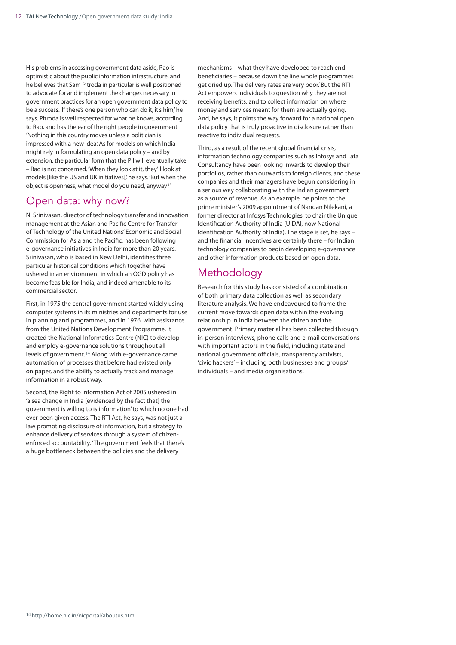<span id="page-11-0"></span>His problems in accessing government data aside, Rao is optimistic about the public information infrastructure, and he believes that Sam Pitroda in particular is well positioned to advocate for and implement the changes necessary in government practices for an open government data policy to be a success. 'If there's one person who can do it, it's him,' he says. Pitroda is well respected for what he knows, according to Rao, and has the ear of the right people in government. 'Nothing in this country moves unless a politician is impressed with a new idea.' As for models on which India might rely in formulating an open data policy – and by extension, the particular form that the PII will eventually take – Rao is not concerned. 'When they look at it, they'll look at models [like the US and UK initiatives],' he says. 'But when the object is openness, what model do you need, anyway?'

# Open data: why now?

N. Srinivasan, director of technology transfer and innovation management at the Asian and Pacific Centre for Transfer of Technology of the United Nations' Economic and Social Commission for Asia and the Pacific, has been following e-governance initiatives in India for more than 20 years. Srinivasan, who is based in New Delhi, identifies three particular historical conditions which together have ushered in an environment in which an OGD policy has become feasible for India, and indeed amenable to its commercial sector.

First, in 1975 the central government started widely using computer systems in its ministries and departments for use in planning and programmes, and in 1976, with assistance from the United Nations Development Programme, it created the National Informatics Centre (NIC) to develop and employ e-governance solutions throughout all levels of government.14 Along with e-governance came automation of processes that before had existed only on paper, and the ability to actually track and manage information in a robust way.

Second, the Right to Information Act of 2005 ushered in 'a sea change in India [evidenced by the fact that] the government is willing to is information' to which no one had ever been given access. The RTI Act, he says, was not just a law promoting disclosure of information, but a strategy to enhance delivery of services through a system of citizenenforced accountability. 'The government feels that there's a huge bottleneck between the policies and the delivery

mechanisms – what they have developed to reach end beneficiaries – because down the line whole programmes get dried up. The delivery rates are very poor.' But the RTI Act empowers individuals to question why they are not receiving benefits, and to collect information on where money and services meant for them are actually going. And, he says, it points the way forward for a national open data policy that is truly proactive in disclosure rather than reactive to individual requests.

Third, as a result of the recent global financial crisis, information technology companies such as Infosys and Tata Consultancy have been looking inwards to develop their portfolios, rather than outwards to foreign clients, and these companies and their managers have begun considering in a serious way collaborating with the Indian government as a source of revenue. As an example, he points to the prime minister's 2009 appointment of Nandan Nilekani, a former director at Infosys Technologies, to chair the Unique Identification Authority of India (UIDAI, now National Identification Authority of India). The stage is set, he says – and the financial incentives are certainly there – for Indian technology companies to begin developing e-governance and other information products based on open data.

# **Methodology**

Research for this study has consisted of a combination of both primary data collection as well as secondary literature analysis. We have endeavoured to frame the current move towards open data within the evolving relationship in India between the citizen and the government. Primary material has been collected through in-person interviews, phone calls and e-mail conversations with important actors in the field, including state and national government officials, transparency activists, 'civic hackers' – including both businesses and groups/ individuals – and media organisations.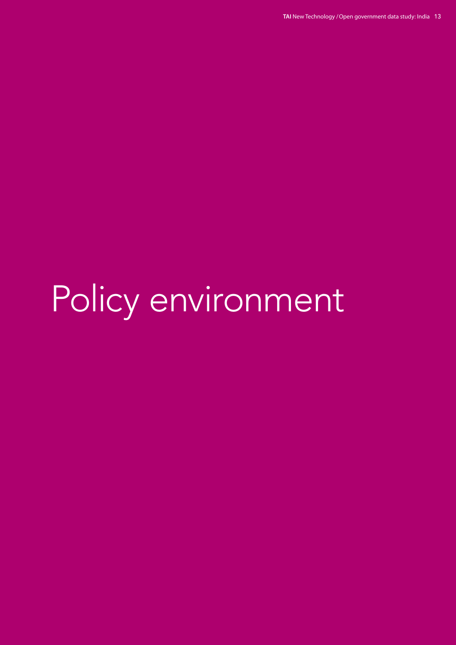# <span id="page-12-0"></span>Policy environment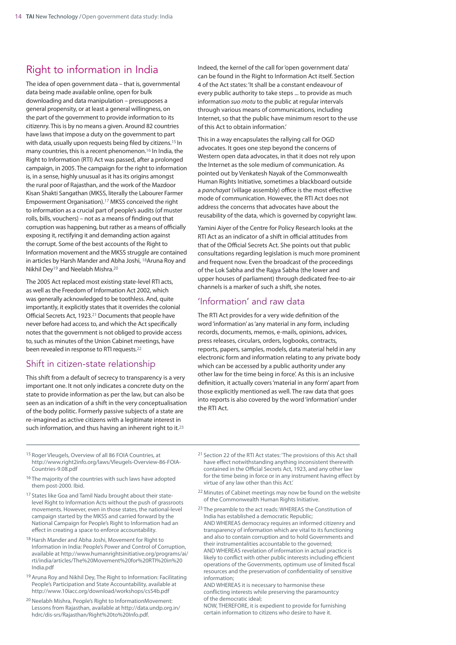# <span id="page-13-0"></span>Right to information in India

The idea of open government data – that is, governmental data being made available online, open for bulk downloading and data manipulation – presupposes a general propensity, or at least a general willingness, on the part of the government to provide information to its citizenry. This is by no means a given. Around 82 countries have laws that impose a duty on the government to part with data, usually upon requests being filed by citizens.<sup>15</sup> In many countries, this is a recent phenomenon.16 In India, the Right to Information (RTI) Act was passed, after a prolonged campaign, in 2005. The campaign for the right to information is, in a sense, highly unusual as it has its origins amongst the rural poor of Rajasthan, and the work of the Mazdoor Kisan Shakti Sangathan (MKSS, literally the Labourer Farmer Empowerment Organisation).17 MKSS conceived the right to information as a crucial part of people's audits (of muster rolls, bills, vouchers) – not as a means of finding out that corruption was happening, but rather as a means of officially exposing it, rectifying it and demanding action against the corrupt. Some of the best accounts of the Right to Information movement and the MKSS struggle are contained in articles by Harsh Mander and Abha Joshi, 18Aruna Roy and Nikhil Dey19 and Neelabh Mishra.20

The 2005 Act replaced most existing state-level RTI acts, as well as the Freedom of Information Act 2002, which was generally acknowledged to be toothless. And, quite importantly, it explicitly states that it overrides the colonial Official Secrets Act, 1923.21 Documents that people have never before had access to, and which the Act specifically notes that the government is not obliged to provide access to, such as minutes of the Union Cabinet meetings, have been revealed in response to RTI requests.22

#### Shift in citizen-state relationship

This shift from a default of secrecy to transparency is a very important one. It not only indicates a concrete duty on the state to provide information as per the law, but can also be seen as an indication of a shift in the very conceptualisation of the body politic. Formerly passive subjects of a state are re-imagined as active citizens with a legitimate interest in such information, and thus having an inherent right to it. $23$ 

Indeed, the kernel of the call for 'open government data' can be found in the Right to Information Act itself. Section 4 of the Act states: 'It shall be a constant endeavour of every public authority to take steps ... to provide as much information *suo motu* to the public at regular intervals through various means of communications, including Internet, so that the public have minimum resort to the use of this Act to obtain information.'

This in a way encapsulates the rallying call for OGD advocates. It goes one step beyond the concerns of Western open data advocates, in that it does not rely upon the Internet as the sole medium of communication. As pointed out by Venkatesh Nayak of the Commonwealth Human Rights Initiative, sometimes a blackboard outside a *panchayat* (village assembly) office is the most effective mode of communication. However, the RTI Act does not address the concerns that advocates have about the reusability of the data, which is governed by copyright law.

Yamini Aiyer of the Centre for Policy Research looks at the RTI Act as an indicator of a shift in official attitudes from that of the Official Secrets Act. She points out that public consultations regarding legislation is much more prominent and frequent now. Even the broadcast of the proceedings of the Lok Sabha and the Rajya Sabha (the lower and upper houses of parliament) through dedicated free-to-air channels is a marker of such a shift, she notes.

#### 'Information' and raw data

The RTI Act provides for a very wide definition of the word 'information' as 'any material in any form, including records, documents, memos, e-mails, opinions, advices, press releases, circulars, orders, logbooks, contracts, reports, papers, samples, models, data material held in any electronic form and information relating to any private body which can be accessed by a public authority under any other law for the time being in force'. As this is an inclusive definition, it actually covers 'material in any form' apart from those explicitly mentioned as well. The raw data that goes into reports is also covered by the word 'information' under the RTI Act.

- 15 Roger Vleugels, Overview of all 86 FOIA Countries, at [http://www.right2info.org/laws/Vleugels-Overview-86-FOIA-](http://)[Countries-9.08.pdf](http://)
- <sup>16</sup> The majority of the countries with such laws have adopted them post-2000. Ibid.
- 17 States like Goa and Tamil Nadu brought about their statelevel Right to Information Acts without the push of grassroots movements. However, even in those states, the national-level campaign started by the MKSS and carried forward by the National Campaign for People's Right to Information had an effect in creating a space to enforce accountability.
- 18 Harsh Mander and Abha Joshi, Movement for Right to Information in India: People's Power and Control of Corruption, available at [http://www.humanrightsinitiative.org/programs/ai/](http://) [rti/india/articles/The%20Movement%20for%20RTI%20in%20](http://) [India.pdf](http://)
- 19 Aruna Roy and Nikhil Dey, The Right to Information: Facilitating People's Participation and State Accountability, available at [http://www.10iacc.org/download/workshops/cs54b.pdf](http://)
- 20 Neelabh Mishra, People's Right to InformationMovement: Lessons from Rajasthan, available at [http://data.undp.org.in/](http://) [hdrc/dis-srs/Rajasthan/Right%20to%20Info.pdf.](http://)
- 21 Section 22 of the RTI Act states: 'The provisions of this Act shall have effect notwithstanding anything inconsistent therewith contained in the Official Secrets Act, 1923, and any other law for the time being in force or in any instrument having effect by virtue of any law other than this Act.'
- <sup>22</sup> Minutes of Cabinet meetings may now be found on the website of the Commonwealth Human Rights Initiative.
- <sup>23</sup> The preamble to the act reads: WHEREAS the Constitution of India has established a democratic Republic; AND WHEREAS democracy requires an informed citizenry and transparency of information which are vital to its functioning
	- and also to contain corruption and to hold Governments and their instrumentalities accountable to the governed; AND WHEREAS revelation of information in actual practice is
	- likely to conflict with other public interests including efficient operations of the Governments, optimum use of limited fiscal resources and the preservation of confidentiality of sensitive information;
- AND WHEREAS it is necessary to harmonise these conflicting interests while preserving the paramountcy of the democratic ideal;

NOW, THEREFORE, it is expedient to provide for furnishing certain information to citizens who desire to have it.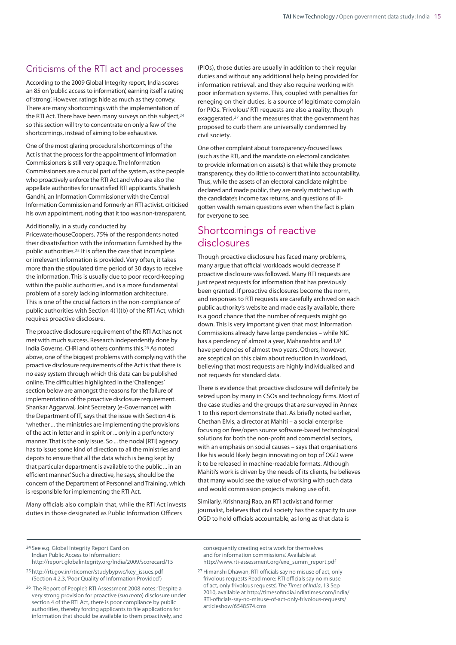#### <span id="page-14-0"></span>Criticisms of the RTI act and processes

According to the 2009 Global Integrity report, India scores an 85 on 'public access to information', earning itself a rating of 'strong'. However, ratings hide as much as they convey. There are many shortcomings with the implementation of the RTI Act. There have been many surveys on this subject.<sup>24</sup> so this section will try to concentrate on only a few of the shortcomings, instead of aiming to be exhaustive.

One of the most glaring procedural shortcomings of the Act is that the process for the appointment of Information Commissioners is still very opaque. The Information Commissioners are a crucial part of the system, as the people who proactively enforce the RTI Act and who are also the appellate authorities for unsatisfied RTI applicants. Shailesh Gandhi, an Information Commissioner with the Central Information Commission and formerly an RTI activist, criticised his own appointment, noting that it too was non-transparent.

#### Additionally, in a study conducted by

PricewaterhouseCoopers, 75% of the respondents noted their dissatisfaction with the information furnished by the public authorities.25 It is often the case that incomplete or irrelevant information is provided. Very often, it takes more than the stipulated time period of 30 days to receive the information. This is usually due to poor record-keeping within the public authorities, and is a more fundamental problem of a sorely lacking information architecture. This is one of the crucial factors in the non-compliance of public authorities with Section 4(1)(b) of the RTI Act, which requires proactive disclosure.

The proactive disclosure requirement of the RTI Act has not met with much success. Research independently done by India Governs, CHRI and others confirms this.26 As noted above, one of the biggest problems with complying with the proactive disclosure requirements of the Act is that there is no easy system through which this data can be published online. The difficulties highlighted in the 'Challenges' section below are amongst the reasons for the failure of implementation of the proactive disclosure requirement. Shankar Aggarwal, Joint Secretary (e-Governance) with the Department of IT, says that the issue with Section 4 is 'whether ... the ministries are implementing the provisions of the act in letter and in spirit or ... only in a perfunctory manner. That is the only issue. So ... the nodal [RTI] agency has to issue some kind of direction to all the ministries and depots to ensure that all the data which is being kept by that particular department is available to the public ... in an efficient manner.' Such a directive, he says, should be the concern of the Department of Personnel and Training, which is responsible for implementing the RTI Act.

Many officials also complain that, while the RTI Act invests duties in those designated as Public Information Officers

(PIOs), those duties are usually in addition to their regular duties and without any additional help being provided for information retrieval, and they also require working with poor information systems. This, coupled with penalties for reneging on their duties, is a source of legitimate complain for PIOs. 'Frivolous' RTI requests are also a reality, though exaggerated,27 and the measures that the government has proposed to curb them are universally condemned by civil society.

One other complaint about transparency-focused laws (such as the RTI, and the mandate on electoral candidates to provide information on assets) is that while they promote transparency, they do little to convert that into accountability. Thus, while the assets of an electoral candidate might be declared and made public, they are rarely matched up with the candidate's income tax returns, and questions of illgotten wealth remain questions even when the fact is plain for everyone to see.

# Shortcomings of reactive disclosures

Though proactive disclosure has faced many problems, many argue that official workloads would decrease if proactive disclosure was followed. Many RTI requests are just repeat requests for information that has previously been granted. If proactive disclosures become the norm, and responses to RTI requests are carefully archived on each public authority's website and made easily available, there is a good chance that the number of requests might go down. This is very important given that most Information Commissions already have large pendencies – while NIC has a pendency of almost a year, Maharashtra and UP have pendencies of almost two years. Others, however, are sceptical on this claim about reduction in workload, believing that most requests are highly individualised and not requests for standard data.

There is evidence that proactive disclosure will definitely be seized upon by many in CSOs and technology firms. Most of the case studies and the groups that are surveyed in Annex 1 to this report demonstrate that. As briefly noted earlier, Chethan Elvis, a director at Mahiti – a social enterprise focusing on free/open source software-based technological solutions for both the non-profit and commercial sectors, with an emphasis on social causes – says that organisations like his would likely begin innovating on top of OGD were it to be released in machine-readable formats. Although Mahiti's work is driven by the needs of its clients, he believes that many would see the value of working with such data and would commission projects making use of it.

Similarly, Krishnaraj Rao, an RTI activist and former journalist, believes that civil society has the capacity to use OGD to hold officials accountable, as long as that data is

24 See e.g. Global Integrity Report Card on Indian Public Access to Information: [http://report.globalintegrity.org/India/2009/scorecard/15](http://)

- 25 [http://rti.gov.in/rticorner/studybypwc/key\\_issues.pdf](http://)  (Section 4.2.3, 'Poor Quality of Information Provided')
- 26 The Report of People's RTI Assessment 2008 notes: 'Despite a very strong provision for proactive (*suo moto*) disclosure under section 4 of the RTI Act, there is poor compliance by public authorities, thereby forcing applicants to file applications for information that should be available to them proactively, and

consequently creating extra work for themselves and for information commissions.' Available at [http://www.rti-assessment.org/exe\\_summ\\_report.pdf](http://)

27 Himanshi Dhawan, RTI officials say no misuse of act, only frivolous requests Read more: RTI officials say no misuse of act, only frivolous requests', *The Times of India*, 13 Sep 2010, available at [http://timesofindia.indiatimes.com/india/](http://) [RTI-officials-say-no-misuse-of-act-only-frivolous-requests/](http://) [articleshow/6548574.cms](http://)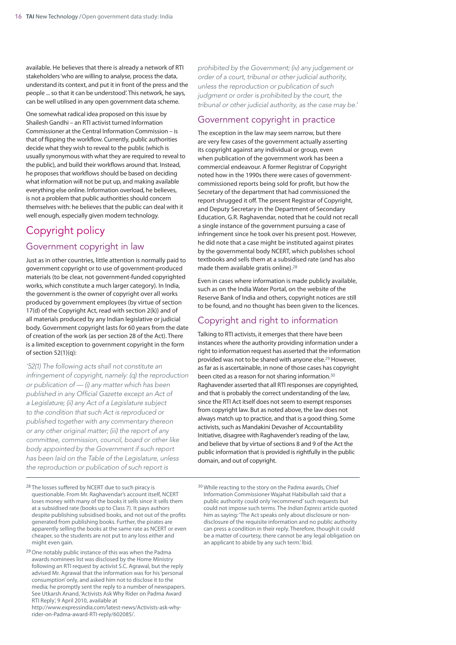<span id="page-15-0"></span>available. He believes that there is already a network of RTI stakeholders 'who are willing to analyse, process the data, understand its context, and put it in front of the press and the people ... so that it can be understood'. This network, he says, can be well utilised in any open government data scheme.

One somewhat radical idea proposed on this issue by Shailesh Gandhi – an RTI activist turned Information Commissioner at the Central Information Commission – is that of flipping the workflow. Currently, public authorities decide what they wish to reveal to the public (which is usually synonymous with what they are required to reveal to the public), and build their workflows around that. Instead, he proposes that workflows should be based on deciding what information will not be put up, and making available everything else online. Information overload, he believes, is not a problem that public authorities should concern themselves with: he believes that the public can deal with it well enough, especially given modern technology.

# Copyright policy

#### Government copyright in law

Just as in other countries, little attention is normally paid to government copyright or to use of government-produced materials (to be clear, not government-funded copyrighted works, which constitute a much larger category). In India, the government is the owner of copyright over all works produced by government employees (by virtue of section 17(d) of the Copyright Act, read with section 2(k)) and of all materials produced by any Indian legislative or judicial body. Government copyright lasts for 60 years from the date of creation of the work (as per section 28 of the Act). There is a limited exception to government copyright in the form of section 52(1)(q):

*'52(1) The following acts shall not constitute an infringement of copyright, namely: (q) the reproduction or publication of — (i) any matter which has been published in any Official Gazette except an Act of a Legislature; (ii) any Act of a Legislature subject to the condition that such Act is reproduced or published together with any commentary thereon or any other original matter; (iii) the report of any committee, commission, council, board or other like body appointed by the Government if such report has been laid on the Table of the Legislature, unless the reproduction or publication of such report is* 

28 The losses suffered by NCERT due to such piracy is questionable. From Mr. Raghavendar's account itself, NCERT loses money with many of the books it sells since it sells them at a subsidised rate (books up to Class 7). It pays authors despite publishing subsidised books, and not out of the profits generated from publishing books. Further, the pirates are apparently selling the books at the same rate as NCERT or even cheaper, so the students are not put to any loss either and might even gain.

29 One notably public instance of this was when the Padma awards nominees list was disclosed by the Home Ministry following an RTI request by activist S.C. Agrawal, but the reply advised Mr. Agrawal that the information was for his 'personal consumption' only, and asked him not to disclose it to the media; he promptly sent the reply to a number of newspapers. See Utkarsh Anand, 'Activists Ask Why Rider on Padma Award RTI Reply', 9 April 2010, available at [http://www.expressindia.com/latest-news/Activists-ask-why](http://)[rider-on-Padma-award-RTI-reply/602085/.](http://)

*prohibited by the Government; (iv) any judgement or order of a court, tribunal or other judicial authority, unless the reproduction or publication of such judgment or order is prohibited by the court, the tribunal or other judicial authority, as the case may be.'*

#### Government copyright in practice

The exception in the law may seem narrow, but there are very few cases of the government actually asserting its copyright against any individual or group, even when publication of the government work has been a commercial endeavour. A former Registrar of Copyright noted how in the 1990s there were cases of governmentcommissioned reports being sold for profit, but how the Secretary of the department that had commissioned the report shrugged it off. The present Registrar of Copyright, and Deputy Secretary in the Department of Secondary Education, G.R. Raghavendar, noted that he could not recall a single instance of the government pursuing a case of infringement since he took over his present post. However, he did note that a case might be instituted against pirates by the governmental body NCERT, which publishes school textbooks and sells them at a subsidised rate (and has also made them available gratis online).<sup>28</sup>

Even in cases where information is made publicly available, such as on the India Water Portal, on the website of the Reserve Bank of India and others, copyright notices are still to be found, and no thought has been given to the licences.

## Copyright and right to information

Talking to RTI activists, it emerges that there have been instances where the authority providing information under a right to information request has asserted that the information provided was not to be shared with anyone else.29 However, as far as is ascertainable, in none of those cases has copyright been cited as a reason for not sharing information.30 Raghavender asserted that all RTI responses are copyrighted, and that is probably the correct understanding of the law, since the RTI Act itself does not seem to exempt responses from copyright law. But as noted above, the law does not always match up to practice, and that is a good thing. Some activists, such as Mandakini Devasher of Accountability Initiative, disagree with Raghavender's reading of the law, and believe that by virtue of sections 8 and 9 of the Act the public information that is provided is rightfully in the public domain, and out of copyright.

30 While reacting to the story on the Padma awards, Chief Information Commissioner Wajahat Habibullah said that a public authority could only 'recommend' such requests but could not impose such terms. The *Indian Express* article quoted him as saying: 'The Act speaks only about disclosure or nondisclosure of the requisite information and no public authority can press a condition in their reply. Therefore, though it could be a matter of courtesy, there cannot be any legal obligation on an applicant to abide by any such term.' Ibid.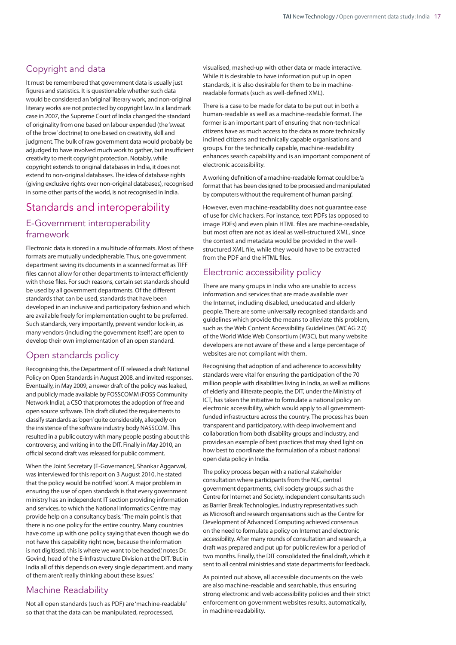# <span id="page-16-0"></span>Copyright and data

It must be remembered that government data is usually just figures and statistics. It is questionable whether such data would be considered an 'original' literary work, and non-original literary works are not protected by copyright law. In a landmark case in 2007, the Supreme Court of India changed the standard of originality from one based on labour expended (the 'sweat of the brow' doctrine) to one based on creativity, skill and judgment. The bulk of raw government data would probably be adjudged to have involved much work to gather, but insufficient creativity to merit copyright protection. Notably, while copyright extends to original databases in India, it does not extend to non-original databases. The idea of database rights (giving exclusive rights over non-original databases), recognised in some other parts of the world, is not recognised in India.

# Standards and interoperability

# E-Government interoperability framework

Electronic data is stored in a multitude of formats. Most of these formats are mutually undecipherable. Thus, one government department saving its documents in a scanned format as TIFF files cannot allow for other departments to interact efficiently with those files. For such reasons, certain set standards should be used by all government departments. Of the different standards that can be used, standards that have been developed in an inclusive and participatory fashion and which are available freely for implementation ought to be preferred. Such standards, very importantly, prevent vendor lock-in, as many vendors (including the government itself) are open to develop their own implementation of an open standard.

## Open standards policy

Recognising this, the Department of IT released a draft National Policy on Open Standards in August 2008, and invited responses. Eventually, in May 2009, a newer draft of the policy was leaked, and publicly made available by FOSSCOMM (FOSS Community Network India), a CSO that promotes the adoption of free and open source software. This draft diluted the requirements to classify standards as 'open' quite considerably, allegedly on the insistence of the software industry body NASSCOM. This resulted in a public outcry with many people posting about this controversy, and writing in to the DIT. Finally in May 2010, an official second draft was released for public comment.

When the Joint Secretary (E-Governance), Shankar Aggarwal, was interviewed for this report on 3 August 2010, he stated that the policy would be notified 'soon'. A major problem in ensuring the use of open standards is that every government ministry has an independent IT section providing information and services, to which the National Informatics Centre may provide help on a consultancy basis. 'The main point is that there is no one policy for the entire country. Many countries have come up with one policy saying that even though we do not have this capability right now, because the information is not digitised, this is where we want to be headed,' notes Dr. Govind, head of the E-Infrastructure Division at the DIT. 'But in India all of this depends on every single department, and many of them aren't really thinking about these issues.'

## Machine Readability

Not all open standards (such as PDF) are 'machine-readable' so that that the data can be manipulated, reprocessed,

visualised, mashed-up with other data or made interactive. While it is desirable to have information put up in open standards, it is also desirable for them to be in machinereadable formats (such as well-defined XML).

There is a case to be made for data to be put out in both a human-readable as well as a machine-readable format. The former is an important part of ensuring that non-technical citizens have as much access to the data as more technically inclined citizens and technically capable organisations and groups. For the technically capable, machine-readability enhances search capability and is an important component of electronic accessibility.

A working definition of a machine-readable format could be: 'a format that has been designed to be processed and manipulated by computers without the requirement of human parsing'.

However, even machine-readability does not guarantee ease of use for civic hackers. For instance, text PDFs (as opposed to image PDFs) and even plain HTML files are machine-readable, but most often are not as ideal as well-structured XML, since the context and metadata would be provided in the wellstructured XML file, while they would have to be extracted from the PDF and the HTML files.

## Electronic accessibility policy

There are many groups in India who are unable to access information and services that are made available over the Internet, including disabled, uneducated and elderly people. There are some universally recognised standards and guidelines which provide the means to alleviate this problem, such as the Web Content Accessibility Guidelines (WCAG 2.0) of the World Wide Web Consortium (W3C), but many website developers are not aware of these and a large percentage of websites are not compliant with them.

Recognising that adoption of and adherence to accessibility standards were vital for ensuring the participation of the 70 million people with disabilities living in India, as well as millions of elderly and illiterate people, the DIT, under the Ministry of ICT, has taken the initiative to formulate a national policy on electronic accessibility, which would apply to all governmentfunded infrastructure across the country. The process has been transparent and participatory, with deep involvement and collaboration from both disability groups and industry, and provides an example of best practices that may shed light on how best to coordinate the formulation of a robust national open data policy in India.

The policy process began with a national stakeholder consultation where participants from the NIC, central government departments, civil society groups such as the Centre for Internet and Society, independent consultants such as Barrier Break Technologies, industry representatives such as Microsoft and research organisations such as the Centre for Development of Advanced Computing achieved consensus on the need to formulate a policy on Internet and electronic accessibility. After many rounds of consultation and research, a draft was prepared and put up for public review for a period of two months. Finally, the DIT consolidated the final draft, which it sent to all central ministries and state departments for feedback.

As pointed out above, all accessible documents on the web are also machine-readable and searchable, thus ensuring strong electronic and web accessibility policies and their strict enforcement on government websites results, automatically, in machine-readability.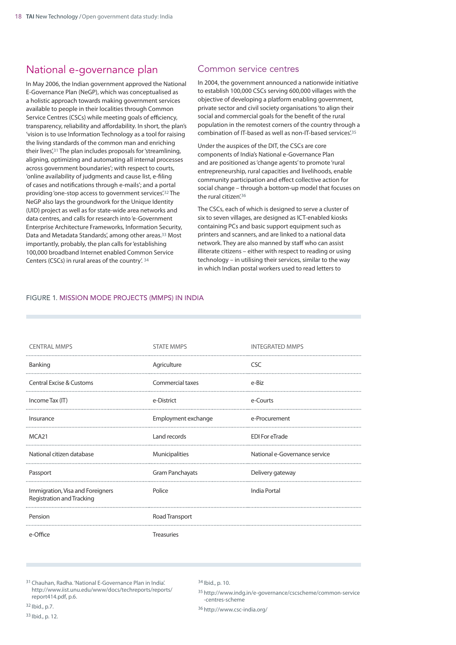# <span id="page-17-0"></span>National e-governance plan

In May 2006, the Indian government approved the National E-Governance Plan (NeGP), which was conceptualised as a holistic approach towards making government services available to people in their localities through Common Service Centres (CSCs) while meeting goals of efficiency, transparency, reliability and affordability. In short, the plan's 'vision is to use Information Technology as a tool for raising the living standards of the common man and enriching their lives',31 The plan includes proposals for 'streamlining, aligning, optimizing and automating all internal processes across government boundaries'; with respect to courts, 'online availability of judgments and cause list, e-filing of cases and notifications through e-mails'; and a portal providing 'one-stop access to government services'.32 The NeGP also lays the groundwork for the Unique Identity (UID) project as well as for state-wide area networks and data centres, and calls for research into 'e-Government Enterprise Architecture Frameworks, Information Security, Data and Metadata Standards', among other areas.<sup>33</sup> Most importantly, probably, the plan calls for 'establishing 100,000 broadband Internet enabled Common Service Centers (CSCs) in rural areas of the country'. 34

#### Common service centres

In 2004, the government announced a nationwide initiative to establish 100,000 CSCs serving 600,000 villages with the objective of developing a platform enabling government, private sector and civil society organisations 'to align their social and commercial goals for the benefit of the rural population in the remotest corners of the country through a combination of IT-based as well as non-IT-based services'.35

Under the auspices of the DIT, the CSCs are core components of India's National e-Governance Plan and are positioned as 'change agents' to promote 'rural entrepreneurship, rural capacities and livelihoods, enable community participation and effect collective action for social change – through a bottom-up model that focuses on the rural citizen'.<sup>36</sup>

The CSCs, each of which is designed to serve a cluster of six to seven villages, are designed as ICT-enabled kiosks containing PCs and basic support equipment such as printers and scanners, and are linked to a national data network. They are also manned by staff who can assist illiterate citizens – either with respect to reading or using technology – in utilising their services, similar to the way in which Indian postal workers used to read letters to

#### Figure 1. Mission Mode Projects (MMPs) in India

| <b>CENTRAL MMPS</b>                                                  | <b>STATE MMPS</b>       | <b>INTEGRATED MMPS</b>        |
|----------------------------------------------------------------------|-------------------------|-------------------------------|
| Banking                                                              | Agriculture             | <b>CSC</b>                    |
| Central Excise & Customs                                             | <b>Commercial taxes</b> | e-Biz                         |
| Income Tax (IT)                                                      | e-District              | e-Courts                      |
| Insurance                                                            | Employment exchange     | e-Procurement                 |
| MCA <sub>21</sub>                                                    | Land records            | <b>EDI For eTrade</b>         |
| National citizen database                                            | Municipalities          | National e-Governance service |
| Passport                                                             | <b>Gram Panchayats</b>  | Delivery gateway              |
| Immigration, Visa and Foreigners<br><b>Registration and Tracking</b> | Police                  | India Portal                  |
| Pension                                                              | Road Transport          |                               |
| e-Office                                                             | <b>Treasuries</b>       |                               |

31 Chauhan, Radha. 'National E-Governance Plan in India'. [http://www.iist.unu.edu/www/docs/techreports/reports/](http://) [report414.pdf](http://), p.6.

34 Ibid., p. 10.

35 [http://www.indg.in/e-governance/cscscheme/common-service](http://) [-centres-scheme](http://)

36 [http://www.csc-india.org/](http://)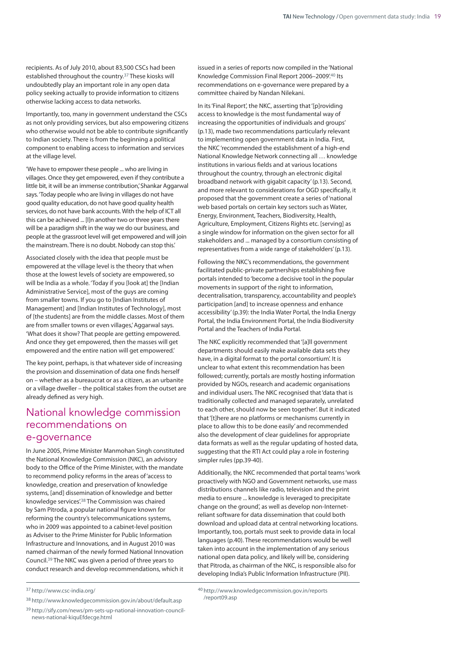<span id="page-18-0"></span>recipients. As of July 2010, about 83,500 CSCs had been established throughout the country.37 These kiosks will undoubtedly play an important role in any open data policy seeking actually to provide information to citizens otherwise lacking access to data networks.

Importantly, too, many in government understand the CSCs as not only providing services, but also empowering citizens who otherwise would not be able to contribute significantly to Indian society. There is from the beginning a political component to enabling access to information and services at the village level.

'We have to empower these people ... who are living in villages. Once they get empowered, even if they contribute a little bit, it will be an immense contribution,' Shankar Aggarwal says. 'Today people who are living in villages do not have good quality education, do not have good quality health services, do not have bank accounts. With the help of ICT all this can be achieved ... [I]n another two or three years there will be a paradigm shift in the way we do our business, and people at the grassroot level will get empowered and will join the mainstream. There is no doubt. Nobody can stop this.'

Associated closely with the idea that people must be empowered at the village level is the theory that when those at the lowest levels of society are empowered, so will be India as a whole. 'Today if you [look at] the [Indian Administrative Service], most of the guys are coming from smaller towns. If you go to [Indian Institutes of Management] and [Indian Institutes of Technology], most of [the students] are from the middle classes. Most of them are from smaller towns or even villages,' Aggarwal says. 'What does it show? That people are getting empowered. And once they get empowered, then the masses will get empowered and the entire nation will get empowered.'

The key point, perhaps, is that whatever side of increasing the provision and dissemination of data one finds herself on – whether as a bureaucrat or as a citizen, as an urbanite or a village dweller – the political stakes from the outset are already defined as very high.

# National knowledge commission recommendations on e-governance

In June 2005, Prime Minister Manmohan Singh constituted the National Knowledge Commission (NKC), an advisory body to the Office of the Prime Minister, with the mandate to recommend policy reforms in the areas of 'access to knowledge, creation and preservation of knowledge systems, [and] dissemination of knowledge and better knowledge services'.38 The Commission was chaired by Sam Pitroda, a popular national figure known for reforming the country's telecommunications systems, who in 2009 was appointed to a cabinet-level position as Adviser to the Prime Minister for Public Information Infrastructure and Innovations, and in August 2010 was named chairman of the newly formed National Innovation Council.39 The NKC was given a period of three years to conduct research and develop recommendations, which it

issued in a series of reports now compiled in the 'National Knowledge Commission Final Report 2006-2009'.40 Its recommendations on e-governance were prepared by a committee chaired by Nandan Nilekani.

In its 'Final Report', the NKC, asserting that '[p]roviding access to knowledge is the most fundamental way of increasing the opportunities of individuals and groups' (p.13), made two recommendations particularly relevant to implementing open government data in India. First, the NKC 'recommended the establishment of a high-end National Knowledge Network connecting all … knowledge institutions in various fields and at various locations throughout the country, through an electronic digital broadband network with gigabit capacity' (p.13). Second, and more relevant to considerations for OGD specifically, it proposed that the government create a series of 'national web based portals on certain key sectors such as Water, Energy, Environment, Teachers, Biodiversity, Health, Agriculture, Employment, Citizens Rights etc. [serving] as a single window for information on the given sector for all stakeholders and ... managed by a consortium consisting of representatives from a wide range of stakeholders' (p.13).

Following the NKC's recommendations, the government facilitated public-private partnerships establishing five portals intended to 'become a decisive tool in the popular movements in support of the right to information, decentralisation, transparency, accountability and people's participation [and] to increase openness and enhance accessibility' (p.39): the India Water Portal, the India Energy Portal, the India Environment Portal, the India Biodiversity Portal and the Teachers of India Portal.

The NKC explicitly recommended that '[a]ll government departments should easily make available data sets they have, in a digital format to the portal consortium'. It is unclear to what extent this recommendation has been followed; currently, portals are mostly hosting information provided by NGOs, research and academic organisations and individual users. The NKC recognised that 'data that is traditionally collected and managed separately, unrelated to each other, should now be seen together'. But it indicated that '[t]here are no platforms or mechanisms currently in place to allow this to be done easily' and recommended also the development of clear guidelines for appropriate data formats as well as the regular updating of hosted data, suggesting that the RTI Act could play a role in fostering simpler rules (pp.39-40).

Additionally, the NKC recommended that portal teams 'work proactively with NGO and Government networks, use mass distributions channels like radio, television and the print media to ensure ... knowledge is leveraged to precipitate change on the ground', as well as develop non-Internetreliant software for data dissemination that could both download and upload data at central networking locations. Importantly, too, portals must seek to provide data in local languages (p.40). These recommendations would be well taken into account in the implementation of any serious national open data policy, and likely will be, considering that Pitroda, as chairman of the NKC, is responsible also for developing India's Public Information Infrastructure (PII).

40 [http://www.knowledgecommission.gov.in/reports](http://)

[/report09.asp](http://)

39 [http://sify.com/news/pm-sets-up-national-innovation-council](http://)[news-national-kiquEfdecge.html](http://)

<sup>37</sup> [http://www.csc-india.org/](http://)

<sup>38</sup> [http://www.knowledgecommission.gov.in/about/default.asp](http://)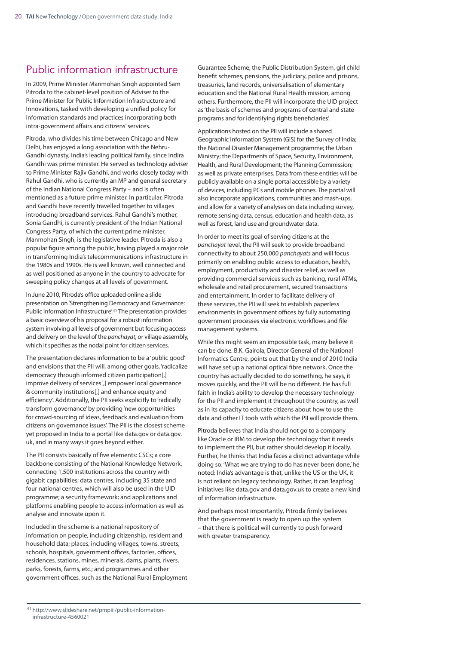# <span id="page-19-0"></span>Public information infrastructure

In 2009, Prime Minister Manmohan Singh appointed Sam Pitroda to the cabinet-level position of Adviser to the Prime Minister for Public Information Infrastructure and Innovations, tasked with developing a unified policy for information standards and practices incorporating both intra-government affairs and citizens' services.

Pitroda, who divides his time between Chicago and New Delhi, has enjoyed a long association with the Nehru-Gandhi dynasty, India's leading political family, since Indira Gandhi was prime minister. He served as technology adviser to Prime Minister Rajiv Gandhi, and works closely today with Rahul Gandhi, who is currently an MP and general secretary of the Indian National Congress Party – and is often mentioned as a future prime minister. In particular, Pitroda and Gandhi have recently travelled together to villages introducing broadband services. Rahul Gandhi's mother, Sonia Gandhi, is currently president of the Indian National Congress Party, of which the current prime minister, Manmohan Singh, is the legislative leader. Pitroda is also a popular figure among the public, having played a major role in transforming India's telecommunications infrastructure in the 1980s and 1990s. He is well known, well connected and as well positioned as anyone in the country to advocate for sweeping policy changes at all levels of government.

In June 2010, Pitroda's office uploaded online a slide presentation on 'Strengthening Democracy and Governance: Public Information Infrastructure.<sup>41</sup> The presentation provides a basic overview of his proposal for a robust information system involving all levels of government but focusing access and delivery on the level of the *panchayat*, or village assembly, which it specifies as the nodal point for citizen services.

The presentation declares information to be a 'public good' and envisions that the PII will, among other goals, 'radicalize democracy through informed citizen participation[,] improve delivery of services[,] empower local governance & community institutions[,] and enhance equity and efficiency'. Additionally, the PII seeks explicitly to 'radically transform governance' by providing 'new opportunities for crowd-sourcing of ideas, feedback and evaluation from citizens on governance issues'. The PII is the closest scheme yet proposed in India to a portal like data.gov or data.gov. uk, and in many ways it goes beyond either.

The PII consists basically of five elements: CSCs; a core backbone consisting of the National Knowledge Network, connecting 1,500 institutions across the country with gigabit capabilities; data centres, including 35 state and four national centres, which will also be used in the UID programme; a security framework; and applications and platforms enabling people to access information as well as analyse and innovate upon it.

Included in the scheme is a national repository of information on people, including citizenship, resident and household data; places, including villages, towns, streets, schools, hospitals, government offices, factories, offices, residences, stations, mines, minerals, dams, plants, rivers, parks, forests, farms, etc.; and programmes and other government offices, such as the National Rural Employment Guarantee Scheme, the Public Distribution System, girl child benefit schemes, pensions, the judiciary, police and prisons, treasuries, land records, universalisation of elementary education and the National Rural Health mission, among others. Furthermore, the PII will incorporate the UID project as 'the basis of schemes and programs of central and state programs and for identifying rights beneficiaries'.

Applications hosted on the PII will include a shared Geographic Information System (GIS) for the Survey of India; the National Disaster Management programme; the Urban Ministry; the Departments of Space, Security, Environment, Health, and Rural Development; the Planning Commission; as well as private enterprises. Data from these entities will be publicly available on a single portal accessible by a variety of devices, including PCs and mobile phones. The portal will also incorporate applications, communities and mash-ups, and allow for a variety of analyses on data including survey, remote sensing data, census, education and health data, as well as forest, land use and groundwater data.

In order to meet its goal of serving citizens at the *panchayat* level, the PII will seek to provide broadband connectivity to about 250,000 *panchayats* and will focus primarily on enabling public access to education, health, employment, productivity and disaster relief, as well as providing commercial services such as banking, rural ATMs, wholesale and retail procurement, secured transactions and entertainment. In order to facilitate delivery of these services, the PII will seek to establish paperless environments in government offices by fully automating government processes via electronic workflows and file management systems.

While this might seem an impossible task, many believe it can be done. B.K. Gairola, Director General of the National Informatics Centre, points out that by the end of 2010 India will have set up a national optical fibre network. Once the country has actually decided to do something, he says, it moves quickly, and the PII will be no different. He has full faith in India's ability to develop the necessary technology for the PII and implement it throughout the country, as well as in its capacity to educate citizens about how to use the data and other IT tools with which the PII will provide them.

Pitroda believes that India should not go to a company like Oracle or IBM to develop the technology that it needs to implement the PII, but rather should develop it locally. Further, he thinks that India faces a distinct advantage while doing so. 'What we are trying to do has never been done,' he noted: India's advantage is that, unlike the US or the UK, it is not reliant on legacy technology. Rather, it can 'leapfrog' initiatives like data.gov and data.gov.uk to create a new kind of information infrastructure.

And perhaps most importantly, Pitroda firmly believes that the government is ready to open up the system – that there is political will currently to push forward with greater transparency.

<sup>41</sup> [http://www.slideshare.net/pmpiii/public-information](http://)[infrastructure-4560021](http://)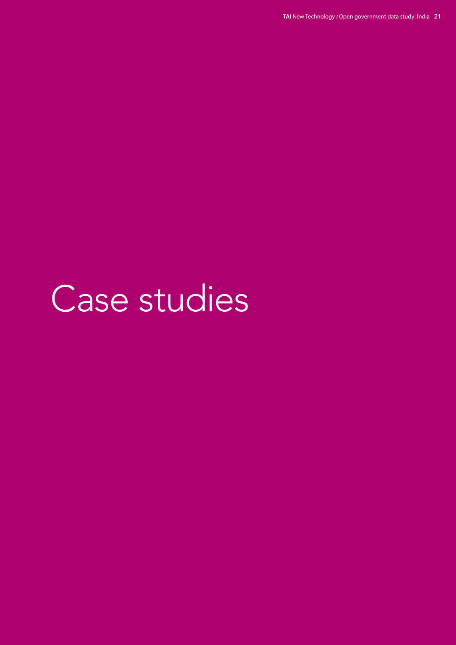<span id="page-20-0"></span>**TAI** New Technology /Open government data study: India 21

# Case studies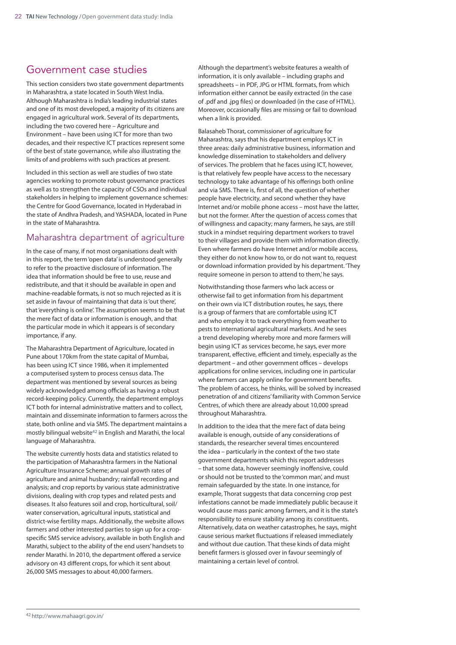# <span id="page-21-0"></span>Government case studies

This section considers two state government departments in Maharashtra, a state located in South West India. Although Maharashtra is India's leading industrial states and one of its most developed, a majority of its citizens are engaged in agricultural work. Several of its departments, including the two covered here – Agriculture and Environment – have been using ICT for more than two decades, and their respective ICT practices represent some of the best of state governance, while also illustrating the limits of and problems with such practices at present.

Included in this section as well are studies of two state agencies working to promote robust governance practices as well as to strengthen the capacity of CSOs and individual stakeholders in helping to implement governance schemes: the Centre for Good Governance, located in Hyderabad in the state of Andhra Pradesh, and YASHADA, located in Pune in the state of Maharashtra.

# Maharashtra department of agriculture

In the case of many, if not most organisations dealt with in this report, the term 'open data' is understood generally to refer to the proactive disclosure of information. The idea that information should be free to use, reuse and redistribute, and that it should be available in open and machine-readable formats, is not so much rejected as it is set aside in favour of maintaining that data is 'out there', that 'everything is online'. The assumption seems to be that the mere fact of data or information is enough, and that the particular mode in which it appears is of secondary importance, if any.

The Maharashtra Department of Agriculture, located in Pune about 170km from the state capital of Mumbai, has been using ICT since 1986, when it implemented a computerised system to process census data. The department was mentioned by several sources as being widely acknowledged among officials as having a robust record-keeping policy. Currently, the department employs ICT both for internal administrative matters and to collect, maintain and disseminate information to farmers across the state, both online and via SMS. The department maintains a mostly bilingual website42 in English and Marathi, the local language of Maharashtra.

The website currently hosts data and statistics related to the participation of Maharashtra farmers in the National Agriculture Insurance Scheme; annual growth rates of agriculture and animal husbandry; rainfall recording and analysis; and crop reports by various state administrative divisions, dealing with crop types and related pests and diseases. It also features soil and crop, horticultural, soil/ water conservation, agricultural inputs, statistical and district-wise fertility maps. Additionally, the website allows farmers and other interested parties to sign up for a cropspecific SMS service advisory, available in both English and Marathi, subject to the ability of the end users' handsets to render Marathi. In 2010, the department offered a service advisory on 43 different crops, for which it sent about 26,000 SMS messages to about 40,000 farmers.

Although the department's website features a wealth of information, it is only available – including graphs and spreadsheets – in PDF, JPG or HTML formats, from which information either cannot be easily extracted (in the case of .pdf and .jpg files) or downloaded (in the case of HTML). Moreover, occasionally files are missing or fail to download when a link is provided.

Balasaheb Thorat, commissioner of agriculture for Maharashtra, says that his department employs ICT in three areas: daily administrative business, information and knowledge dissemination to stakeholders and delivery of services. The problem that he faces using ICT, however, is that relatively few people have access to the necessary technology to take advantage of his offerings both online and via SMS. There is, first of all, the question of whether people have electricity, and second whether they have Internet and/or mobile phone access – most have the latter, but not the former. After the question of access comes that of willingness and capacity; many farmers, he says, are still stuck in a mindset requiring department workers to travel to their villages and provide them with information directly. Even where farmers do have Internet and/or mobile access, they either do not know how to, or do not want to, request or download information provided by his department. 'They require someone in person to attend to them,' he says.

Notwithstanding those farmers who lack access or otherwise fail to get information from his department on their own via ICT distribution routes, he says, there is a group of farmers that are comfortable using ICT and who employ it to track everything from weather to pests to international agricultural markets. And he sees a trend developing whereby more and more farmers will begin using ICT as services become, he says, ever more transparent, effective, efficient and timely, especially as the department – and other government offices – develops applications for online services, including one in particular where farmers can apply online for government benefits. The problem of access, he thinks, will be solved by increased penetration of and citizens' familiarity with Common Service Centres, of which there are already about 10,000 spread throughout Maharashtra.

In addition to the idea that the mere fact of data being available is enough, outside of any considerations of standards, the researcher several times encountered the idea – particularly in the context of the two state government departments which this report addresses – that some data, however seemingly inoffensive, could or should not be trusted to the 'common man', and must remain safeguarded by the state. In one instance, for example, Thorat suggests that data concerning crop pest infestations cannot be made immediately public because it would cause mass panic among farmers, and it is the state's responsibility to ensure stability among its constituents. Alternatively, data on weather catastrophes, he says, might cause serious market fluctuations if released immediately and without due caution. That these kinds of data might benefit farmers is glossed over in favour seemingly of maintaining a certain level of control.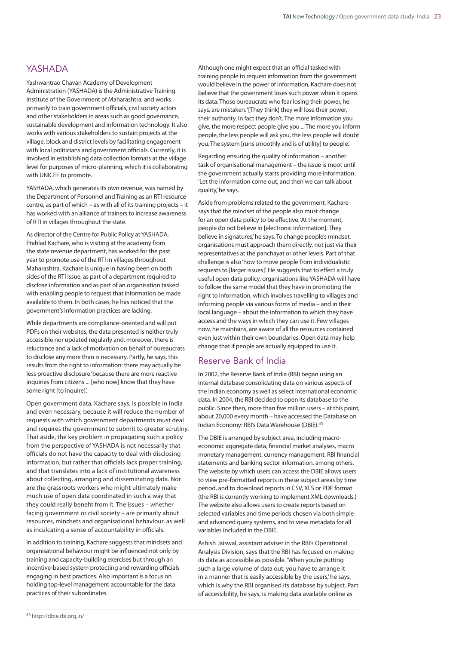#### YASHADA

Yashwantrao Chavan Academy of Development Administration (YASHADA) is the Administrative Training Institute of the Government of Maharashtra, and works primarily to train government officials, civil society actors and other stakeholders in areas such as good governance, sustainable development and information technology. It also works with various stakeholders to sustain projects at the village, block and district levels by facilitating engagement with local politicians and government officials. Currently, it is involved in establishing data collection formats at the village level for purposes of micro-planning, which it is collaborating with UNICEF to promote.

YASHADA, which generates its own revenue, was named by the Department of Personnel and Training as an RTI resource centre, as part of which – as with all of its training projects – it has worked with an alliance of trainers to increase awareness of RTI in villages throughout the state.

As director of the Centre for Public Policy at YASHADA, Prahlad Kachare, who is visiting at the academy from the state revenue department, has worked for the past year to promote use of the RTI in villages throughout Maharashtra. Kachare is unique in having been on both sides of the RTI issue, as part of a department required to disclose information and as part of an organisation tasked with enabling people to request that information be made available to them. In both cases, he has noticed that the government's information practices are lacking.

While departments are compliance-oriented and will put PDFs on their websites, the data presented is neither truly accessible nor updated regularly and, moreover, there is reluctance and a lack of motivation on behalf of bureaucrats to disclose any more than is necessary. Partly, he says, this results from the right to information: there may actually be less proactive disclosure 'because there are more reactive inquiries from citizens ... [who now] know that they have some right [to inquire]'.

Open government data, Kachare says, is possible in India and even necessary, because it will reduce the number of requests with which government departments must deal and requires the government to submit to greater scrutiny. That aside, the key problem in propagating such a policy from the perspective of YASHADA is not necessarily that officials do not have the capacity to deal with disclosing information, but rather that officials lack proper training, and that translates into a lack of institutional awareness about collecting, arranging and disseminating data. Nor are the grassroots workers who might ultimately make much use of open data coordinated in such a way that they could really benefit from it. The issues – whether facing government or civil society – are primarily about resources, mindsets and organisational behaviour, as well as inculcating a sense of accountability in officials.

In addition to training, Kachare suggests that mindsets and organisational behaviour might be influenced not only by training and capacity-building exercises but through an incentive-based system protecting and rewarding officials engaging in best practices. Also important is a focus on holding top-level management accountable for the data practices of their subordinates.

Although one might expect that an official tasked with training people to request information from the government would believe in the power of information, Kachare does not believe that the government loses such power when it opens its data. Those bureaucrats who fear losing their power, he says, are mistaken. '[They think] they will lose their power, their authority. In fact they don't. The more information you give, the more respect people give you ... The more you inform people, the less people will ask you, the less people will doubt you. The system [runs smoothly and is of utility] to people.'

Regarding ensuring the quality of information – another task of organisational management – the issue is moot until the government actually starts providing more information. 'Let the information come out, and then we can talk about quality, he says.

Aside from problems related to the government, Kachare says that the mindset of the people also must change for an open data policy to be effective. 'At the moment, people do not believe in [electronic information]. They believe in signatures,' he says. To change people's mindset, organisations must approach them directly, not just via their representatives at the panchayat or other levels. Part of that challenge is also 'how to move people from individualistic requests to [larger issues]'. He suggests that to effect a truly useful open data policy, organisations like YASHADA will have to follow the same model that they have in promoting the right to information, which involves travelling to villages and informing people via various forms of media – and in their local language – about the information to which they have access and the ways in which they can use it. Few villages now, he maintains, are aware of all the resources contained even just within their own boundaries. Open data may help change that if people are actually equipped to use it.

## Reserve Bank of India

In 2002, the Reserve Bank of India (RBI) began using an internal database consolidating data on various aspects of the Indian economy as well as select international economic data. In 2004, the RBI decided to open its database to the public. Since then, more than five million users – at this point, about 20,000 every month – have accessed the Database on Indian Economy: RBI's Data Warehouse (DBIE).43

The DBIE is arranged by subject area, including macroeconomic aggregate data, financial market analyses, macro monetary management, currency management, RBI financial statements and banking sector information, among others. The website by which users can access the DBIE allows users to view pre-formatted reports in these subject areas by time period, and to download reports in CSV, XLS or PDF format (the RBI is currently working to implement XML downloads.) The website also allows users to create reports based on selected variables and time periods chosen via both simple and advanced query systems, and to view metadata for all variables included in the DBIE.

Ashish Jaiswal, assistant adviser in the RBI's Operational Analysis Division, says that the RBI has focused on making its data as accessible as possible. 'When you're putting such a large volume of data out, you have to arrange it in a manner that is easily accessible by the users,' he says, which is why the RBI organised its database by subject. Part of accessibility, he says, is making data available online as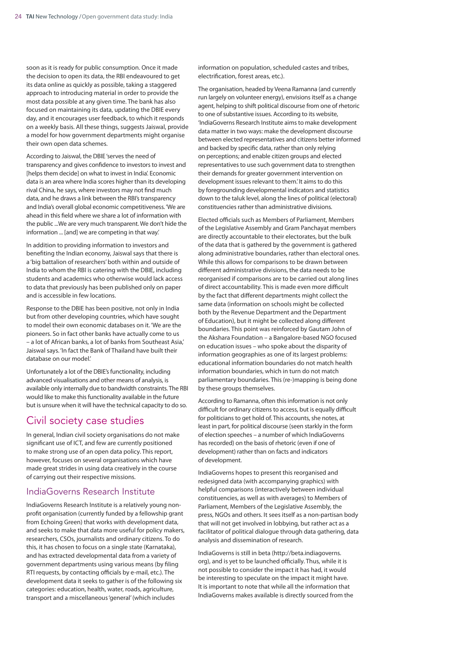<span id="page-23-0"></span>soon as it is ready for public consumption. Once it made the decision to open its data, the RBI endeavoured to get its data online as quickly as possible, taking a staggered approach to introducing material in order to provide the most data possible at any given time. The bank has also focused on maintaining its data, updating the DBIE every day, and it encourages user feedback, to which it responds on a weekly basis. All these things, suggests Jaiswal, provide a model for how government departments might organise their own open data schemes.

According to Jaiswal, the DBIE 'serves the need of transparency and gives confidence to investors to invest and [helps them decide] on what to invest in India'. Economic data is an area where India scores higher than its developing rival China, he says, where investors may not find much data, and he draws a link between the RBI's transparency and India's overall global economic competitiveness. 'We are ahead in this field where we share a lot of information with the public ...We are very much transparent. We don't hide the information ... [and] we are competing in that way.'

In addition to providing information to investors and benefiting the Indian economy, Jaiswal says that there is a 'big battalion of researchers' both within and outside of India to whom the RBI is catering with the DBIE, including students and academics who otherwise would lack access to data that previously has been published only on paper and is accessible in few locations.

Response to the DBIE has been positive, not only in India but from other developing countries, which have sought to model their own economic databases on it. 'We are the pioneers. So in fact other banks have actually come to us – a lot of African banks, a lot of banks from Southeast Asia,' Jaiswal says. 'In fact the Bank of Thailand have built their database on our model.'

Unfortunately a lot of the DBIE's functionality, including advanced visualisations and other means of analysis, is available only internally due to bandwidth constraints. The RBI would like to make this functionality available in the future but is unsure when it will have the technical capacity to do so.

# Civil society case studies

In general, Indian civil society organisations do not make significant use of ICT, and few are currently positioned to make strong use of an open data policy. This report, however, focuses on several organisations which have made great strides in using data creatively in the course of carrying out their respective missions.

#### IndiaGoverns Research Institute

IndiaGoverns Research Institute is a relatively young nonprofit organisation (currently funded by a fellowship grant from Echoing Green) that works with development data, and seeks to make that data more useful for policy makers, researchers, CSOs, journalists and ordinary citizens. To do this, it has chosen to focus on a single state (Karnataka), and has extracted developmental data from a variety of government departments using various means (by filing RTI requests, by contacting officials by e-mail, etc.). The development data it seeks to gather is of the following six categories: education, health, water, roads, agriculture, transport and a miscellaneous 'general' (which includes

information on population, scheduled castes and tribes, electrification, forest areas, etc.).

The organisation, headed by Veena Ramanna (and currently run largely on volunteer energy), envisions itself as a change agent, helping to shift political discourse from one of rhetoric to one of substantive issues. According to its website, 'IndiaGoverns Research Institute aims to make development data matter in two ways: make the development discourse between elected representatives and citizens better informed and backed by specific data, rather than only relying on perceptions; and enable citizen groups and elected representatives to use such government data to strengthen their demands for greater government intervention on development issues relevant to them.' It aims to do this by foregrounding developmental indicators and statistics down to the taluk level, along the lines of political (electoral) constituencies rather than administrative divisions.

Elected officials such as Members of Parliament, Members of the Legislative Assembly and Gram Panchayat members are directly accountable to their electorates, but the bulk of the data that is gathered by the government is gathered along administrative boundaries, rather than electoral ones. While this allows for comparisons to be drawn between different administrative divisions, the data needs to be reorganised if comparisons are to be carried out along lines of direct accountability. This is made even more difficult by the fact that different departments might collect the same data (information on schools might be collected both by the Revenue Department and the Department of Education), but it might be collected along different boundaries. This point was reinforced by Gautam John of the Akshara Foundation – a Bangalore-based NGO focused on education issues – who spoke about the disparity of information geographies as one of its largest problems: educational information boundaries do not match health information boundaries, which in turn do not match parliamentary boundaries. This (re-)mapping is being done by these groups themselves.

According to Ramanna, often this information is not only difficult for ordinary citizens to access, but is equally difficult for politicians to get hold of. This accounts, she notes, at least in part, for political discourse (seen starkly in the form of election speeches – a number of which IndiaGoverns has recorded) on the basis of rhetoric (even if one of development) rather than on facts and indicators of development.

IndiaGoverns hopes to present this reorganised and redesigned data (with accompanying graphics) with helpful comparisons (interactively between individual constituencies, as well as with averages) to Members of Parliament, Members of the Legislative Assembly, the press, NGOs and others. It sees itself as a non-partisan body that will not get involved in lobbying, but rather act as a facilitator of political dialogue through data gathering, data analysis and dissemination of research.

IndiaGoverns is still in beta [\(http://beta.indiagoverns.](http://beta.indiagoverns.org) [org\)](http://beta.indiagoverns.org), and is yet to be launched officially. Thus, while it is not possible to consider the impact it has had, it would be interesting to speculate on the impact it might have. It is important to note that while all the information that IndiaGoverns makes available is directly sourced from the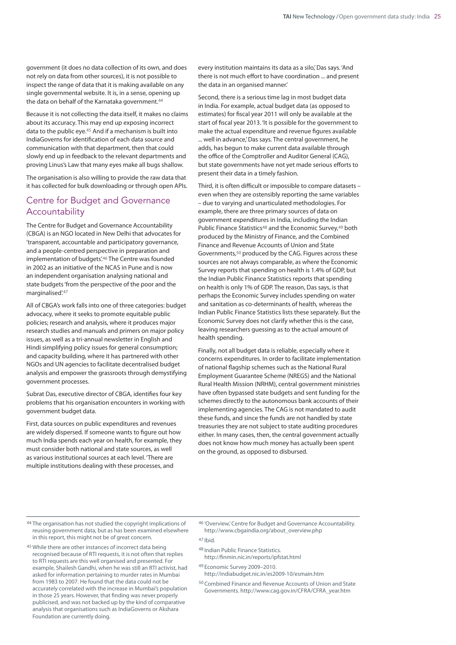government (it does no data collection of its own, and does not rely on data from other sources), it is not possible to inspect the range of data that it is making available on any single governmental website. It is, in a sense, opening up the data on behalf of the Karnataka government.<sup>44</sup>

Because it is not collecting the data itself, it makes no claims about its accuracy. This may end up exposing incorrect data to the public eye.45 And if a mechanism is built into IndiaGoverns for identification of each data source and communication with that department, then that could slowly end up in feedback to the relevant departments and proving Linus's Law that many eyes make all bugs shallow.

The organisation is also willing to provide the raw data that it has collected for bulk downloading or through open APIs.

#### Centre for Budget and Governance Accountability

The Centre for Budget and Governance Accountability (CBGA) is an NGO located in New Delhi that advocates for 'transparent, accountable and participatory governance, and a people-centred perspective in preparation and implementation of budgets'.<sup>46</sup> The Centre was founded in 2002 as an initiative of the NCAS in Pune and is now an independent organisation analysing national and state budgets 'from the perspective of the poor and the marginalised'.47

All of CBGA's work falls into one of three categories: budget advocacy, where it seeks to promote equitable public policies; research and analysis, where it produces major research studies and manuals and primers on major policy issues, as well as a tri-annual newsletter in English and Hindi simplifying policy issues for general consumption; and capacity building, where it has partnered with other NGOs and UN agencies to facilitate decentralised budget analysis and empower the grassroots through demystifying government processes.

Subrat Das, executive director of CBGA, identifies four key problems that his organisation encounters in working with government budget data.

First, data sources on public expenditures and revenues are widely dispersed. If someone wants to figure out how much India spends each year on health, for example, they must consider both national and state sources, as well as various institutional sources at each level. 'There are multiple institutions dealing with these processes, and

every institution maintains its data as a silo,' Das says. 'And there is not much effort to have coordination ... and present the data in an organised manner.'

Second, there is a serious time lag in most budget data in India. For example, actual budget data (as opposed to estimates) for fiscal year 2011 will only be available at the start of fiscal year 2013. 'It is possible for the government to make the actual expenditure and revenue figures available ... well in advance,' Das says. The central government, he adds, has begun to make current data available through the office of the Comptroller and Auditor General (CAG), but state governments have not yet made serious efforts to present their data in a timely fashion.

Third, it is often difficult or impossible to compare datasets – even when they are ostensibly reporting the same variables – due to varying and unarticulated methodologies. For example, there are three primary sources of data on government expenditures in India, including the Indian Public Finance Statistics<sup>48</sup> and the Economic Survey,<sup>49</sup> both produced by the Ministry of Finance, and the Combined Finance and Revenue Accounts of Union and State Governments,50 produced by the CAG. Figures across these sources are not always comparable, as where the Economic Survey reports that spending on health is 1.4% of GDP, but the Indian Public Finance Statistics reports that spending on health is only 1% of GDP. The reason, Das says, is that perhaps the Economic Survey includes spending on water and sanitation as co-determinants of health, whereas the Indian Public Finance Statistics lists these separately. But the Economic Survey does not clarify whether this is the case, leaving researchers guessing as to the actual amount of health spending.

Finally, not all budget data is reliable, especially where it concerns expenditures. In order to facilitate implementation of national flagship schemes such as the National Rural Employment Guarantee Scheme (NREGS) and the National Rural Health Mission (NRHM), central government ministries have often bypassed state budgets and sent funding for the schemes directly to the autonomous bank accounts of their implementing agencies. The CAG is not mandated to audit these funds, and since the funds are not handled by state treasuries they are not subject to state auditing procedures either. In many cases, then, the central government actually does not know how much money has actually been spent on the ground, as opposed to disbursed.

- 44 The organisation has not studied the copyright implications of reusing government data, but as has been examined elsewhere in this report, this might not be of great concern.
- 45 While there are other instances of incorrect data being recognised because of RTI requests, it is not often that replies to RTI requests are this well organised and presented. For example, Shailesh Gandhi, when he was still an RTI activist, had asked for information pertaining to murder rates in Mumbai from 1983 to 2007. He found that the data could not be accurately correlated with the increase in Mumbai's population in those 25 years. However, that finding was never properly publicised, and was not backed up by the kind of comparative analysis that organisations such as IndiaGoverns or Akshara Foundation are currently doing.
- 46 'Overview,' Centre for Budget and Governance Accountability. [http://www.cbgaindia.org/about\\_overview.php](http://)
- 47 Ibid.
- 48 Indian Public Finance Statistics. [http://finmin.nic.in/reports/ipfstat.html](http://)
- 49 Economic Survey 2009–2010. [http://indiabudget.nic.in/es2009-10/esmain.htm](http://)
- 50 Combined Finance and Revenue Accounts of Union and State Governments. [http://www.cag.gov.in/CFRA/CFRA\\_year.htm](http://)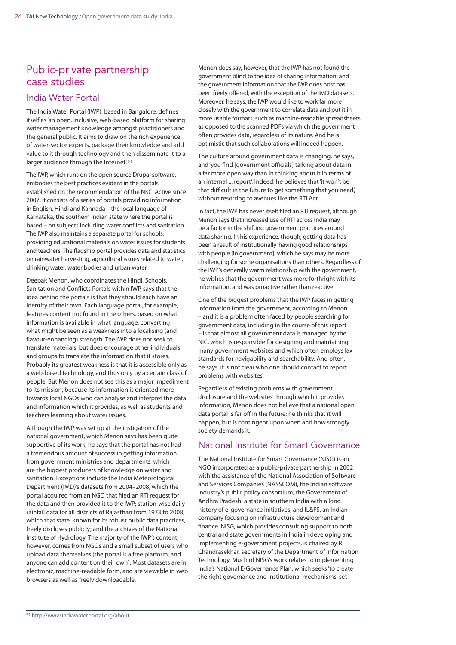# <span id="page-25-0"></span>Public-private partnership case studies

### India Water Portal

The India Water Portal (IWP), based in Bangalore, defines itself as 'an open, inclusive, web-based platform for sharing water management knowledge amongst practitioners and the general public. It aims to draw on the rich experience of water-sector experts, package their knowledge and add value to it through technology and then disseminate it to a larger audience through the Internet.'51

The IWP, which runs on the open source Drupal software, embodies the best practices evident in the portals established on the recommendation of the NKC. Active since 2007, it consists of a series of portals providing information in English, Hindi and Kannada – the local language of Karnataka, the southern Indian state where the portal is based – on subjects including water conflicts and sanitation. The IWP also maintains a separate portal for schools, providing educational materials on water issues for students and teachers. The flagship portal provides data and statistics on rainwater harvesting, agricultural issues related to water, drinking water, water bodies and urban water.

Deepak Menon, who coordinates the Hindi, Schools, Sanitation and Conflicts Portals within IWP, says that the idea behind the portals is that they should each have an identity of their own. Each language portal, for example, features content not found in the others, based on what information is available in what language, converting what might be seen as a weakness into a localising (and flavour-enhancing) strength. The IWP does not seek to translate materials, but does encourage other individuals and groups to translate the information that it stores. Probably its greatest weakness is that it is accessible only as a web-based technology, and thus only by a certain class of people. But Menon does not see this as a major impediment to its mission, because its information is oriented more towards local NGOs who can analyse and interpret the data and information which it provides, as well as students and teachers learning about water issues.

Although the IWP was set up at the instigation of the national government, which Menon says has been quite supportive of its work, he says that the portal has not had a tremendous amount of success in getting information from government ministries and departments, which are the biggest producers of knowledge on water and sanitation. Exceptions include the India Meteorological Department (IMD)'s datasets from 2004–2008, which the portal acquired from an NGO that filed an RTI request for the data and then provided it to the IWP; station-wise daily rainfall data for all districts of Rajasthan from 1973 to 2008, which that state, known for its robust public data practices, freely discloses publicly; and the archives of the National Institute of Hydrology. The majority of the IWP's content, however, comes from NGOs and a small subset of users who upload data themselves (the portal is a free platform, and anyone can add content on their own). Most datasets are in electronic, machine-readable form, and are viewable in web browsers as well as freely downloadable.

Menon does say, however, that the IWP has not found the government blind to the idea of sharing information, and the government information that the IWP does host has been freely offered, with the exception of the IMD datasets. Moreover, he says, the IWP would like to work far more closely with the government to correlate data and put it in more usable formats, such as machine-readable spreadsheets as opposed to the scanned PDFs via which the government often provides data, regardless of its nature. And he is optimistic that such collaborations will indeed happen.

The culture around government data is changing, he says, and 'you find [government officials] talking about data in a far more open way than in thinking about it in terms of an internal ... report'. Indeed, he believes that 'it won't be that difficult in the future to get something that you need', without resorting to avenues like the RTI Act.

In fact, the IWP has never itself filed an RTI request, although Menon says that increased use of RTI across India may be a factor in the shifting government practices around data sharing. In his experience, though, getting data has been a result of institutionally 'having good relationships with people [in government]', which he says may be more challenging for some organisations than others. Regardless of the IWP's generally warm relationship with the government, he wishes that the government was more forthright with its information, and was proactive rather than reactive.

One of the biggest problems that the IWP faces in getting information from the government, according to Menon – and it is a problem often faced by people searching for government data, including in the course of this report – is that almost all government data is managed by the NIC, which is responsible for designing and maintaining many government websites and which often employs lax standards for navigability and searchability. And often, he says, it is not clear who one should contact to report problems with websites.

Regardless of existing problems with government disclosure and the websites through which it provides information, Menon does not believe that a national open data portal is far off in the future; he thinks that it will happen, but is contingent upon when and how strongly society demands it.

#### National Institute for Smart Governance

The National Institute for Smart Governance (NISG) is an NGO incorporated as a public-private partnership in 2002 with the assistance of the National Association of Software and Services Companies (NASSCOM), the Indian software industry's public policy consortium; the Government of Andhra Pradesh, a state in southern India with a long history of e-governance initiatives; and IL&FS, an Indian company focusing on infrastructure development and finance. NISG, which provides consulting support to both central and state governments in India in developing and implementing e-government projects, is chaired by R. Chandrasekhar, secretary of the Department of Information Technology. Much of NISG's work relates to implementing India's National E-Governance Plan, which seeks 'to create the right governance and institutional mechanisms, set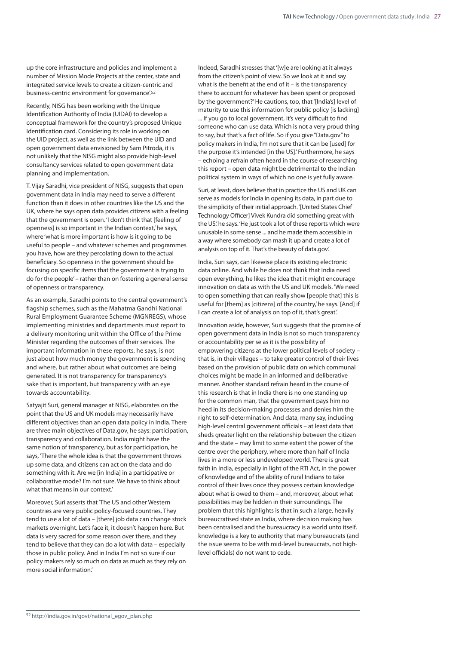up the core infrastructure and policies and implement a number of Mission Mode Projects at the center, state and integrated service levels to create a citizen-centric and business-centric environment for governance<sup>'52</sup>

Recently, NISG has been working with the Unique Identification Authority of India (UIDAI) to develop a conceptual framework for the country's proposed Unique Identification card. Considering its role in working on the UID project, as well as the link between the UID and open government data envisioned by Sam Pitroda, it is not unlikely that the NISG might also provide high-level consultancy services related to open government data planning and implementation.

T. Vijay Saradhi, vice president of NISG, suggests that open government data in India may need to serve a different function than it does in other countries like the US and the UK, where he says open data provides citizens with a feeling that the government is open. 'I don't think that [feeling of openness] is so important in the Indian context,' he says, where 'what is more important is how is it going to be useful to people – and whatever schemes and programmes you have, how are they percolating down to the actual beneficiary. So openness in the government should be focusing on specific items that the government is trying to do for the people' – rather than on fostering a general sense of openness or transparency.

As an example, Saradhi points to the central government's flagship schemes, such as the Mahatma Gandhi National Rural Employment Guarantee Scheme (MGNREGS), whose implementing ministries and departments must report to a delivery monitoring unit within the Office of the Prime Minister regarding the outcomes of their services. The important information in these reports, he says, is not just about how much money the government is spending and where, but rather about what outcomes are being generated. It is not transparency for transparency's sake that is important, but transparency with an eye towards accountability.

Satyajit Suri, general manager at NISG, elaborates on the point that the US and UK models may necessarily have different objectives than an open data policy in India. There are three main objectives of Data.gov, he says: participation, transparency and collaboration. India might have the same notion of transparency, but as for participation, he says, 'There the whole idea is that the government throws up some data, and citizens can act on the data and do something with it. Are we [in India] in a participative or collaborative mode? I'm not sure. We have to think about what that means in our context.'

Moreover, Suri asserts that 'The US and other Western countries are very public policy-focused countries. They tend to use a lot of data – [there] job data can change stock markets overnight. Let's face it, it doesn't happen here. But data is very sacred for some reason over there, and they tend to believe that they can do a lot with data – especially those in public policy. And in India I'm not so sure if our policy makers rely so much on data as much as they rely on more social information.'

Indeed, Saradhi stresses that '[w]e are looking at it always from the citizen's point of view. So we look at it and say what is the benefit at the end of it – is the transparency there to account for whatever has been spent or proposed by the government?' He cautions, too, that '[India's] level of maturity to use this information for public policy [is lacking] ... If you go to local government, it's very difficult to find someone who can use data. Which is not a very proud thing to say, but that's a fact of life. So if you give "Data.gov" to policy makers in India, I'm not sure that it can be [used] for the purpose it's intended [in the US].' Furthermore, he says – echoing a refrain often heard in the course of researching this report – open data might be detrimental to the Indian political system in ways of which no one is yet fully aware.

Suri, at least, does believe that in practice the US and UK can serve as models for India in opening its data, in part due to the simplicity of their initial approach. '[United States Chief Technology Officer] Vivek Kundra did something great with the US,' he says. 'He just took a lot of these reports which were unusable in some sense ... and he made them accessible in a way where somebody can mash it up and create a lot of analysis on top of it. That's the beauty of data.gov.'

India, Suri says, can likewise place its existing electronic data online. And while he does not think that India need open everything, he likes the idea that it might encourage innovation on data as with the US and UK models. 'We need to open something that can really show [people that] this is useful for [them] as [citizens] of the country,' he says. [And] if I can create a lot of analysis on top of it, that's great.'

Innovation aside, however, Suri suggests that the promise of open government data in India is not so much transparency or accountability per se as it is the possibility of empowering citizens at the lower political levels of society – that is, in their villages – to take greater control of their lives based on the provision of public data on which communal choices might be made in an informed and deliberative manner. Another standard refrain heard in the course of this research is that in India there is no one standing up for the common man, that the government pays him no heed in its decision-making processes and denies him the right to self-determination. And data, many say, including high-level central government officials – at least data that sheds greater light on the relationship between the citizen and the state – may limit to some extent the power of the centre over the periphery, where more than half of India lives in a more or less undeveloped world. There is great faith in India, especially in light of the RTI Act, in the power of knowledge and of the ability of rural Indians to take control of their lives once they possess certain knowledge about what is owed to them – and, moreover, about what possibilities may be hidden in their surroundings. The problem that this highlights is that in such a large, heavily bureaucratised state as India, where decision making has been centralised and the bureaucracy is a world unto itself, knowledge is a key to authority that many bureaucrats (and the issue seems to be with mid-level bureaucrats, not highlevel officials) do not want to cede.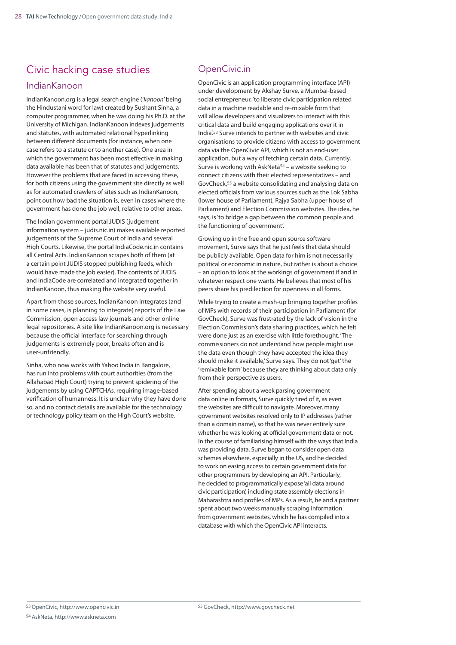# <span id="page-27-0"></span>Civic hacking case studies

#### IndianKanoon

IndianKanoon.org is a legal search engine ('*kanoon*' being the Hindustani word for law) created by Sushant Sinha, a computer programmer, when he was doing his Ph.D. at the University of Michigan. IndianKanoon indexes judgements and statutes, with automated relational hyperlinking between different documents (for instance, when one case refers to a statute or to another case). One area in which the government has been most effective in making data available has been that of statutes and judgements. However the problems that are faced in accessing these, for both citizens using the government site directly as well as for automated crawlers of sites such as IndianKanoon, point out how bad the situation is, even in cases where the government has done the job well, relative to other areas.

The Indian government portal JUDIS (judgement information system – judis.nic.in) makes available reported judgements of the Supreme Court of India and several High Courts. Likewise, the portal IndiaCode.nic.in contains all Central Acts. IndianKanoon scrapes both of them (at a certain point JUDIS stopped publishing feeds, which would have made the job easier). The contents of JUDIS and IndiaCode are correlated and integrated together in IndianKanoon, thus making the website very useful.

Apart from those sources, IndianKanoon integrates (and in some cases, is planning to integrate) reports of the Law Commission, open access law journals and other online legal repositories. A site like IndianKanoon.org is necessary because the official interface for searching through judgements is extremely poor, breaks often and is user-unfriendly.

Sinha, who now works with Yahoo India in Bangalore, has run into problems with court authorities (from the Allahabad High Court) trying to prevent spidering of the judgements by using CAPTCHAs, requiring image-based verification of humanness. It is unclear why they have done so, and no contact details are available for the technology or technology policy team on the High Court's website.

# OpenCivic.in

OpenCivic is an application programming interface (API) under development by Akshay Surve, a Mumbai-based social entrepreneur, 'to liberate civic participation related data in a machine readable and re-mixable form that will allow developers and visualizers to interact with this critical data and build engaging applications over it in India'.53 Surve intends to partner with websites and civic organisations to provide citizens with access to government data via the OpenCivic API, which is not an end-user application, but a way of fetching certain data. Currently, Surve is working with AskNeta54 – a website seeking to connect citizens with their elected representatives – and GovCheck,55 a website consolidating and analysing data on elected officials from various sources such as the Lok Sabha (lower house of Parliament), Rajya Sabha (upper house of Parliament) and Election Commission websites. The idea, he says, is 'to bridge a gap between the common people and the functioning of government'.

Growing up in the free and open source software movement, Surve says that he just feels that data should be publicly available. Open data for him is not necessarily political or economic in nature, but rather is about a choice – an option to look at the workings of government if and in whatever respect one wants. He believes that most of his peers share his predilection for openness in all forms.

While trying to create a mash-up bringing together profiles of MPs with records of their participation in Parliament (for GovCheck), Surve was frustrated by the lack of vision in the Election Commission's data sharing practices, which he felt were done just as an exercise with little forethought. 'The commissioners do not understand how people might use the data even though they have accepted the idea they should make it available,' Surve says. They do not 'get' the 'remixable form' because they are thinking about data only from their perspective as users.

After spending about a week parsing government data online in formats, Surve quickly tired of it, as even the websites are difficult to navigate. Moreover, many government websites resolved only to IP addresses (rather than a domain name), so that he was never entirely sure whether he was looking at official government data or not. In the course of familiarising himself with the ways that India was providing data, Surve began to consider open data schemes elsewhere, especially in the US, and he decided to work on easing access to certain government data for other programmers by developing an API. Particularly, he decided to programmatically expose 'all data around civic participation', including state assembly elections in Maharashtra and profiles of MPs. As a result, he and a partner spent about two weeks manually scraping information from government websites, which he has compiled into a database with which the OpenCivic API interacts.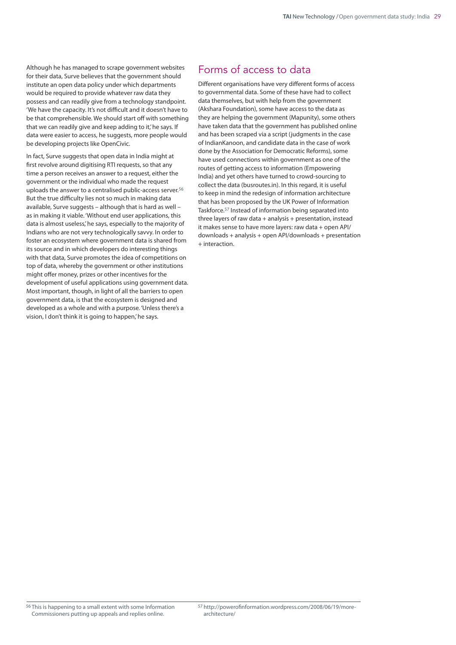<span id="page-28-0"></span>Although he has managed to scrape government websites for their data, Surve believes that the government should institute an open data policy under which departments would be required to provide whatever raw data they possess and can readily give from a technology standpoint. 'We have the capacity. It's not difficult and it doesn't have to be that comprehensible. We should start off with something that we can readily give and keep adding to it,' he says. If data were easier to access, he suggests, more people would be developing projects like OpenCivic.

In fact, Surve suggests that open data in India might at first revolve around digitising RTI requests, so that any time a person receives an answer to a request, either the government or the individual who made the request uploads the answer to a centralised public-access server.56 But the true difficulty lies not so much in making data available, Surve suggests – although that is hard as well – as in making it viable. 'Without end user applications, this data is almost useless,' he says, especially to the majority of Indians who are not very technologically savvy. In order to foster an ecosystem where government data is shared from its source and in which developers do interesting things with that data, Surve promotes the idea of competitions on top of data, whereby the government or other institutions might offer money, prizes or other incentives for the development of useful applications using government data. Most important, though, in light of all the barriers to open government data, is that the ecosystem is designed and developed as a whole and with a purpose. 'Unless there's a vision, I don't think it is going to happen,' he says.

# Forms of access to data

Different organisations have very different forms of access to governmental data. Some of these have had to collect data themselves, but with help from the government (Akshara Foundation), some have access to the data as they are helping the government (Mapunity), some others have taken data that the government has published online and has been scraped via a script (judgments in the case of IndianKanoon, and candidate data in the case of work done by the Association for Democratic Reforms), some have used connections within government as one of the routes of getting access to information (Empowering India) and yet others have turned to crowd-sourcing to collect the data (busroutes.in). In this regard, it is useful to keep in mind the redesign of information architecture that has been proposed by the UK Power of Information Taskforce.57 Instead of information being separated into three layers of raw data + analysis + presentation, instead it makes sense to have more layers: raw data + open API/ downloads + analysis + open API/downloads + presentation  $+$  interaction.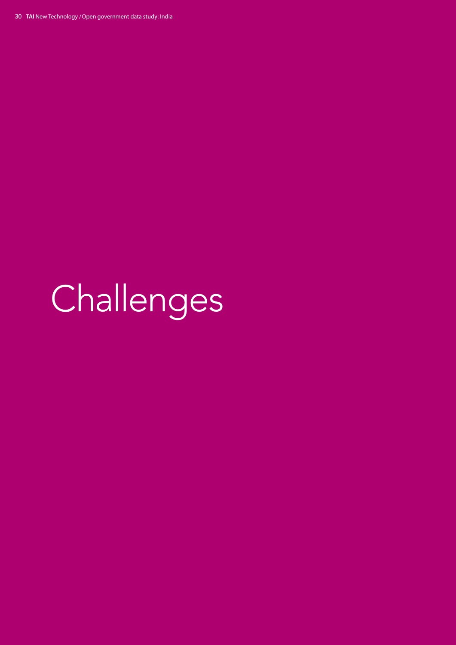<span id="page-29-0"></span>30 **TAI** New Technology /Open government data study: India

# **Challenges**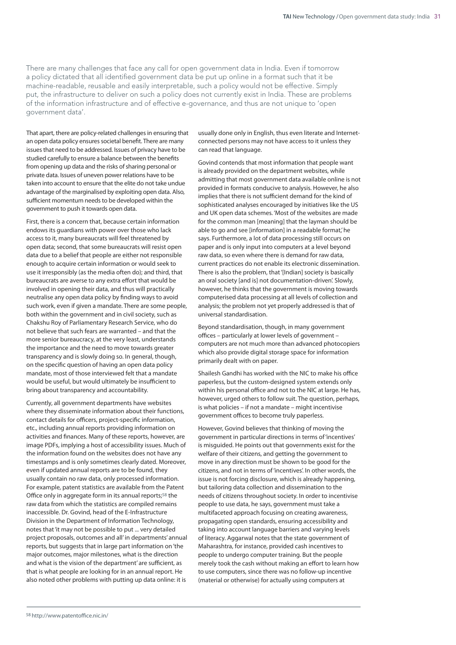There are many challenges that face any call for open government data in India. Even if tomorrow a policy dictated that all identified government data be put up online in a format such that it be machine-readable, reusable and easily interpretable, such a policy would not be effective. Simply put, the infrastructure to deliver on such a policy does not currently exist in India. These are problems of the information infrastructure and of effective e-governance, and thus are not unique to 'open government data'.

That apart, there are policy-related challenges in ensuring that an open data policy ensures societal benefit. There are many issues that need to be addressed. Issues of privacy have to be studied carefully to ensure a balance between the benefits from opening up data and the risks of sharing personal or private data. Issues of uneven power relations have to be taken into account to ensure that the elite do not take undue advantage of the marginalised by exploiting open data. Also, sufficient momentum needs to be developed within the government to push it towards open data.

First, there is a concern that, because certain information endows its guardians with power over those who lack access to it, many bureaucrats will feel threatened by open data; second, that some bureaucrats will resist open data due to a belief that people are either not responsible enough to acquire certain information or would seek to use it irresponsibly (as the media often do); and third, that bureaucrats are averse to any extra effort that would be involved in opening their data, and thus will practically neutralise any open data policy by finding ways to avoid such work, even if given a mandate. There are some people, both within the government and in civil society, such as Chakshu Roy of Parliamentary Research Service, who do not believe that such fears are warranted – and that the more senior bureaucracy, at the very least, understands the importance and the need to move towards greater transparency and is slowly doing so. In general, though, on the specific question of having an open data policy mandate, most of those interviewed felt that a mandate would be useful, but would ultimately be insufficient to bring about transparency and accountability.

Currently, all government departments have websites where they disseminate information about their functions, contact details for officers, project-specific information, etc., including annual reports providing information on activities and finances. Many of these reports, however, are image PDFs, implying a host of accessibility issues. Much of the information found on the websites does not have any timestamps and is only sometimes clearly dated. Moreover, even if updated annual reports are to be found, they usually contain no raw data, only processed information. For example, patent statistics are available from the Patent Office only in aggregate form in its annual reports;58 the raw data from which the statistics are compiled remains inaccessible. Dr. Govind, head of the E-Infrastructure Division in the Department of Information Technology, notes that 'it may not be possible to put ... very detailed project proposals, outcomes and all' in departments' annual reports, but suggests that in large part information on 'the major outcomes, major milestones, what is the direction and what is the vision of the department' are sufficient, as that is what people are looking for in an annual report. He also noted other problems with putting up data online: it is

usually done only in English, thus even literate and Internetconnected persons may not have access to it unless they can read that language.

Govind contends that most information that people want is already provided on the department websites, while admitting that most government data available online is not provided in formats conducive to analysis. However, he also implies that there is not sufficient demand for the kind of sophisticated analyses encouraged by initiatives like the US and UK open data schemes. 'Most of the websites are made for the common man [meaning] that the layman should be able to go and see [information] in a readable format, he says. Furthermore, a lot of data processing still occurs on paper and is only input into computers at a level beyond raw data, so even where there is demand for raw data, current practices do not enable its electronic dissemination. There is also the problem, that '[Indian] society is basically an oral society [and is] not documentation-driven'. Slowly, however, he thinks that the government is moving towards computerised data processing at all levels of collection and analysis; the problem not yet properly addressed is that of universal standardisation.

Beyond standardisation, though, in many government offices – particularly at lower levels of government – computers are not much more than advanced photocopiers which also provide digital storage space for information primarily dealt with on paper.

Shailesh Gandhi has worked with the NIC to make his office paperless, but the custom-designed system extends only within his personal office and not to the NIC at large. He has, however, urged others to follow suit. The question, perhaps, is what policies – if not a mandate – might incentivise government offices to become truly paperless.

However, Govind believes that thinking of moving the government in particular directions in terms of 'incentives' is misguided. He points out that governments exist for the welfare of their citizens, and getting the government to move in any direction must be shown to be good for the citizens, and not in terms of 'incentives'. In other words, the issue is not forcing disclosure, which is already happening, but tailoring data collection and dissemination to the needs of citizens throughout society. In order to incentivise people to use data, he says, government must take a multifaceted approach focusing on creating awareness, propagating open standards, ensuring accessibility and taking into account language barriers and varying levels of literacy. Aggarwal notes that the state government of Maharashtra, for instance, provided cash incentives to people to undergo computer training. But the people merely took the cash without making an effort to learn how to use computers, since there was no follow-up incentive (material or otherwise) for actually using computers at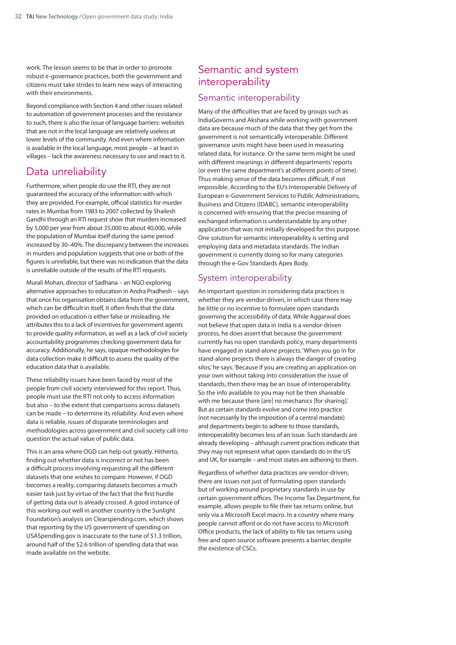<span id="page-31-0"></span>work. The lesson seems to be that in order to promote robust e-governance practices, both the government and citizens must take strides to learn new ways of interacting with their environments.

Beyond compliance with Section 4 and other issues related to automation of government processes and the resistance to such, there is also the issue of language barriers: websites that are not in the local language are relatively useless at lower levels of the community. And even where information is available in the local language, most people – at least in villages – lack the awareness necessary to use and react to it.

# Data unreliability

Furthermore, when people do use the RTI, they are not guaranteed the accuracy of the information with which they are provided. For example, official statistics for murder rates in Mumbai from 1983 to 2007 collected by Shailesh Gandhi through an RTI request show that murders increased by 5,000 per year from about 35,000 to about 40,000, while the population of Mumbai itself during the same period increased by 30–40%. The discrepancy between the increases in murders and population suggests that one or both of the figures is unreliable, but there was no indication that the data is unreliable outside of the results of the RTI requests.

Murali Mohan, director of Sadhana – an NGO exploring alternative approaches to education in Andra Pradhesh – says that once his organisation obtains data from the government, which can be difficult in itself, it often finds that the data provided on education is either false or misleading. He attributes this to a lack of incentives for government agents to provide quality information, as well as a lack of civil society accountability programmes checking government data for accuracy. Additionally, he says, opaque methodologies for data collection make it difficult to assess the quality of the education data that is available.

These reliability issues have been faced by most of the people from civil society interviewed for this report. Thus, people must use the RTI not only to access information but also – to the extent that comparisons across datasets can be made – to determine its reliability. And even where data is reliable, issues of disparate terminologies and methodologies across government and civil society call into question the actual value of public data.

This is an area where OGD can help out greatly. Hitherto, finding out whether data is incorrect or not has been a difficult process involving requesting all the different datasets that one wishes to compare. However, if OGD becomes a reality, comparing datasets becomes a much easier task just by virtue of the fact that the first hurdle of getting data out is already crossed. A good instance of this working out well in another country is the Sunlight Foundation's analysis on Clearspending.com, which shows that reporting by the US government of spending on USASpending.gov is inaccurate to the tune of \$1.3 trillion, around half of the \$2.6 trillion of spending data that was made available on the website.

# Semantic and system interoperability

#### Semantic interoperability

Many of the difficulties that are faced by groups such as IndiaGoverns and Akshara while working with government data are because much of the data that they get from the government is not semantically interoperable. Different governance units might have been used in measuring related data, for instance. Or the same term might be used with different meanings in different departments' reports (or even the same department's at different points of time). Thus making sense of the data becomes difficult, if not impossible. According to the EU's Interoperable Delivery of European e-Government Services to Public Administrations, Business and Citizens (IDABC), semantic interoperability is concerned with ensuring that the precise meaning of exchanged information is understandable by any other application that was not initially developed for this purpose. One solution for semantic interoperability is setting and employing data and metadata standards. The Indian government is currently doing so for many categories through the e-Gov Standards Apex Body.

#### System interoperability

An important question in considering data practices is whether they are vendor-driven, in which case there may be little or no incentive to formulate open standards governing the accessibility of data. While Aggarwal does not believe that open data in India is a vendor-driven process, he does assert that because the government currently has no open standards policy, many departments have engaged in stand-alone projects. 'When you go in for stand-alone projects there is always the danger of creating silos,' he says. 'Because if you are creating an application on your own without taking into consideration the issue of standards, then there may be an issue of interoperability. So the info available to you may not be then shareable with me because there [are] no mechanics [for sharing].' But as certain standards evolve and come into practice (not necessarily by the imposition of a central mandate) and departments begin to adhere to those standards, interoperability becomes less of an issue. Such standards are already developing – although current practices indicate that they may not represent what open standards do in the US and UK, for example – and most states are adhering to them.

Regardless of whether data practices are vendor-driven, there are issues not just of formulating open standards but of working around proprietary standards in use by certain government offices. The Income Tax Department, for example, allows people to file their tax returns online, but only via a Microsoft Excel macro. In a country where many people cannot afford or do not have access to Microsoft Office products, the lack of ability to file tax returns using free and open source software presents a barrier, despite the existence of CSCs.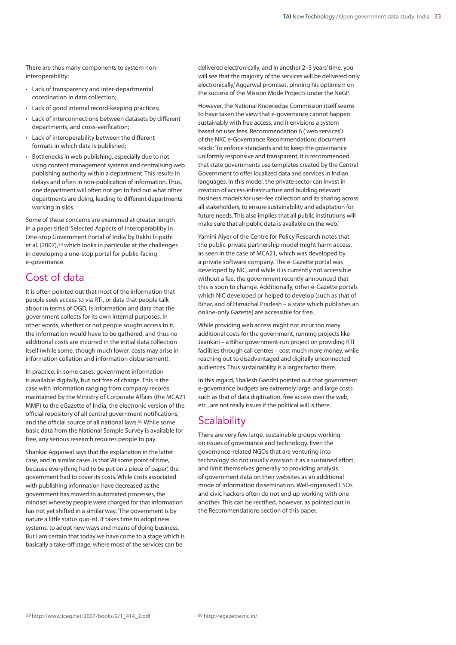<span id="page-32-0"></span>There are thus many components to system noninteroperability:

- • Lack of transparency and inter-departmental coordination in data collection;
- Lack of good internal record-keeping practices;
- Lack of interconnections between datasets by different departments, and cross-verification;
- • Lack of interoperability between the different formats in which data is published;
- • Bottlenecks in web publishing, especially due to not using content management systems and centralising web publishing authority within a department. This results in delays and often in non-publication of information. Thus, one department will often not get to find out what other departments are doing, leading to different departments working in silos.

Some of these concerns are examined at greater length in a paper titled 'Selected Aspects of Interoperability in One-stop Government Portal of India' by Rakhi Tripathi et al. (2007),59 which looks in particular at the challenges in developing a one-stop portal for public-facing e-governance.

# Cost of data

It is often pointed out that most of the information that people seek access to via RTI, or data that people talk about in terms of OGD, is information and data that the government collects for its own internal purposes. In other words, whether or not people sought access to it, the information would have to be gathered, and thus no additional costs are incurred in the initial data collection itself (while some, though much lower, costs may arise in information collation and information disbursement).

In practice, in some cases, government information is available digitally, but not free of charge. This is the case with information ranging from company records maintained by the Ministry of Corporate Affairs (the MCA21 MMP) to the eGazette of India, the electronic version of the official repository of all central government notifications, and the official source of all national laws.<sup>60</sup> While some basic data from the National Sample Survey is available for free, any serious research requires people to pay.

Shankar Aggarwal says that the explanation in the latter case, and in similar cases, is that 'At some point of time, because everything had to be put on a piece of paper', the government had to cover its costs. While costs associated with publishing information have decreased as the government has moved to automated processes, the mindset whereby people were charged for that information has not yet shifted in a similar way. 'The government is by nature a little status quo-ist. It takes time to adopt new systems, to adopt new ways and means of doing business. But I am certain that today we have come to a stage which is basically a take-off stage, where most of the services can be

delivered electronically, and in another 2–3 years' time, you will see that the majority of the services will be delivered only electronically,' Aggarwal promises, pinning his optimism on the success of the Mission Mode Projects under the NeGP.

However, the National Knowledge Commission itself seems to have taken the view that e-governance cannot happen sustainably with free access, and it envisions a system based on user fees. Recommendation 6 ('web services') of the NKC e-Governance Recommendations document reads: 'To enforce standards and to keep the governance uniformly responsive and transparent, it is recommended that state governments use templates created by the Central Government to offer localized data and services in Indian languages. In this model, the private sector can invest in creation of access-infrastructure and building relevant business models for user-fee collection and its sharing across all stakeholders, to ensure sustainability and adaptation for future needs. This also implies that all public institutions will make sure that all public data is available on the web.'

Yamini Aiyer of the Centre for Policy Research notes that the public-private partnership model might harm access, as seen in the case of MCA21, which was developed by a private software company. The e-Gazette portal was developed by NIC, and while it is currently not accessible without a fee, the government recently announced that this is soon to change. Additionally, other e-Gazette portals which NIC developed or helped to develop (such as that of Bihar, and of Himachal Pradesh – a state which publishes an online-only Gazette) are accessible for free.

While providing web access might not incur too many additional costs for the government, running projects like Jaankari – a Bihar government-run project on providing RTI facilities through call centres – cost much more money, while reaching out to disadvantaged and digitally unconnected audiences. Thus sustainability is a larger factor there.

In this regard, Shailesh Gandhi pointed out that government e-governance budgets are extremely large, and large costs such as that of data digitisation, free access over the web, etc., are not really issues if the political will is there.

# **Scalability**

There are very few large, sustainable groups working on issues of governance and technology. Even the governance-related NGOs that are venturing into technology do not usually envision it as a sustained effort, and limit themselves generally to providing analysis of government data on their websites as an additional mode of information dissemination. Well-organised CSOs and civic hackers often do not end up working with one another. This can be rectified, however, as pointed out in the Recommendations section of this paper.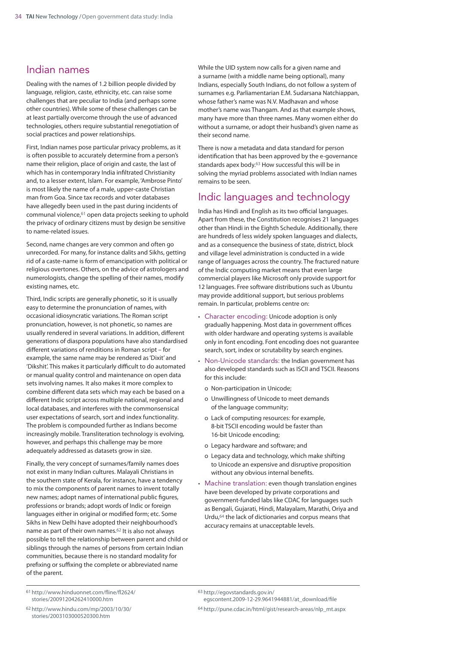# <span id="page-33-0"></span>Indian names

Dealing with the names of 1.2 billion people divided by language, religion, caste, ethnicity, etc. can raise some challenges that are peculiar to India (and perhaps some other countries). While some of these challenges can be at least partially overcome through the use of advanced technologies, others require substantial renegotiation of social practices and power relationships.

First, Indian names pose particular privacy problems, as it is often possible to accurately determine from a person's name their religion, place of origin and caste, the last of which has in contemporary India infiltrated Christianity and, to a lesser extent, Islam. For example, 'Ambrose Pinto' is most likely the name of a male, upper-caste Christian man from Goa. Since tax records and voter databases have allegedly been used in the past during incidents of communal violence,61 open data projects seeking to uphold the privacy of ordinary citizens must by design be sensitive to name-related issues.

Second, name changes are very common and often go unrecorded. For many, for instance dalits and Sikhs, getting rid of a caste-name is form of emancipation with political or religious overtones. Others, on the advice of astrologers and numerologists, change the spelling of their names, modify existing names, etc.

Third, Indic scripts are generally phonetic, so it is usually easy to determine the pronunciation of names, with occasional idiosyncratic variations. The Roman script pronunciation, however, is not phonetic, so names are usually rendered in several variations. In addition, different generations of diaspora populations have also standardised different variations of renditions in Roman script – for example, the same name may be rendered as 'Dixit' and 'Dikshit'. This makes it particularly difficult to do automated or manual quality control and maintenance on open data sets involving names. It also makes it more complex to combine different data sets which may each be based on a different Indic script across multiple national, regional and local databases, and interferes with the commonsensical user expectations of search, sort and index functionality. The problem is compounded further as Indians become increasingly mobile. Transliteration technology is evolving, however, and perhaps this challenge may be more adequately addressed as datasets grow in size.

Finally, the very concept of surnames/family names does not exist in many Indian cultures. Malayali Christians in the southern state of Kerala, for instance, have a tendency to mix the components of parent names to invent totally new names; adopt names of international public figures, professions or brands; adopt words of Indic or foreign languages either in original or modified form; etc. Some Sikhs in New Delhi have adopted their neighbourhood's name as part of their own names.62 It is also not always possible to tell the relationship between parent and child or siblings through the names of persons from certain Indian communities, because there is no standard modality for prefixing or suffixing the complete or abbreviated name of the parent.

While the UID system now calls for a given name and a surname (with a middle name being optional), many Indians, especially South Indians, do not follow a system of surnames e.g. Parliamentarian E.M. Sudarsana Natchiappan, whose father's name was N.V. Madhavan and whose mother's name was Thangam. And as that example shows, many have more than three names. Many women either do without a surname, or adopt their husband's given name as their second name.

There is now a metadata and data standard for person identification that has been approved by the e-governance standards apex body.63 How successful this will be in solving the myriad problems associated with Indian names remains to be seen.

# Indic languages and technology

India has Hindi and English as its two official languages. Apart from these, the Constitution recognises 21 languages other than Hindi in the Eighth Schedule. Additionally, there are hundreds of less widely spoken languages and dialects, and as a consequence the business of state, district, block and village level administration is conducted in a wide range of languages across the country. The fractured nature of the Indic computing market means that even large commercial players like Microsoft only provide support for 12 languages. Free software distributions such as Ubuntu may provide additional support, but serious problems remain. In particular, problems centre on:

- Character encoding: Unicode adoption is only gradually happening. Most data in government offices with older hardware and operating systems is available only in font encoding. Font encoding does not guarantee search, sort, index or scrutability by search engines.
- Non-Unicode standards: the Indian government has also developed standards such as ISCII and TSCII. Reasons for this include:
- o Non-participation in Unicode;
- o Unwillingness of Unicode to meet demands of the language community;
- o Lack of computing resources: for example, 8-bit TSCII encoding would be faster than 16-bit Unicode encoding;
- o Legacy hardware and software; and
- o Legacy data and technology, which make shifting to Unicode an expensive and disruptive proposition without any obvious internal benefits.
- Machine translation: even though translation engines have been developed by private corporations and government-funded labs like CDAC for languages such as Bengali, Gujarati, Hindi, Malayalam, Marathi, Oriya and Urdu,64 the lack of dictionaries and corpus means that accuracy remains at unacceptable levels.

62 [http://www.hindu.com/mp/2003/10/30/](http://) [stories/2003103000520300.htm](http://)

63 [http://egovstandards.gov.in/](http://) [egscontent.2009-12-29.9641944881/at\\_download/file](http://)

64 [http://pune.cdac.in/html/gist/research-areas/nlp\\_mt.aspx](http://)

<sup>61</sup> [http://www.hinduonnet.com/fline/fl2624/](http://) [stories/20091204262410000.htm](http://)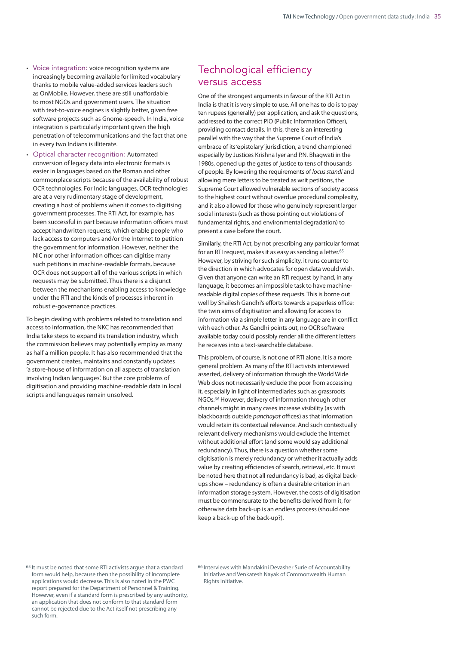- <span id="page-34-0"></span>Voice integration: voice recognition systems are increasingly becoming available for limited vocabulary thanks to mobile value-added services leaders such as OnMobile. However, these are still unaffordable to most NGOs and government users. The situation with text-to-voice engines is slightly better, given free software projects such as Gnome-speech. In India, voice integration is particularly important given the high penetration of telecommunications and the fact that one in every two Indians is illiterate.
- Optical character recognition: Automated conversion of legacy data into electronic formats is easier in languages based on the Roman and other commonplace scripts because of the availability of robust OCR technologies. For Indic languages, OCR technologies are at a very rudimentary stage of development, creating a host of problems when it comes to digitising government processes. The RTI Act, for example, has been successful in part because information officers must accept handwritten requests, which enable people who lack access to computers and/or the Internet to petition the government for information. However, neither the NIC nor other information offices can digitise many such petitions in machine-readable formats, because OCR does not support all of the various scripts in which requests may be submitted. Thus there is a disjunct between the mechanisms enabling access to knowledge under the RTI and the kinds of processes inherent in robust e-governance practices.

To begin dealing with problems related to translation and access to information, the NKC has recommended that India take steps to expand its translation industry, which the commission believes may potentially employ as many as half a million people. It has also recommended that the government creates, maintains and constantly updates 'a store-house of information on all aspects of translation involving Indian languages'. But the core problems of digitisation and providing machine-readable data in local scripts and languages remain unsolved.

# Technological efficiency versus access

One of the strongest arguments in favour of the RTI Act in India is that it is very simple to use. All one has to do is to pay ten rupees (generally) per application, and ask the questions, addressed to the correct PIO (Public Information Officer), providing contact details. In this, there is an interesting parallel with the way that the Supreme Court of India's embrace of its 'epistolary' jurisdiction, a trend championed especially by Justices Krishna Iyer and P.N. Bhagwati in the 1980s, opened up the gates of justice to tens of thousands of people. By lowering the requirements of *locus standi* and allowing mere letters to be treated as writ petitions, the Supreme Court allowed vulnerable sections of society access to the highest court without overdue procedural complexity, and it also allowed for those who genuinely represent larger social interests (such as those pointing out violations of fundamental rights, and environmental degradation) to present a case before the court.

Similarly, the RTI Act, by not prescribing any particular format for an RTI request, makes it as easy as sending a letter.<sup>65</sup> However, by striving for such simplicity, it runs counter to the direction in which advocates for open data would wish. Given that anyone can write an RTI request by hand, in any language, it becomes an impossible task to have machinereadable digital copies of these requests. This is borne out well by Shailesh Gandhi's efforts towards a paperless office: the twin aims of digitisation and allowing for access to information via a simple letter in any language are in conflict with each other. As Gandhi points out, no OCR software available today could possibly render all the different letters he receives into a text-searchable database.

This problem, of course, is not one of RTI alone. It is a more general problem. As many of the RTI activists interviewed asserted, delivery of information through the World Wide Web does not necessarily exclude the poor from accessing it, especially in light of intermediaries such as grassroots NGOs.66 However, delivery of information through other channels might in many cases increase visibility (as with blackboards outside *panchayat* offices) as that information would retain its contextual relevance. And such contextually relevant delivery mechanisms would exclude the Internet without additional effort (and some would say additional redundancy). Thus, there is a question whether some digitisation is merely redundancy or whether it actually adds value by creating efficiencies of search, retrieval, etc. It must be noted here that not all redundancy is bad, as digital backups show – redundancy is often a desirable criterion in an information storage system. However, the costs of digitisation must be commensurate to the benefits derived from it, for otherwise data back-up is an endless process (should one keep a back-up of the back-up?).

66 Interviews with Mandakini Devasher Surie of Accountability Initiative and Venkatesh Nayak of Commonwealth Human Rights Initiative.

<sup>65</sup> It must be noted that some RTI activists argue that a standard form would help, because then the possibility of incomplete applications would decrease. This is also noted in the PWC report prepared for the Department of Personnel & Training. However, even if a standard form is prescribed by any authority, an application that does not conform to that standard form cannot be rejected due to the Act itself not prescribing any such form.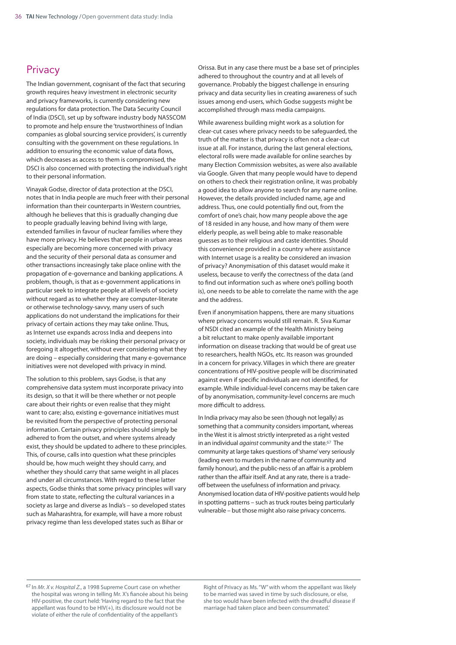# <span id="page-35-0"></span>**Privacy**

The Indian government, cognisant of the fact that securing growth requires heavy investment in electronic security and privacy frameworks, is currently considering new regulations for data protection. The Data Security Council of India (DSCI), set up by software industry body NASSCOM to promote and help ensure the 'trustworthiness of Indian companies as global sourcing service providers', is currently consulting with the government on these regulations. In addition to ensuring the economic value of data flows, which decreases as access to them is compromised, the DSCI is also concerned with protecting the individual's right to their personal information.

Vinayak Godse, director of data protection at the DSCI, notes that in India people are much freer with their personal information than their counterparts in Western countries, although he believes that this is gradually changing due to people gradually leaving behind living with large, extended families in favour of nuclear families where they have more privacy. He believes that people in urban areas especially are becoming more concerned with privacy and the security of their personal data as consumer and other transactions increasingly take place online with the propagation of e-governance and banking applications. A problem, though, is that as e-government applications in particular seek to integrate people at all levels of society without regard as to whether they are computer-literate or otherwise technology-savvy, many users of such applications do not understand the implications for their privacy of certain actions they may take online. Thus, as Internet use expands across India and deepens into society, individuals may be risking their personal privacy or foregoing it altogether, without ever considering what they are doing – especially considering that many e-governance initiatives were not developed with privacy in mind.

The solution to this problem, says Godse, is that any comprehensive data system must incorporate privacy into its design, so that it will be there whether or not people care about their rights or even realise that they might want to care; also, existing e-governance initiatives must be revisited from the perspective of protecting personal information. Certain privacy principles should simply be adhered to from the outset, and where systems already exist, they should be updated to adhere to these principles. This, of course, calls into question what these principles should be, how much weight they should carry, and whether they should carry that same weight in all places and under all circumstances. With regard to these latter aspects, Godse thinks that some privacy principles will vary from state to state, reflecting the cultural variances in a society as large and diverse as India's – so developed states such as Maharashtra, for example, will have a more robust privacy regime than less developed states such as Bihar or

Orissa. But in any case there must be a base set of principles adhered to throughout the country and at all levels of governance. Probably the biggest challenge in ensuring privacy and data security lies in creating awareness of such issues among end-users, which Godse suggests might be accomplished through mass media campaigns.

While awareness building might work as a solution for clear-cut cases where privacy needs to be safeguarded, the truth of the matter is that privacy is often not a clear-cut issue at all. For instance, during the last general elections, electoral rolls were made available for online searches by many Election Commission websites, as were also available via Google. Given that many people would have to depend on others to check their registration online, it was probably a good idea to allow anyone to search for any name online. However, the details provided included name, age and address. Thus, one could potentially find out, from the comfort of one's chair, how many people above the age of 18 resided in any house, and how many of them were elderly people, as well being able to make reasonable guesses as to their religious and caste identities. Should this convenience provided in a country where assistance with Internet usage is a reality be considered an invasion of privacy? Anonymisation of this dataset would make it useless, because to verify the correctness of the data (and to find out information such as where one's polling booth is), one needs to be able to correlate the name with the age and the address.

Even if anonymisation happens, there are many situations where privacy concerns would still remain. R. Siva Kumar of NSDI cited an example of the Health Ministry being a bit reluctant to make openly available important information on disease tracking that would be of great use to researchers, health NGOs, etc. Its reason was grounded in a concern for privacy. Villages in which there are greater concentrations of HIV-positive people will be discriminated against even if specific individuals are not identified, for example. While individual-level concerns may be taken care of by anonymisation, community-level concerns are much more difficult to address.

In India privacy may also be seen (though not legally) as something that a community considers important, whereas in the West it is almost strictly interpreted as a right vested in an individual *against* community and the state.67 The community at large takes questions of 'shame' very seriously (leading even to murders in the name of community and family honour), and the public-ness of an affair is a problem rather than the affair itself. And at any rate, there is a tradeoff between the usefulness of information and privacy. Anonymised location data of HIV-positive patients would help in spotting patterns – such as truck routes being particularly vulnerable – but those might also raise privacy concerns.

Right of Privacy as Ms. "W" with whom the appellant was likely to be married was saved in time by such disclosure, or else, she too would have been infected with the dreadful disease if marriage had taken place and been consummated.'

<sup>67</sup> In *Mr. X v. Hospital Z.*, a 1998 Supreme Court case on whether the hospital was wrong in telling Mr. X's fiancée about his being HIV-positive, the court held: 'Having regard to the fact that the appellant was found to be HIV(+), its disclosure would not be violate of either the rule of confidentiality of the appellant's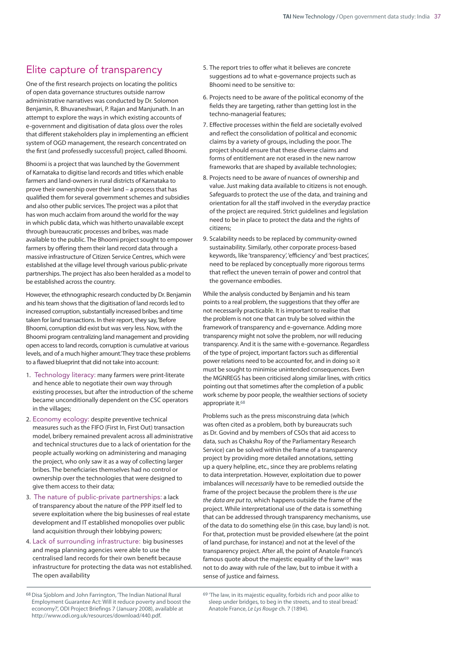# <span id="page-36-0"></span>Elite capture of transparency

One of the first research projects on locating the politics of open data governance structures outside narrow administrative narratives was conducted by Dr. Solomon Benjamin, R. Bhuvaneshwari, P. Rajan and Manjunath. In an attempt to explore the ways in which existing accounts of e-government and digitisation of data gloss over the roles that different stakeholders play in implementing an efficient system of OGD management, the research concentrated on the first (and professedly successful) project, called Bhoomi.

Bhoomi is a project that was launched by the Government of Karnataka to digitise land records and titles which enable farmers and land-owners in rural districts of Karnataka to prove their ownership over their land – a process that has qualified them for several government schemes and subsidies and also other public services. The project was a pilot that has won much acclaim from around the world for the way in which public data, which was hitherto unavailable except through bureaucratic processes and bribes, was made available to the public. The Bhoomi project sought to empower farmers by offering them their land record data through a massive infrastructure of Citizen Service Centres, which were established at the village level through various public-private partnerships. The project has also been heralded as a model to be established across the country.

However, the ethnographic research conducted by Dr. Benjamin and his team shows that the digitisation of land records led to increased corruption, substantially increased bribes and time taken for land transactions. In their report, they say, 'Before Bhoomi, corruption did exist but was very less. Now, with the Bhoomi program centralizing land management and providing open access to land records, corruption is cumulative at various levels, and of a much higher amount.' They trace these problems to a flawed blueprint that did not take into account:

- 1. Technology literacy: many farmers were print-literate and hence able to negotiate their own way through existing processes, but after the introduction of the scheme became unconditionally dependent on the CSC operators in the villages;
- 2. Economy ecology: despite preventive technical measures such as the FIFO (First In, First Out) transaction model, bribery remained prevalent across all administrative and technical structures due to a lack of orientation for the people actually working on administering and managing the project, who only saw it as a way of collecting larger bribes. The beneficiaries themselves had no control or ownership over the technologies that were designed to give them access to their data;
- 3. The nature of public-private partnerships: a lack of transparency about the nature of the PPP itself led to severe exploitation where the big businesses of real estate development and IT established monopolies over public land acquisition through their lobbying powers;
- 4. Lack of surrounding infrastructure: big businesses and mega planning agencies were able to use the centralised land records for their own benefit because infrastructure for protecting the data was not established. The open availability
- 5. The report tries to offer what it believes are concrete suggestions ad to what e-governance projects such as Bhoomi need to be sensitive to:
- 6. Projects need to be aware of the political economy of the fields they are targeting, rather than getting lost in the techno-managerial features;
- 7. Effective processes within the field are societally evolved and reflect the consolidation of political and economic claims by a variety of groups, including the poor. The project should ensure that these diverse claims and forms of entitlement are not erased in the new narrow frameworks that are shaped by available technologies;
- 8. Projects need to be aware of nuances of ownership and value. Just making data available to citizens is not enough. Safeguards to protect the use of the data, and training and orientation for all the staff involved in the everyday practice of the project are required. Strict guidelines and legislation need to be in place to protect the data and the rights of citizens;
- 9. Scalability needs to be replaced by community-owned sustainability. Similarly, other corporate process-based keywords, like 'transparency', 'efficiency' and 'best practices', need to be replaced by conceptually more rigorous terms that reflect the uneven terrain of power and control that the governance embodies.

While the analysis conducted by Benjamin and his team points to a real problem, the suggestions that they offer are not necessarily practicable. It is important to realise that the problem is not one that can truly be solved within the framework of transparency and e-governance. Adding more transparency might not solve the problem, nor will reducing transparency. And it is the same with e-governance. Regardless of the type of project, important factors such as differential power relations need to be accounted for, and in doing so it must be sought to minimise unintended consequences. Even the MGNREGS has been criticised along similar lines, with critics pointing out that sometimes after the completion of a public work scheme by poor people, the wealthier sections of society appropriate it.68

Problems such as the press misconstruing data (which was often cited as a problem, both by bureaucrats such as Dr. Govind and by members of CSOs that aid access to data, such as Chakshu Roy of the Parliamentary Research Service) can be solved within the frame of a transparency project by providing more detailed annotations, setting up a query helpline, etc., since they are problems relating to data interpretation. However, exploitation due to power imbalances will *necessarily* have to be remedied outside the frame of the project because the problem there is *the use the data are put to*, which happens outside the frame of the project. While interpretational use of the data is something that can be addressed through transparency mechanisms, use of the data to do something else (in this case, buy land) is not. For that, protection must be provided elsewhere (at the point of land purchase, for instance) and not at the level of the transparency project. After all, the point of Anatole France's famous quote about the majestic equality of the law<sup>69</sup> was not to do away with rule of the law, but to imbue it with a sense of justice and fairness.

<sup>68</sup> Disa Sjoblom and John Farrington, 'The Indian National Rural Employment Guarantee Act: Will it reduce poverty and boost the economy?', ODI Project Briefings 7 (January 2008), available at [http://www.odi.org.uk/resources/download/440.pdf](http://).

<sup>&</sup>lt;sup>69</sup> 'The law, in its majestic equality, forbids rich and poor alike to sleep under bridges, to beg in the streets, and to steal bread.' Anatole France, *Le Lys Rouge* ch. 7 (1894).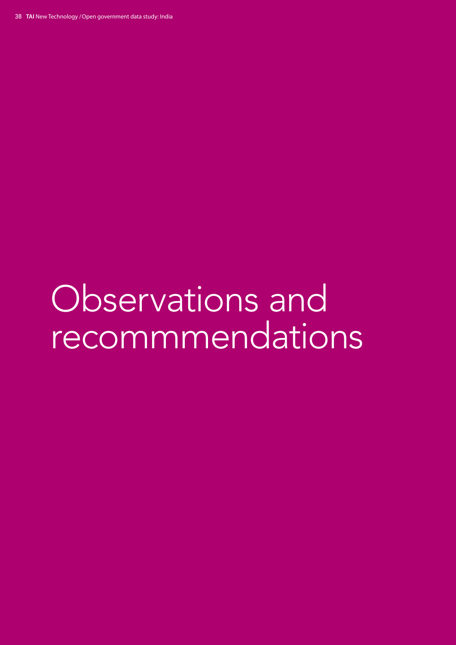# <span id="page-37-0"></span>Observations and recommmendations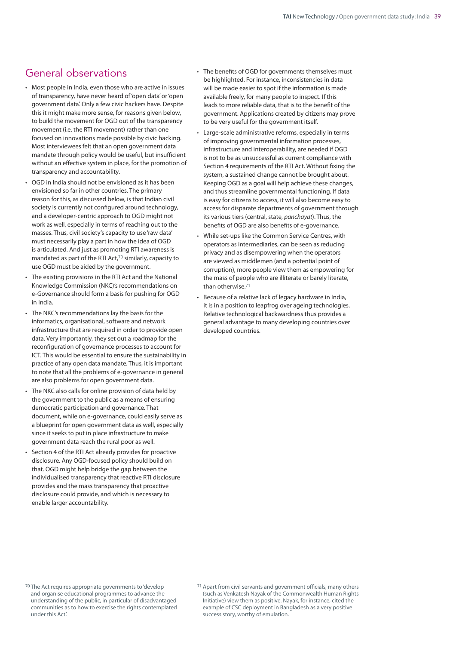# <span id="page-38-0"></span>General observations

- Most people in India, even those who are active in issues of transparency, have never heard of 'open data' or 'open government data'. Only a few civic hackers have. Despite this it might make more sense, for reasons given below, to build the movement for OGD out of the transparency movement (i.e. the RTI movement) rather than one focused on innovations made possible by civic hacking. Most interviewees felt that an open government data mandate through policy would be useful, but insufficient without an effective system in place, for the promotion of transparency and accountability.
- OGD in India should not be envisioned as it has been envisioned so far in other countries. The primary reason for this, as discussed below, is that Indian civil society is currently not configured around technology, and a developer-centric approach to OGD might not work as well, especially in terms of reaching out to the masses. Thus, civil society's capacity to use 'raw data' must necessarily play a part in how the idea of OGD is articulated. And just as promoting RTI awareness is mandated as part of the RTI Act,70 similarly, capacity to use OGD must be aided by the government.
- The existing provisions in the RTI Act and the National Knowledge Commission (NKC)'s recommendations on e-Governance should form a basis for pushing for OGD in India.
- • The NKC's recommendations lay the basis for the informatics, organisational, software and network infrastructure that are required in order to provide open data. Very importantly, they set out a roadmap for the reconfiguration of governance processes to account for ICT. This would be essential to ensure the sustainability in practice of any open data mandate. Thus, it is important to note that all the problems of e-governance in general are also problems for open government data.
- The NKC also calls for online provision of data held by the government to the public as a means of ensuring democratic participation and governance. That document, while on e-governance, could easily serve as a blueprint for open government data as well, especially since it seeks to put in place infrastructure to make government data reach the rural poor as well.
- Section 4 of the RTI Act already provides for proactive disclosure. Any OGD-focused policy should build on that. OGD might help bridge the gap between the individualised transparency that reactive RTI disclosure provides and the mass transparency that proactive disclosure could provide, and which is necessary to enable larger accountability.
- The benefits of OGD for governments themselves must be highlighted. For instance, inconsistencies in data will be made easier to spot if the information is made available freely, for many people to inspect. If this leads to more reliable data, that is to the benefit of the government. Applications created by citizens may prove to be very useful for the government itself.
- Large-scale administrative reforms, especially in terms of improving governmental information processes, infrastructure and interoperability, are needed if OGD is not to be as unsuccessful as current compliance with Section 4 requirements of the RTI Act. Without fixing the system, a sustained change cannot be brought about. Keeping OGD as a goal will help achieve these changes, and thus streamline governmental functioning. If data is easy for citizens to access, it will also become easy to access for disparate departments of government through its various tiers (central, state, *panchayat*). Thus, the benefits of OGD are also benefits of e-governance.
- While set-ups like the Common Service Centres, with operators as intermediaries, can be seen as reducing privacy and as disempowering when the operators are viewed as middlemen (and a potential point of corruption), more people view them as empowering for the mass of people who are illiterate or barely literate, than otherwise.71
- Because of a relative lack of legacy hardware in India, it is in a position to leapfrog over ageing technologies. Relative technological backwardness thus provides a general advantage to many developing countries over developed countries.

<sup>70</sup> The Act requires appropriate governments to 'develop and organise educational programmes to advance the understanding of the public, in particular of disadvantaged communities as to how to exercise the rights contemplated under this Act'.

<sup>71</sup> Apart from civil servants and government officials, many others (such as Venkatesh Nayak of the Commonwealth Human Rights Initiative) view them as positive. Nayak, for instance, cited the example of CSC deployment in Bangladesh as a very positive success story, worthy of emulation.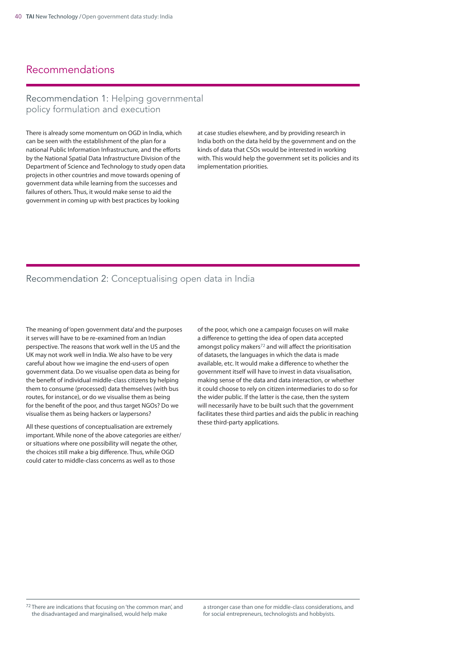# <span id="page-39-0"></span>Recommendations

### Recommendation 1: Helping governmental policy formulation and execution

There is already some momentum on OGD in India, which can be seen with the establishment of the plan for a national Public Information Infrastructure, and the efforts by the National Spatial Data Infrastructure Division of the Department of Science and Technology to study open data projects in other countries and move towards opening of government data while learning from the successes and failures of others. Thus, it would make sense to aid the government in coming up with best practices by looking

at case studies elsewhere, and by providing research in India both on the data held by the government and on the kinds of data that CSOs would be interested in working with. This would help the government set its policies and its implementation priorities.

## Recommendation 2: Conceptualising open data in India

The meaning of 'open government data' and the purposes it serves will have to be re-examined from an Indian perspective. The reasons that work well in the US and the UK may not work well in India. We also have to be very careful about how we imagine the end-users of open government data. Do we visualise open data as being for the benefit of individual middle-class citizens by helping them to consume (processed) data themselves (with bus routes, for instance), or do we visualise them as being for the benefit of the poor, and thus target NGOs? Do we visualise them as being hackers or laypersons?

All these questions of conceptualisation are extremely important. While none of the above categories are either/ or situations where one possibility will negate the other, the choices still make a big difference. Thus, while OGD could cater to middle-class concerns as well as to those

of the poor, which one a campaign focuses on will make a difference to getting the idea of open data accepted amongst policy makers<sup>72</sup> and will affect the prioritisation of datasets, the languages in which the data is made available, etc. It would make a difference to whether the government itself will have to invest in data visualisation, making sense of the data and data interaction, or whether it could choose to rely on citizen intermediaries to do so for the wider public. If the latter is the case, then the system will necessarily have to be built such that the government facilitates these third parties and aids the public in reaching these third-party applications.

72 There are indications that focusing on 'the common man', and the disadvantaged and marginalised, would help make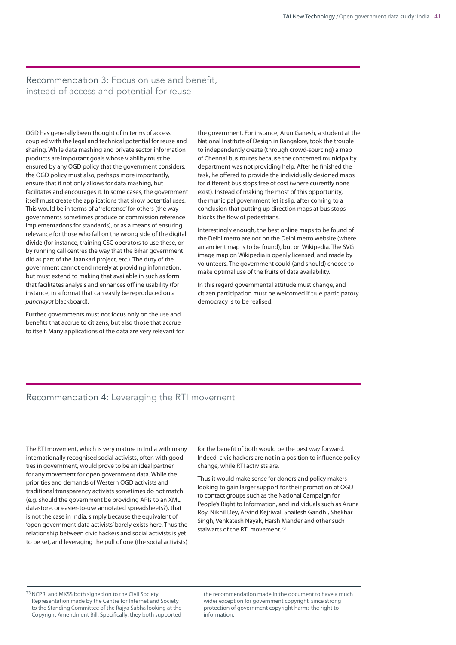#### Recommendation 3: Focus on use and benefit, instead of access and potential for reuse

OGD has generally been thought of in terms of access coupled with the legal and technical potential for reuse and sharing. While data mashing and private sector information products are important goals whose viability must be ensured by any OGD policy that the government considers, the OGD policy must also, perhaps more importantly, ensure that it not only allows for data mashing, but facilitates and encourages it. In some cases, the government itself must create the applications that show potential uses. This would be in terms of a 'reference' for others (the way governments sometimes produce or commission reference implementations for standards), or as a means of ensuring relevance for those who fall on the wrong side of the digital divide (for instance, training CSC operators to use these, or by running call centres the way that the Bihar government did as part of the Jaankari project, etc.). The duty of the government cannot end merely at providing information, but must extend to making that available in such as form that facilitates analysis and enhances offline usability (for instance, in a format that can easily be reproduced on a *panchayat* blackboard).

Further, governments must not focus only on the use and benefits that accrue to citizens, but also those that accrue to itself. Many applications of the data are very relevant for the government. For instance, Arun Ganesh, a student at the National Institute of Design in Bangalore, took the trouble to independently create (through crowd-sourcing) a map of Chennai bus routes because the concerned municipality department was not providing help. After he finished the task, he offered to provide the individually designed maps for different bus stops free of cost (where currently none exist). Instead of making the most of this opportunity, the municipal government let it slip, after coming to a conclusion that putting up direction maps at bus stops blocks the flow of pedestrians.

Interestingly enough, the best online maps to be found of the Delhi metro are not on the Delhi metro website (where an ancient map is to be found), but on Wikipedia. The SVG image map on Wikipedia is openly licensed, and made by volunteers. The government could (and should) choose to make optimal use of the fruits of data availability.

In this regard governmental attitude must change, and citizen participation must be welcomed if true participatory democracy is to be realised.

#### Recommendation 4: Leveraging the RTI movement

The RTI movement, which is very mature in India with many internationally recognised social activists, often with good ties in government, would prove to be an ideal partner for any movement for open government data. While the priorities and demands of Western OGD activists and traditional transparency activists sometimes do not match (e.g. should the government be providing APIs to an XML datastore, or easier-to-use annotated spreadsheets?), that is not the case in India, simply because the equivalent of 'open government data activists' barely exists here. Thus the relationship between civic hackers and social activists is yet to be set, and leveraging the pull of one (the social activists) for the benefit of both would be the best way forward. Indeed, civic hackers are not in a position to influence policy change, while RTI activists are.

Thus it would make sense for donors and policy makers looking to gain larger support for their promotion of OGD to contact groups such as the National Campaign for People's Right to Information, and individuals such as Aruna Roy, Nikhil Dey, Arvind Kejriwal, Shailesh Gandhi, Shekhar Singh, Venkatesh Nayak, Harsh Mander and other such stalwarts of the RTI movement.73

73 NCPRI and MKSS both signed on to the Civil Society Representation made by the Centre for Internet and Society to the Standing Committee of the Rajya Sabha looking at the Copyright Amendment Bill. Specifically, they both supported the recommendation made in the document to have a much wider exception for government copyright, since strong protection of government copyright harms the right to information.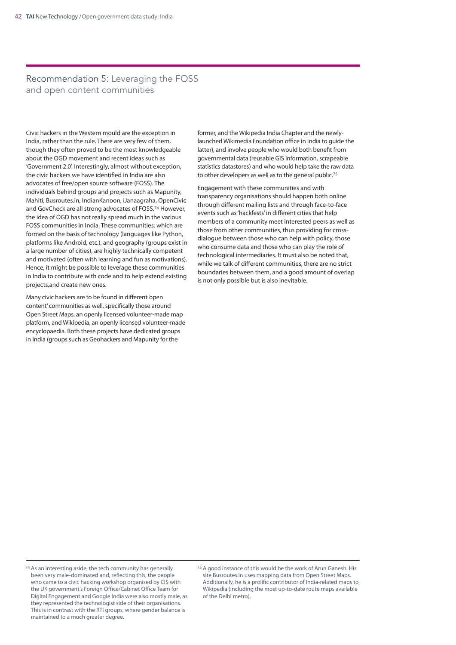#### Recommendation 5: Leveraging the FOSS and open content communities

Civic hackers in the Western mould are the exception in India, rather than the rule. There are very few of them, though they often proved to be the most knowledgeable about the OGD movement and recent ideas such as 'Government 2.0'. Interestingly, almost without exception, the civic hackers we have identified in India are also advocates of free/open source software (FOSS). The individuals behind groups and projects such as Mapunity, Mahiti, Busroutes.in, IndianKanoon, iJanaagraha, OpenCivic and GovCheck are all strong advocates of FOSS.74 However, the idea of OGD has not really spread much in the various FOSS communities in India. These communities, which are formed on the basis of technology (languages like Python, platforms like Android, etc.), and geography (groups exist in a large number of cities), are highly technically competent and motivated (often with learning and fun as motivations). Hence, it might be possible to leverage these communities in India to contribute with code and to help extend existing projects,and create new ones.

Many civic hackers are to be found in different 'open content' communities as well, specifically those around Open Street Maps, an openly licensed volunteer-made map platform, and Wikipedia, an openly licensed volunteer-made encyclopaedia. Both these projects have dedicated groups in India (groups such as Geohackers and Mapunity for the

former, and the Wikipedia India Chapter and the newlylaunched Wikimedia Foundation office in India to guide the latter), and involve people who would both benefit from governmental data (reusable GIS information, scrapeable statistics datastores) and who would help take the raw data to other developers as well as to the general public.<sup>75</sup>

Engagement with these communities and with transparency organisations should happen both online through different mailing lists and through face-to-face events such as 'hackfests' in different cities that help members of a community meet interested peers as well as those from other communities, thus providing for crossdialogue between those who can help with policy, those who consume data and those who can play the role of technological intermediaries. It must also be noted that, while we talk of different communities, there are no strict boundaries between them, and a good amount of overlap is not only possible but is also inevitable.

<sup>74</sup> As an interesting aside, the tech community has generally been very male-dominated and, reflecting this, the people who came to a civic hacking workshop organised by CIS with the UK government's Foreign Office/Cabinet Office Team for Digital Engagement and Google India were also mostly male, as they represented the technologist side of their organisations. This is in contrast with the RTI groups, where gender balance is maintained to a much greater degree.

<sup>75</sup> A good instance of this would be the work of Arun Ganesh. His site Busroutes.in uses mapping data from Open Street Maps. Additionally, he is a prolific contributor of India-related maps to Wikipedia (including the most up-to-date route maps available of the Delhi metro).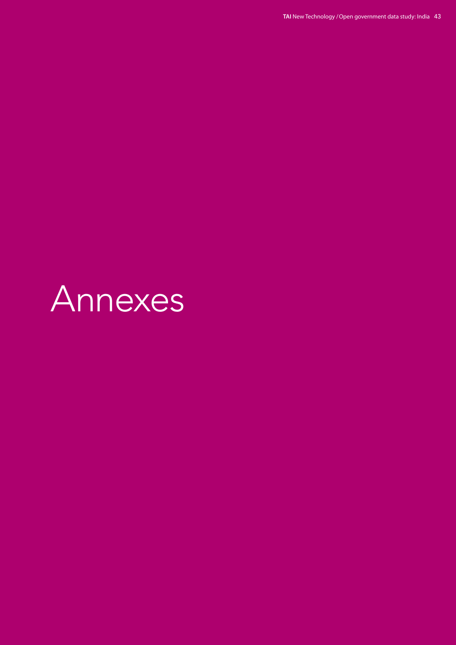# <span id="page-42-0"></span>Annexes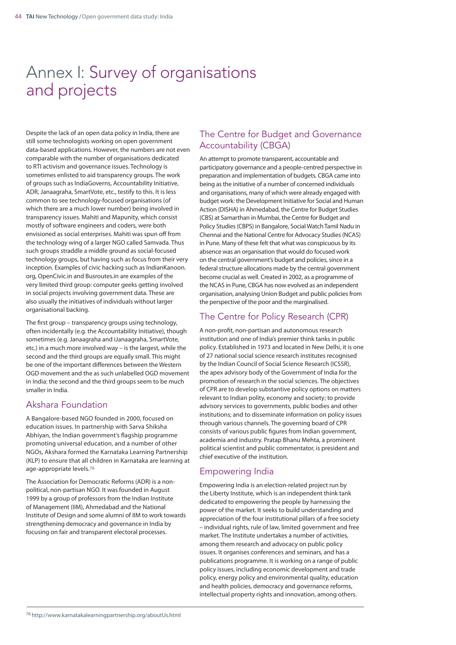# <span id="page-43-0"></span>Annex I: Survey of organisations and projects

Despite the lack of an open data policy in India, there are still some technologists working on open government data-based applications. However, the numbers are not even comparable with the number of organisations dedicated to RTI activism and governance issues. Technology is sometimes enlisted to aid transparency groups. The work of groups such as IndiaGoverns, Accountability Initiative, ADR, Janaagraha, SmartVote, etc., testify to this. It is less common to see technology-focused organisations (of which there are a much lower number) being involved in transparency issues. Mahiti and Mapunity, which consist mostly of software engineers and coders, were both envisioned as social enterprises. Mahiti was spun off from the technology wing of a larger NGO called Samvada. Thus such groups straddle a middle ground as social-focused technology groups, but having such as focus from their very inception. Examples of civic hacking such as IndianKanoon. org, OpenCivic.in and Busroutes.in are examples of the very limited third group: computer geeks getting involved in social projects involving government data. These are also usually the initiatives of individuals without larger organisational backing.

The first group – transparency groups using technology, often incidentally (e.g. the Accountability Initiative), though sometimes (e.g. Janaagraha and iJanaagraha, SmartVote, etc.) in a much more involved way – is the largest, while the second and the third groups are equally small. This might be one of the important differences between the Western OGD movement and the as such unlabelled OGD movement in India: the second and the third groups seem to be much smaller in India.

## Akshara Foundation

A Bangalore-based NGO founded in 2000, focused on education issues. In partnership with Sarva Shiksha Abhiyan, the Indian government's flagship programme promoting universal education, and a number of other NGOs, Akshara formed the Karnataka Learning Partnership (KLP) to ensure that all children in Karnataka are learning at age-appropriate levels.76

The Association for Democratic Reforms (ADR) is a nonpolitical, non-partisan NGO. It was founded in August 1999 by a group of professors from the Indian Institute of Management (IIM), Ahmedabad and the National Institute of Design and some alumni of IIM to work towards strengthening democracy and governance in India by focusing on fair and transparent electoral processes.

# The Centre for Budget and Governance Accountability (CBGA)

An attempt to promote transparent, accountable and participatory governance and a people-centred perspective in preparation and implementation of budgets. CBGA came into being as the initiative of a number of concerned individuals and organisations, many of which were already engaged with budget work: the Development Initiative for Social and Human Action (DISHA) in Ahmedabad, the Centre for Budget Studies (CBS) at Samarthan in Mumbai, the Centre for Budget and Policy Studies (CBPS) in Bangalore, Social Watch Tamil Nadu in Chennai and the National Centre for Advocacy Studies (NCAS) in Pune. Many of these felt that what was conspicuous by its absence was an organisation that would do focused work on the central government's budget and policies, since in a federal structure allocations made by the central government become crucial as well. Created in 2002, as a programme of the NCAS in Pune, CBGA has now evolved as an independent organisation, analysing Union Budget and public policies from the perspective of the poor and the marginalised.

# The Centre for Policy Research (CPR)

A non-profit, non-partisan and autonomous research institution and one of India's premier think tanks in public policy. Established in 1973 and located in New Delhi, it is one of 27 national social science research institutes recognised by the Indian Council of Social Science Research (ICSSR), the apex advisory body of the Government of India for the promotion of research in the social sciences. The objectives of CPR are to develop substantive policy options on matters relevant to Indian polity, economy and society; to provide advisory services to governments, public bodies and other institutions; and to disseminate information on policy issues through various channels. The governing board of CPR consists of various public figures from Indian government, academia and industry. Pratap Bhanu Mehta, a prominent political scientist and public commentator, is president and chief executive of the institution.

# Empowering India

Empowering India is an election-related project run by the Liberty Institute, which is an independent think tank dedicated to empowering the people by harnessing the power of the market. It seeks to build understanding and appreciation of the four institutional pillars of a free society – individual rights, rule of law, limited government and free market. The Institute undertakes a number of activities, among them research and advocacy on public policy issues. It organises conferences and seminars, and has a publications programme. It is working on a range of public policy issues, including economic development and trade policy, energy policy and environmental quality, education and health policies, democracy and governance reforms, intellectual property rights and innovation, among others.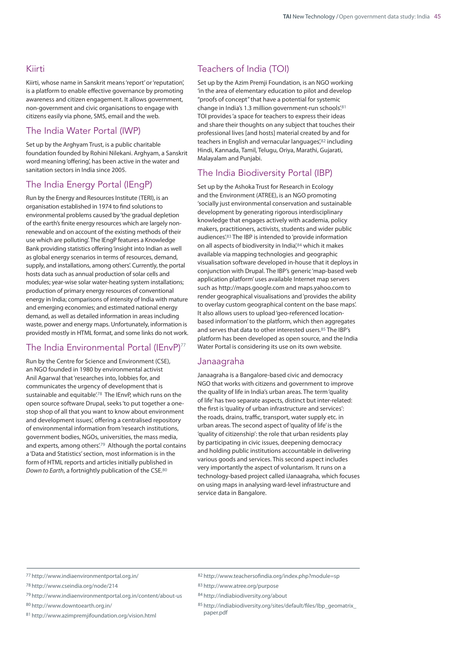#### Kiirti

Kiirti, whose name in Sanskrit means 'report' or 'reputation', is a platform to enable effective governance by promoting awareness and citizen engagement. It allows government, non-government and civic organisations to engage with citizens easily via phone, SMS, email and the web.

#### The India Water Portal (IWP)

Set up by the Arghyam Trust, is a public charitable foundation founded by Rohini Nilekani. Arghyam, a Sanskrit word meaning 'offering', has been active in the water and sanitation sectors in India since 2005.

#### The India Energy Portal (IEngP)

Run by the Energy and Resources Institute (TERI), is an organisation established in 1974 to find solutions to environmental problems caused by 'the gradual depletion of the earth's finite energy resources which are largely nonrenewable and on account of the existing methods of their use which are polluting'. The IEngP features a Knowledge Bank providing statistics offering 'insight into Indian as well as global energy scenarios in terms of resources, demand, supply, and installations, among others'. Currently, the portal hosts data such as annual production of solar cells and modules; year-wise solar water-heating system installations; production of primary energy resources of conventional energy in India; comparisons of intensity of India with mature and emerging economies; and estimated national energy demand, as well as detailed information in areas including waste, power and energy maps. Unfortunately, information is provided mostly in HTML format, and some links do not work.

#### The India Environmental Portal (IEnvP)<sup>77</sup>

Run by the Centre for Science and Environment (CSE), an NGO founded in 1980 by environmental activist Anil Agarwal that 'researches into, lobbies for, and communicates the urgency of development that is sustainable and equitable<sup>'78</sup> The IEnvP, which runs on the open source software Drupal, seeks 'to put together a onestop shop of all that you want to know about environment and development issues', offering a centralised repository of environmental information from 'research institutions, government bodies, NGOs, universities, the mass media, and experts, among others<sup>'79</sup> Although the portal contains a 'Data and Statistics' section, most information is in the form of HTML reports and articles initially published in *Down to Earth*, a fortnightly publication of the CSE.80

# Teachers of India (TOI)

Set up by the Azim Premji Foundation, is an NGO working 'in the area of elementary education to pilot and develop "proofs of concept" that have a potential for systemic change in India's 1.3 million government-run schools'.81 TOI provides 'a space for teachers to express their ideas and share their thoughts on any subject that touches their professional lives [and hosts] material created by and for teachers in English and vernacular languages<sup>'82</sup> including Hindi, Kannada, Tamil, Telugu, Oriya, Marathi, Gujarati, Malayalam and Punjabi.

#### The India Biodiversity Portal (IBP)

Set up by the Ashoka Trust for Research in Ecology and the Environment (ATREE), is an NGO promoting 'socially just environmental conservation and sustainable development by generating rigorous interdisciplinary knowledge that engages actively with academia, policy makers, practitioners, activists, students and wider public audiences'.<sup>83</sup> The IBP is intended to 'provide information on all aspects of biodiversity in India', 84 which it makes available via mapping technologies and geographic visualisation software developed in-house that it deploys in conjunction with Drupal. The IBP's generic 'map-based web application platform' uses available Internet map servers such as http://maps.google.com and maps.yahoo.com to render geographical visualisations and 'provides the ability to overlay custom geographical content on the base maps'. It also allows users to upload 'geo-referenced locationbased information' to the platform, which then aggregates and serves that data to other interested users.<sup>85</sup> The IBP's platform has been developed as open source, and the India Water Portal is considering its use on its own website.

#### Janaagraha

Janaagraha is a Bangalore-based civic and democracy NGO that works with citizens and government to improve the quality of life in India's urban areas. The term 'quality of life' has two separate aspects, distinct but inter-related: the first is 'quality of urban infrastructure and services': the roads, drains, traffic, transport, water supply etc. in urban areas. The second aspect of 'quality of life' is the 'quality of citizenship': the role that urban residents play by participating in civic issues, deepening democracy and holding public institutions accountable in delivering various goods and services. This second aspect includes very importantly the aspect of voluntarism. It runs on a technology-based project called iJanaagraha, which focuses on using maps in analysing ward-level infrastructure and service data in Bangalore.

80 [http://www.downtoearth.org.in/](http://)

82 [http://www.teachersofindia.org/index.php?module=sp](http://)

85 [http://indiabiodiversity.org/sites/default/files/Ibp\\_geomatrix\\_](http://) [paper.pdf](http://)

<sup>77</sup> [http://www.indiaenvironmentportal.org.in/](http://)

<sup>78</sup> [http://www.cseindia.org/node/214](http://)

<sup>79</sup> [http://www.indiaenvironmentportal.org.in/content/about-us](http://)

<sup>81</sup> [http://www.azimpremjifoundation.org/vision.html](http://)

<sup>83</sup> [http://www.atree.org/purpose](http://)

<sup>84</sup> [http://indiabiodiversity.org/about](http://)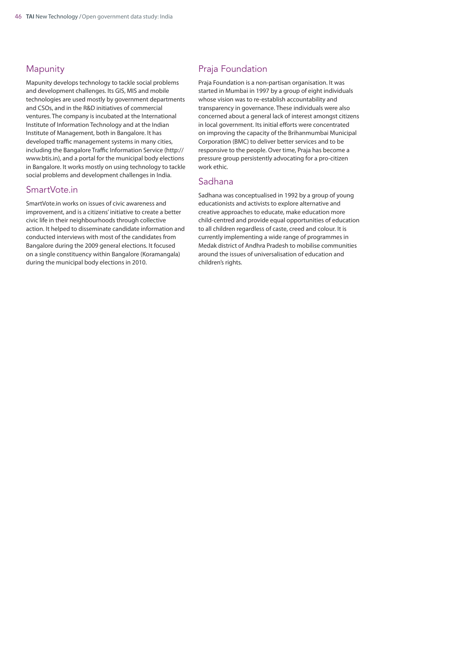#### Mapunity

Mapunity develops technology to tackle social problems and development challenges. Its GIS, MIS and mobile technologies are used mostly by government departments and CSOs, and in the R&D initiatives of commercial ventures. The company is incubated at the International Institute of Information Technology and at the Indian Institute of Management, both in Bangalore. It has developed traffic management systems in many cities, including the Bangalore Traffic Information Service (http:// www.btis.in), and a portal for the municipal body elections in Bangalore. It works mostly on using technology to tackle social problems and development challenges in India.

#### SmartVote.in

SmartVote.in works on issues of civic awareness and improvement, and is a citizens' initiative to create a better civic life in their neighbourhoods through collective action. It helped to disseminate candidate information and conducted interviews with most of the candidates from Bangalore during the 2009 general elections. It focused on a single constituency within Bangalore (Koramangala) during the municipal body elections in 2010.

#### Praja Foundation

Praja Foundation is a non-partisan organisation. It was started in Mumbai in 1997 by a group of eight individuals whose vision was to re-establish accountability and transparency in governance. These individuals were also concerned about a general lack of interest amongst citizens in local government. Its initial efforts were concentrated on improving the capacity of the Brihanmumbai Municipal Corporation (BMC) to deliver better services and to be responsive to the people. Over time, Praja has become a pressure group persistently advocating for a pro-citizen work ethic.

#### Sadhana

Sadhana was conceptualised in 1992 by a group of young educationists and activists to explore alternative and creative approaches to educate, make education more child-centred and provide equal opportunities of education to all children regardless of caste, creed and colour. It is currently implementing a wide range of programmes in Medak district of Andhra Pradesh to mobilise communities around the issues of universalisation of education and children's rights.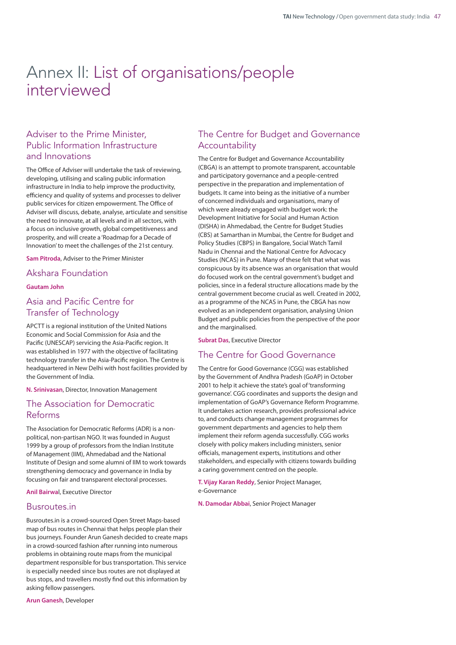# <span id="page-46-0"></span>Annex II: List of organisations/people interviewed

## Adviser to the Prime Minister, Public Information Infrastructure and Innovations

The Office of Adviser will undertake the task of reviewing, developing, utilising and scaling public information infrastructure in India to help improve the productivity, efficiency and quality of systems and processes to deliver public services for citizen empowerment. The Office of Adviser will discuss, debate, analyse, articulate and sensitise the need to innovate, at all levels and in all sectors, with a focus on inclusive growth, global competitiveness and prosperity, and will create a 'Roadmap for a Decade of Innovation' to meet the challenges of the 21st century.

**Sam Pitroda**, Adviser to the Primer Minister

#### Akshara Foundation

#### **Gautam John**

## Asia and Pacific Centre for Transfer of Technology

APCTT is a regional institution of the United Nations Economic and Social Commission for Asia and the Pacific (UNESCAP) servicing the Asia-Pacific region. It was established in 1977 with the objective of facilitating technology transfer in the Asia-Pacific region. The Centre is headquartered in New Delhi with host facilities provided by the Government of India.

**N. Srinivasan**, Director, Innovation Management

#### The Association for Democratic Reforms

The Association for Democratic Reforms (ADR) is a nonpolitical, non-partisan NGO. It was founded in August 1999 by a group of professors from the Indian Institute of Management (IIM), Ahmedabad and the National Institute of Design and some alumni of IIM to work towards strengthening democracy and governance in India by focusing on fair and transparent electoral processes.

**Anil Bairwa**l, Executive Director

#### Busroutes.in

Busroutes.in is a crowd-sourced Open Street Maps-based map of bus routes in Chennai that helps people plan their bus journeys. Founder Arun Ganesh decided to create maps in a crowd-sourced fashion after running into numerous problems in obtaining route maps from the municipal department responsible for bus transportation. This service is especially needed since bus routes are not displayed at bus stops, and travellers mostly find out this information by asking fellow passengers.

**Arun Ganesh**, Developer

#### The Centre for Budget and Governance Accountability

The Centre for Budget and Governance Accountability (CBGA) is an attempt to promote transparent, accountable and participatory governance and a people-centred perspective in the preparation and implementation of budgets. It came into being as the initiative of a number of concerned individuals and organisations, many of which were already engaged with budget work: the Development Initiative for Social and Human Action (DISHA) in Ahmedabad, the Centre for Budget Studies (CBS) at Samarthan in Mumbai, the Centre for Budget and Policy Studies (CBPS) in Bangalore, Social Watch Tamil Nadu in Chennai and the National Centre for Advocacy Studies (NCAS) in Pune. Many of these felt that what was conspicuous by its absence was an organisation that would do focused work on the central government's budget and policies, since in a federal structure allocations made by the central government become crucial as well. Created in 2002, as a programme of the NCAS in Pune, the CBGA has now evolved as an independent organisation, analysing Union Budget and public policies from the perspective of the poor and the marginalised.

**Subrat Das**, Executive Director

#### The Centre for Good Governance

The Centre for Good Governance (CGG) was established by the Government of Andhra Pradesh (GoAP) in October 2001 to help it achieve the state's goal of 'transforming governance'. CGG coordinates and supports the design and implementation of GoAP's Governance Reform Programme. It undertakes action research, provides professional advice to, and conducts change management programmes for government departments and agencies to help them implement their reform agenda successfully. CGG works closely with policy makers including ministers, senior officials, management experts, institutions and other stakeholders, and especially with citizens towards building a caring government centred on the people.

**T. Vijay Karan Reddy**, Senior Project Manager, e-Governance

**N. Damodar Abbai**, Senior Project Manager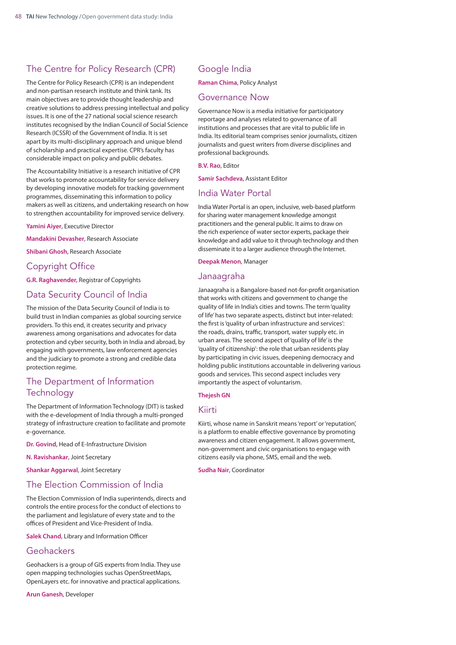# The Centre for Policy Research (CPR)

The Centre for Policy Research (CPR) is an independent and non-partisan research institute and think tank. Its main objectives are to provide thought leadership and creative solutions to address pressing intellectual and policy issues. It is one of the 27 national social science research institutes recognised by the Indian Council of Social Science Research (ICSSR) of the Government of India. It is set apart by its multi-disciplinary approach and unique blend of scholarship and practical expertise. CPR's faculty has considerable impact on policy and public debates.

The Accountability Initiative is a research initiative of CPR that works to promote accountability for service delivery by developing innovative models for tracking government programmes, disseminating this information to policy makers as well as citizens, and undertaking research on how to strengthen accountability for improved service delivery.

**Yamini Aiyer**, Executive Director

**Mandakini Devasher**, Research Associate

**Shibani Ghosh**, Research Associate

#### Copyright Office

**G.R. Raghavender,** Registrar of Copyrights

#### Data Security Council of India

The mission of the Data Security Council of India is to build trust in Indian companies as global sourcing service providers. To this end, it creates security and privacy awareness among organisations and advocates for data protection and cyber security, both in India and abroad, by engaging with governments, law enforcement agencies and the judiciary to promote a strong and credible data protection regime.

## The Department of Information **Technology**

The Department of Information Technology (DIT) is tasked with the e-development of India through a multi-pronged strategy of infrastructure creation to facilitate and promote e-governance.

- **Dr. Govind**, Head of E-Infrastructure Division
- **N. Ravishankar**, Joint Secretary

**Shankar Aggarwal**, Joint Secretary

#### The Election Commission of India

The Election Commission of India superintends, directs and controls the entire process for the conduct of elections to the parliament and legislature of every state and to the offices of President and Vice-President of India.

**Salek Chand**, Library and Information Officer

#### Geohackers

Geohackers is a group of GIS experts from India. They use open mapping technologies suchas OpenStreetMaps, OpenLayers etc. for innovative and practical applications.

**Arun Ganesh**, Developer

#### Google India

**Raman Chima**, Policy Analyst

#### Governance Now

Governance Now is a media initiative for participatory reportage and analyses related to governance of all institutions and processes that are vital to public life in India. Its editorial team comprises senior journalists, citizen journalists and guest writers from diverse disciplines and professional backgrounds.

#### **B.V. Rao**, Editor

**Samir Sachdeva**, Assistant Editor

#### India Water Portal

India Water Portal is an open, inclusive, web-based platform for sharing water management knowledge amongst practitioners and the general public. It aims to draw on the rich experience of water sector experts, package their knowledge and add value to it through technology and then disseminate it to a larger audience through the Internet.

**Deepak Menon**, Manager

#### Janaagraha

Janaagraha is a Bangalore-based not-for-profit organisation that works with citizens and government to change the quality of life in India's cities and towns. The term 'quality of life' has two separate aspects, distinct but inter-related: the first is 'quality of urban infrastructure and services': the roads, drains, traffic, transport, water supply etc. in urban areas. The second aspect of 'quality of life' is the 'quality of citizenship': the role that urban residents play by participating in civic issues, deepening democracy and holding public institutions accountable in delivering various goods and services. This second aspect includes very importantly the aspect of voluntarism.

#### **Thejesh GN**

#### Kiirti

Kiirti, whose name in Sanskrit means 'report' or 'reputation', is a platform to enable effective governance by promoting awareness and citizen engagement. It allows government, non-government and civic organisations to engage with citizens easily via phone, SMS, email and the web.

**Sudha Nair**, Coordinator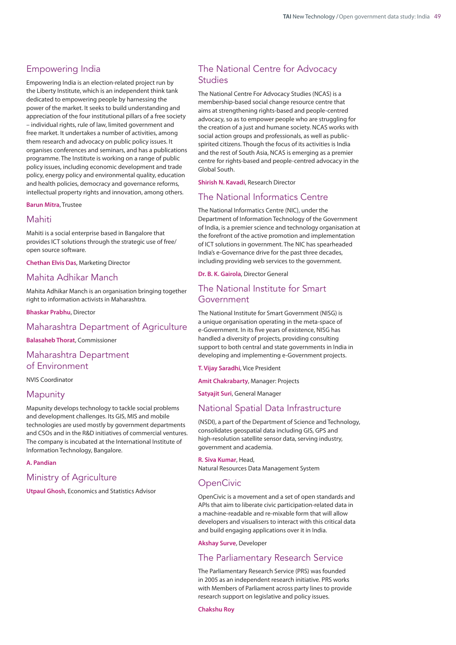#### Empowering India

Empowering India is an election-related project run by the Liberty Institute, which is an independent think tank dedicated to empowering people by harnessing the power of the market. It seeks to build understanding and appreciation of the four institutional pillars of a free society – individual rights, rule of law, limited government and free market. It undertakes a number of activities, among them research and advocacy on public policy issues. It organises conferences and seminars, and has a publications programme. The Institute is working on a range of public policy issues, including economic development and trade policy, energy policy and environmental quality, education and health policies, democracy and governance reforms, intellectual property rights and innovation, among others.

**Barun Mitra**, Trustee

#### Mahiti

Mahiti is a social enterprise based in Bangalore that provides ICT solutions through the strategic use of free/ open source software.

**Chethan Elvis Das**, Marketing Director

#### Mahita Adhikar Manch

Mahita Adhikar Manch is an organisation bringing together right to information activists in Maharashtra.

**Bhaskar Prabhu**, Director

#### Maharashtra Department of Agriculture

**Balasaheb Thorat**, Commissioner

#### Maharashtra Department of Environment

NVIS Coordinator

#### **Mapunity**

Mapunity develops technology to tackle social problems and development challenges. Its GIS, MIS and mobile technologies are used mostly by government departments and CSOs and in the R&D initiatives of commercial ventures. The company is incubated at the International Institute of Information Technology, Bangalore.

#### **A. Pandian**

#### Ministry of Agriculture

**Utpaul Ghosh**, Economics and Statistics Advisor

#### The National Centre for Advocacy **Studies**

The National Centre For Advocacy Studies (NCAS) is a membership-based social change resource centre that aims at strengthening rights-based and people-centred advocacy, so as to empower people who are struggling for the creation of a just and humane society. NCAS works with social action groups and professionals, as well as publicspirited citizens. Though the focus of its activities is India and the rest of South Asia, NCAS is emerging as a premier centre for rights-based and people-centred advocacy in the Global South.

**Shirish N. Kavadi**, Research Director

#### The National Informatics Centre

The National Informatics Centre (NIC), under the Department of Information Technology of the Government of India, is a premier science and technology organisation at the forefront of the active promotion and implementation of ICT solutions in government. The NIC has spearheaded India's e-Governance drive for the past three decades, including providing web services to the government.

**Dr. B. K. Gairola**, Director General

#### The National Institute for Smart Government

The National Institute for Smart Government (NISG) is a unique organisation operating in the meta-space of e-Government. In its five years of existence, NISG has handled a diversity of projects, providing consulting support to both central and state governments in India in developing and implementing e-Government projects.

**T. Vijay Saradhi**, Vice President

**Amit Chakrabarty**, Manager: Projects

**Satyajit Suri**, General Manager

#### National Spatial Data Infrastructure

(NSDI), a part of the Department of Science and Technology, consolidates geospatial data including GIS, GPS and high-resolution satellite sensor data, serving industry, government and academia.

**R. Siva Kumar**, Head, Natural Resources Data Management System

#### **OpenCivic**

OpenCivic is a movement and a set of open standards and APIs that aim to liberate civic participation-related data in a machine-readable and re-mixable form that will allow developers and visualisers to interact with this critical data and build engaging applications over it in India.

**Akshay Surve**, Developer

#### The Parliamentary Research Service

The Parliamentary Research Service (PRS) was founded in 2005 as an independent research initiative. PRS works with Members of Parliament across party lines to provide research support on legislative and policy issues.

**Chakshu Roy**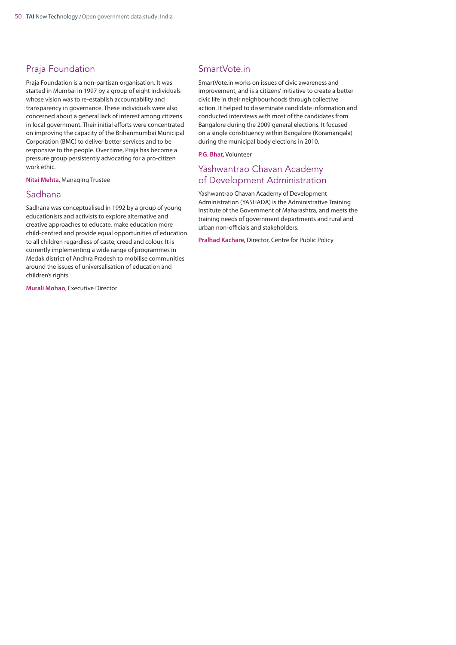#### Praja Foundation

Praja Foundation is a non-partisan organisation. It was started in Mumbai in 1997 by a group of eight individuals whose vision was to re-establish accountability and transparency in governance. These individuals were also concerned about a general lack of interest among citizens in local government. Their initial efforts were concentrated on improving the capacity of the Brihanmumbai Municipal Corporation (BMC) to deliver better services and to be responsive to the people. Over time, Praja has become a pressure group persistently advocating for a pro-citizen work ethic.

**Nitai Mehta**, Managing Trustee

#### Sadhana

Sadhana was conceptualised in 1992 by a group of young educationists and activists to explore alternative and creative approaches to educate, make education more child-centred and provide equal opportunities of education to all children regardless of caste, creed and colour. It is currently implementing a wide range of programmes in Medak district of Andhra Pradesh to mobilise communities around the issues of universalisation of education and children's rights.

**Murali Mohan**, Executive Director

#### SmartVote.in

SmartVote.in works on issues of civic awareness and improvement, and is a citizens' initiative to create a better civic life in their neighbourhoods through collective action. It helped to disseminate candidate information and conducted interviews with most of the candidates from Bangalore during the 2009 general elections. It focused on a single constituency within Bangalore (Koramangala) during the municipal body elections in 2010.

**P.G. Bhat**, Volunteer

#### Yashwantrao Chavan Academy of Development Administration

Yashwantrao Chavan Academy of Development Administration (YASHADA) is the Administrative Training Institute of the Government of Maharashtra, and meets the training needs of government departments and rural and urban non-officials and stakeholders.

**Pralhad Kachare**, Director, Centre for Public Policy